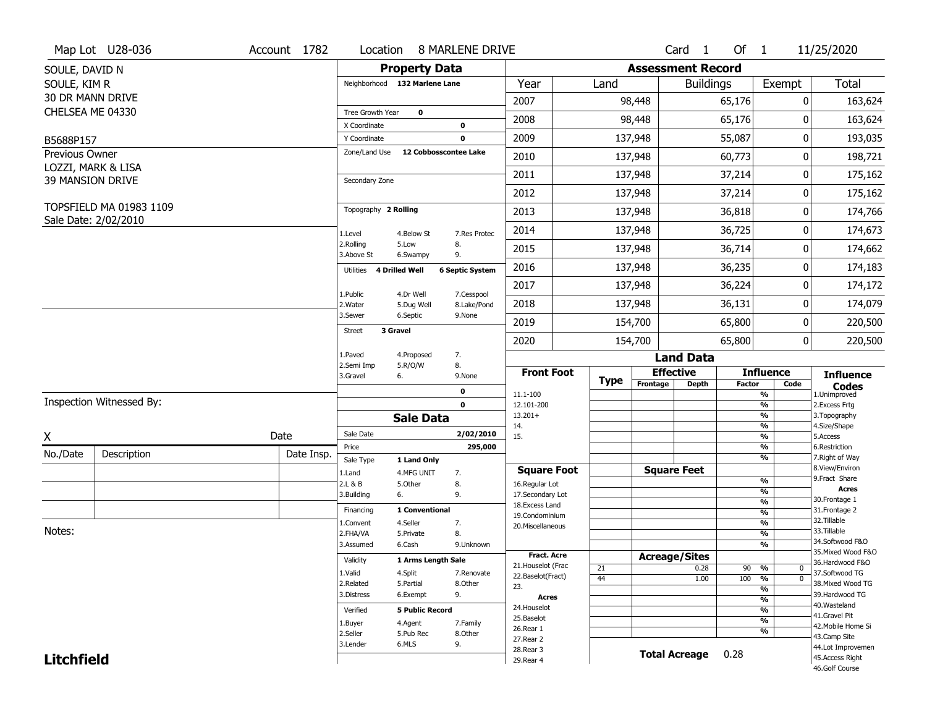|                   | Map Lot U28-036                               | Account 1782 | Location                      |                        | 8 MARLENE DRIVE        |                                    |             |                          | Card <sub>1</sub>    | Of $1$        |                                | 11/25/2020                            |
|-------------------|-----------------------------------------------|--------------|-------------------------------|------------------------|------------------------|------------------------------------|-------------|--------------------------|----------------------|---------------|--------------------------------|---------------------------------------|
| SOULE, DAVID N    |                                               |              |                               | <b>Property Data</b>   |                        |                                    |             | <b>Assessment Record</b> |                      |               |                                |                                       |
| SOULE, KIM R      |                                               |              | Neighborhood 132 Marlene Lane |                        |                        | Year                               | Land        |                          | <b>Buildings</b>     |               | Exempt                         | <b>Total</b>                          |
|                   | 30 DR MANN DRIVE                              |              |                               |                        |                        | 2007                               |             | 98,448                   |                      | 65,176        | 0                              | 163,624                               |
| CHELSEA ME 04330  |                                               |              | Tree Growth Year              | $\mathbf 0$            |                        |                                    |             |                          |                      |               | 0                              |                                       |
|                   |                                               |              | X Coordinate                  |                        | $\mathbf 0$            | 2008                               |             | 98,448                   |                      | 65,176        |                                | 163,624                               |
| B5688P157         |                                               |              | Y Coordinate                  |                        | $\mathbf 0$            | 2009                               |             | 137,948                  |                      | 55,087        | 0                              | 193,035                               |
| Previous Owner    |                                               |              | Zone/Land Use                 | 12 Cobbosscontee Lake  |                        | 2010                               |             | 137,948                  |                      | 60,773        | 0                              | 198,721                               |
|                   | LOZZI, MARK & LISA<br><b>39 MANSION DRIVE</b> |              | Secondary Zone                |                        |                        | 2011                               |             | 137,948                  |                      | 37,214        | 0                              | 175,162                               |
|                   |                                               |              |                               |                        |                        | 2012                               |             | 137,948                  |                      | 37,214        | 0                              | 175,162                               |
|                   | TOPSFIELD MA 01983 1109                       |              | Topography 2 Rolling          |                        |                        | 2013                               |             | 137,948                  |                      | 36,818        | 0                              | 174,766                               |
|                   | Sale Date: 2/02/2010                          |              | 1.Level                       | 4.Below St             | 7.Res Protec           | 2014                               |             | 137,948                  |                      | 36,725        | 0                              | 174,673                               |
|                   |                                               |              | 2.Rolling<br>3.Above St       | 5.Low<br>6.Swampy      | 8.<br>9.               | 2015                               |             | 137,948                  |                      | 36,714        | 0                              | 174,662                               |
|                   |                                               |              | 4 Drilled Well<br>Utilities   |                        | <b>6 Septic System</b> | 2016                               |             | 137,948                  |                      | 36,235        | 0                              | 174,183                               |
|                   |                                               |              | 1.Public                      | 4.Dr Well              | 7.Cesspool             | 2017                               |             | 137,948                  |                      | 36,224        | 0                              | 174,172                               |
|                   |                                               |              | 2. Water                      | 5.Dug Well             | 8.Lake/Pond            | 2018                               |             | 137,948                  |                      | 36,131        | 0                              | 174,079                               |
|                   |                                               |              | 3.Sewer                       | 6.Septic               | 9.None                 | 2019                               |             | 154,700                  |                      | 65,800        | 0                              | 220,500                               |
|                   |                                               |              | 3 Gravel<br><b>Street</b>     |                        |                        | 2020                               |             | 154,700                  |                      | 65,800        | 0                              | 220,500                               |
|                   |                                               |              | 1.Paved                       | 4.Proposed             | 7.                     |                                    |             |                          | <b>Land Data</b>     |               |                                |                                       |
|                   |                                               |              | 2.Semi Imp<br>3.Gravel<br>6.  | 5.R/O/W                | 8.<br>9.None           | <b>Front Foot</b>                  | <b>Type</b> | <b>Effective</b>         |                      |               | <b>Influence</b>               | <b>Influence</b>                      |
|                   |                                               |              |                               |                        | 0                      | 11.1-100                           |             | Frontage                 | <b>Depth</b>         | <b>Factor</b> | Code<br>%                      | <b>Codes</b><br>1.Unimproved          |
|                   | Inspection Witnessed By:                      |              |                               |                        | $\mathbf 0$            | 12.101-200                         |             |                          |                      |               | $\frac{9}{6}$                  | 2.Excess Frtg                         |
|                   |                                               |              |                               | <b>Sale Data</b>       |                        | $13.201+$<br>14.                   |             |                          |                      |               | %<br>%                         | 3. Topography<br>4.Size/Shape         |
| X                 |                                               | Date         | Sale Date                     |                        | 2/02/2010              | 15.                                |             |                          |                      |               | $\frac{9}{6}$                  | 5.Access                              |
| No./Date          | Description                                   | Date Insp.   | Price                         |                        | 295,000                |                                    |             |                          |                      |               | %<br>%                         | 6.Restriction<br>7. Right of Way      |
|                   |                                               |              | Sale Type                     | 1 Land Only            |                        | <b>Square Foot</b>                 |             | <b>Square Feet</b>       |                      |               |                                | 8.View/Environ                        |
|                   |                                               |              | 1.Land<br>2.L & B             | 4.MFG UNIT<br>5.0ther  | 7.<br>8.               | 16.Regular Lot                     |             |                          |                      |               | $\frac{9}{6}$                  | 9.Fract Share                         |
|                   |                                               |              | 3.Building<br>6.              |                        | 9.                     | 17.Secondary Lot                   |             |                          |                      |               | $\frac{9}{6}$                  | <b>Acres</b><br>30. Frontage 1        |
|                   |                                               |              | Financing                     | 1 Conventional         |                        | 18.Excess Land                     |             |                          |                      |               | $\frac{9}{6}$<br>$\frac{9}{6}$ | 31. Frontage 2                        |
|                   |                                               |              | 1.Convent                     | 4.Seller               | 7.                     | 19.Condominium<br>20.Miscellaneous |             |                          |                      |               | $\frac{9}{6}$                  | 32. Tillable                          |
| Notes:            |                                               |              | 2.FHA/VA                      | 5.Private              | 8.                     |                                    |             |                          |                      |               | $\frac{9}{6}$                  | 33.Tillable                           |
|                   |                                               |              | 3.Assumed                     | 6.Cash                 | 9.Unknown              |                                    |             |                          |                      |               | %                              | 34.Softwood F&O                       |
|                   |                                               |              | Validity                      | 1 Arms Length Sale     |                        | <b>Fract. Acre</b>                 |             | <b>Acreage/Sites</b>     |                      |               |                                | 35. Mixed Wood F&O<br>36.Hardwood F&O |
|                   |                                               |              | 1.Valid                       | 4.Split                | 7.Renovate             | 21. Houselot (Frac                 | 21          |                          | 0.28                 | 90            | %<br>0                         | 37.Softwood TG                        |
|                   |                                               |              | 2.Related                     | 5.Partial              | 8.Other                | 22.Baselot(Fract)<br>23.           | 44          |                          | 1.00                 | 100           | $\overline{0}$<br>%            | 38. Mixed Wood TG                     |
|                   |                                               |              | 3.Distress                    | 6.Exempt               | 9.                     | <b>Acres</b>                       |             |                          |                      |               | $\frac{9}{6}$<br>$\frac{9}{6}$ | 39.Hardwood TG                        |
|                   |                                               |              | Verified                      | <b>5 Public Record</b> |                        | 24. Houselot                       |             |                          |                      |               | $\frac{9}{6}$                  | 40. Wasteland                         |
|                   |                                               |              |                               |                        |                        | 25.Baselot                         |             |                          |                      |               | $\frac{9}{6}$                  | 41.Gravel Pit                         |
|                   |                                               |              | 1.Buyer<br>2.Seller           | 4.Agent<br>5.Pub Rec   | 7.Family<br>8.0ther    | 26.Rear 1                          |             |                          |                      |               | $\frac{9}{6}$                  | 42. Mobile Home Si                    |
|                   |                                               |              | 3.Lender                      | 6.MLS                  | 9.                     | 27.Rear 2                          |             |                          |                      |               |                                | 43.Camp Site<br>44.Lot Improvemen     |
| <b>Litchfield</b> |                                               |              |                               |                        |                        | 28. Rear 3<br>29. Rear 4           |             |                          | <b>Total Acreage</b> | 0.28          |                                | 45.Access Right                       |
|                   |                                               |              |                               |                        |                        |                                    |             |                          |                      |               |                                | 46.Golf Course                        |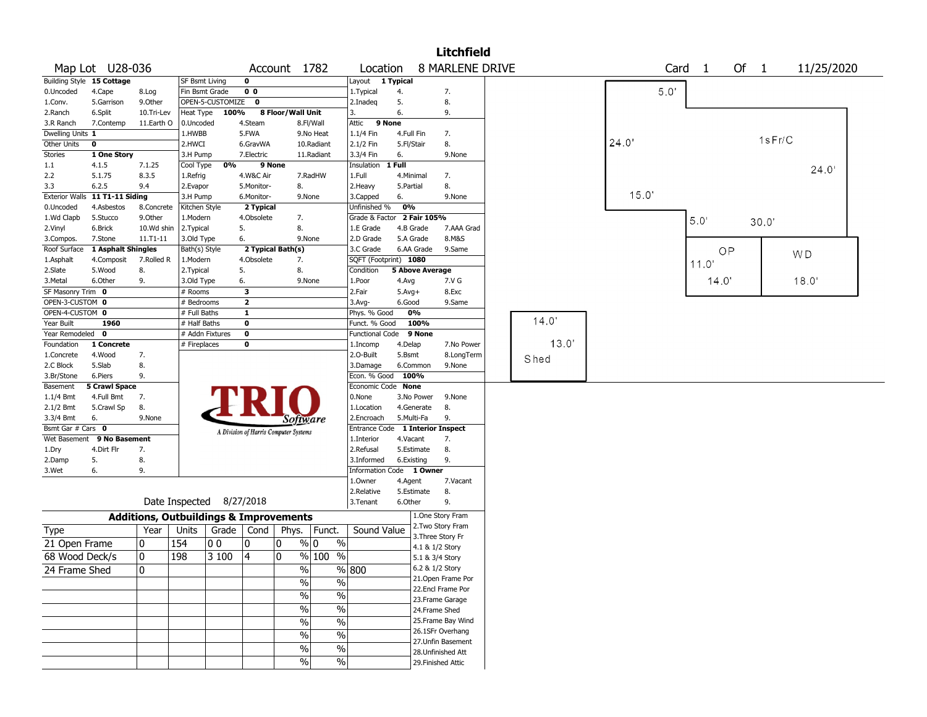|                   |                                |                                                   |                          |                  |                                       |                   |                               |                                  |            |                        | <b>Litchfield</b>  |  |       |       |      |                   |        |        |            |  |
|-------------------|--------------------------------|---------------------------------------------------|--------------------------|------------------|---------------------------------------|-------------------|-------------------------------|----------------------------------|------------|------------------------|--------------------|--|-------|-------|------|-------------------|--------|--------|------------|--|
|                   | Map Lot U28-036                |                                                   |                          |                  |                                       |                   | Account 1782                  | Location                         |            |                        | 8 MARLENE DRIVE    |  |       |       |      | Card <sub>1</sub> | Of $1$ |        | 11/25/2020 |  |
|                   | Building Style 15 Cottage      |                                                   | <b>SF Bsmt Living</b>    |                  | 0                                     |                   |                               | Layout 1 Typical                 |            |                        |                    |  |       |       |      |                   |        |        |            |  |
| 0.Uncoded         | 4.Cape                         | 8.Log                                             | Fin Bsmt Grade           |                  | 0 <sub>0</sub>                        |                   |                               | 1. Typical                       | 4.         |                        | 7.                 |  |       |       | 5.0' |                   |        |        |            |  |
| 1.Conv.           | 5.Garrison                     | 9.Other                                           |                          | OPEN-5-CUSTOMIZE | $\mathbf 0$                           |                   |                               | 2.Inadeq                         | 5.         |                        | 8.                 |  |       |       |      |                   |        |        |            |  |
| 2.Ranch           | 6.Split                        | 10.Tri-Lev                                        | Heat Type                | 100%             |                                       | 8 Floor/Wall Unit |                               | 3.                               | 6.         |                        | 9.                 |  |       |       |      |                   |        |        |            |  |
| 3.R Ranch         | 7.Contemp                      | 11.Earth O                                        | 0.Uncoded                |                  | 4.Steam                               |                   | 8.Fl/Wall                     | Attic                            | 9 None     |                        |                    |  |       |       |      |                   |        |        |            |  |
| Dwelling Units 1  |                                |                                                   | 1.HWBB                   |                  | 5.FWA                                 |                   | 9.No Heat                     | 1.1/4 Fin                        | 4.Full Fin |                        | 7.                 |  |       |       |      |                   |        |        |            |  |
| Other Units       | 0                              |                                                   | 2.HWCI                   |                  | 6.GravWA                              |                   | 10.Radiant                    | 2.1/2 Fin                        | 5.Fl/Stair |                        | 8.                 |  |       | 24.0  |      |                   |        | 1sFr/C |            |  |
| Stories           | 1 One Story                    |                                                   | 3.H Pump                 |                  | 7.Electric                            |                   | 11.Radiant                    | 3.3/4 Fin                        | 6.         |                        | 9.None             |  |       |       |      |                   |        |        |            |  |
| $1.1\,$           | 4.1.5                          | 7.1.25                                            | Cool Type                | 0%               |                                       | 9 None            |                               | Insulation                       | $1$ Full   |                        |                    |  |       |       |      |                   |        |        | 24.0'      |  |
| 2.2               | 5.1.75                         | 8.3.5                                             | 1.Refrig                 |                  | 4.W&C Air                             |                   | 7.RadHW                       | 1.Full                           |            | 4.Minimal              | 7.                 |  |       |       |      |                   |        |        |            |  |
| 3.3               | 6.2.5                          | 9.4                                               | 2.Evapor                 |                  | 5.Monitor-                            |                   | 8.                            | 2.Heavy                          | 5.Partial  |                        | 8.                 |  |       |       |      |                   |        |        |            |  |
|                   | Exterior Walls 11 T1-11 Siding |                                                   | 3.H Pump                 |                  | 6.Monitor-                            |                   | 9.None                        | 3.Capped                         | 6.         |                        | 9.None             |  |       | 15.0' |      |                   |        |        |            |  |
| 0.Uncoded         | 4.Asbestos                     | 8.Concrete                                        | Kitchen Style            |                  | 2 Typical                             |                   |                               | Unfinished %                     | 0%         |                        |                    |  |       |       |      |                   |        |        |            |  |
| 1.Wd Clapb        | 5.Stucco                       | 9.Other                                           | 1.Modern                 |                  | 4.Obsolete                            |                   | 7.                            | Grade & Factor 2 Fair 105%       |            |                        |                    |  |       |       |      | 5.0'              |        | 30.0'  |            |  |
| 2.Vinyl           | 6.Brick                        | 10.Wd shin                                        | 2.Typical                |                  | 5.                                    |                   | 8.                            | 1.E Grade                        |            | 4.B Grade              | 7.AAA Grad         |  |       |       |      |                   |        |        |            |  |
| 3.Compos.         | 7.Stone                        | 11.T1-11                                          | 3.Old Type               |                  | 6.                                    |                   | 9.None                        | 2.D Grade                        |            | 5.A Grade              | 8.M&S              |  |       |       |      |                   |        |        |            |  |
| Roof Surface      | 1 Asphalt Shingles             |                                                   | Bath(s) Style            |                  | 2 Typical Bath(s)                     |                   |                               | 3.C Grade                        |            | 6.AA Grade             | 9.Same             |  |       |       |      |                   | OP     |        | W D        |  |
| 1.Asphalt         | 4.Composit                     | 7.Rolled R                                        | 1.Modern                 |                  | 4.Obsolete                            |                   | 7.                            | SQFT (Footprint) 1080            |            |                        |                    |  |       |       |      | 11.0              |        |        |            |  |
| 2.Slate           | 5.Wood                         | 8.                                                | 2. Typical               |                  | 5.                                    |                   | 8.                            | Condition                        |            | <b>5 Above Average</b> |                    |  |       |       |      |                   |        |        |            |  |
| 3.Metal           | 6.Other                        | 9.                                                | 3.Old Type               |                  | 6.                                    |                   | 9.None                        | 1.Poor                           | 4.Avg      |                        | 7.V G              |  |       |       |      | 14.0'             |        |        | 18.0'      |  |
| SF Masonry Trim 0 |                                |                                                   | # Rooms                  |                  | 3                                     |                   |                               | 2.Fair                           | $5.Avg+$   |                        | 8.Exc              |  |       |       |      |                   |        |        |            |  |
| OPEN-3-CUSTOM 0   |                                |                                                   | # Bedrooms               |                  | $\overline{\mathbf{2}}$               |                   |                               | 3.Avg-                           | 6.Good     |                        | 9.Same             |  |       |       |      |                   |        |        |            |  |
| OPEN-4-CUSTOM 0   |                                |                                                   | # Full Baths             |                  | 1                                     |                   |                               | Phys. % Good                     |            | 0%                     |                    |  |       |       |      |                   |        |        |            |  |
| Year Built        | 1960                           |                                                   | # Half Baths             |                  | 0                                     |                   |                               | Funct. % Good                    |            | 100%                   |                    |  | 14.0  |       |      |                   |        |        |            |  |
| Year Remodeled 0  |                                |                                                   | # Addn Fixtures          |                  | 0                                     |                   |                               | <b>Functional Code</b>           |            | 9 None                 |                    |  |       |       |      |                   |        |        |            |  |
| Foundation        | 1 Concrete                     |                                                   | # Fireplaces             |                  | 0                                     |                   |                               | 1.Incomp                         | 4.Delap    |                        | 7.No Power         |  | 13.0' |       |      |                   |        |        |            |  |
| 1.Concrete        | 4.Wood                         | 7.                                                |                          |                  |                                       |                   |                               | 2.O-Built                        | 5.Bsmt     |                        | 8.LongTerm         |  | Shed  |       |      |                   |        |        |            |  |
| 2.C Block         | 5.Slab                         | 8.                                                |                          |                  |                                       |                   |                               | 3.Damage                         |            | 6.Common               | 9.None             |  |       |       |      |                   |        |        |            |  |
| 3.Br/Stone        | 6.Piers                        | 9.                                                |                          |                  |                                       |                   |                               | Econ. % Good                     |            | 100%                   |                    |  |       |       |      |                   |        |        |            |  |
| Basement          | <b>5 Crawl Space</b>           |                                                   |                          |                  |                                       |                   |                               | Economic Code None               |            |                        |                    |  |       |       |      |                   |        |        |            |  |
| $1.1/4$ Bmt       | 4.Full Bmt                     | 7.                                                |                          |                  |                                       |                   |                               | 0.None                           |            | 3.No Power             | 9.None             |  |       |       |      |                   |        |        |            |  |
| 2.1/2 Bmt         | 5.Crawl Sp                     | 8.                                                |                          |                  |                                       |                   |                               | 1.Location                       |            | 4.Generate             | 8.                 |  |       |       |      |                   |        |        |            |  |
| 3.3/4 Bmt         | 6.                             | 9.None                                            |                          |                  |                                       |                   | Software                      | 2.Encroach                       |            | 5.Multi-Fa             | 9.                 |  |       |       |      |                   |        |        |            |  |
| Bsmt Gar # Cars 0 |                                |                                                   |                          |                  | A Division of Harris Computer Systems |                   |                               | Entrance Code 1 Interior Inspect |            |                        |                    |  |       |       |      |                   |        |        |            |  |
|                   | Wet Basement 9 No Basement     |                                                   |                          |                  |                                       |                   |                               | 1.Interior                       | 4.Vacant   |                        | 7.                 |  |       |       |      |                   |        |        |            |  |
| 1.Dry             | 4.Dirt Flr                     | 7.                                                |                          |                  |                                       |                   |                               | 2.Refusal                        |            | 5.Estimate             | 8.                 |  |       |       |      |                   |        |        |            |  |
| 2.Damp            | 5.                             | 8.                                                |                          |                  |                                       |                   |                               | 3.Informed                       |            | 6.Existing             | 9.                 |  |       |       |      |                   |        |        |            |  |
| 3.Wet             | 6.                             | 9.                                                |                          |                  |                                       |                   |                               | Information Code 1 Owner         |            |                        |                    |  |       |       |      |                   |        |        |            |  |
|                   |                                |                                                   |                          |                  |                                       |                   |                               | 1.0wner                          | 4.Agent    |                        | 7.Vacant           |  |       |       |      |                   |        |        |            |  |
|                   |                                |                                                   |                          |                  |                                       |                   |                               | 2.Relative                       |            | 5.Estimate             | 8.                 |  |       |       |      |                   |        |        |            |  |
|                   |                                |                                                   | Date Inspected 8/27/2018 |                  |                                       |                   |                               | 3. Tenant                        | 6.Other    |                        | 9.                 |  |       |       |      |                   |        |        |            |  |
|                   |                                | <b>Additions, Outbuildings &amp; Improvements</b> |                          |                  |                                       |                   |                               |                                  |            |                        | 1.One Story Fram   |  |       |       |      |                   |        |        |            |  |
| Type              |                                | Year                                              | Units                    |                  |                                       |                   | Grade   Cond   Phys.   Funct. | Sound Value                      |            |                        | 2. Two Story Fram  |  |       |       |      |                   |        |        |            |  |
| 21 Open Frame     |                                | 0                                                 | 154                      | 00               | 10                                    | 0                 | % 0<br>$\%$                   |                                  |            | 4.1 & 1/2 Story        | 3. Three Story Fr  |  |       |       |      |                   |        |        |            |  |
| 68 Wood Deck/s    |                                | $\mathbf 0$                                       | 198                      | 3 100            | $\overline{4}$                        | 0                 | % 100<br>%                    |                                  |            | 5.1 & 3/4 Story        |                    |  |       |       |      |                   |        |        |            |  |
|                   |                                |                                                   |                          |                  |                                       |                   |                               |                                  |            | 6.2 & 1/2 Story        |                    |  |       |       |      |                   |        |        |            |  |
| 24 Frame Shed     |                                | $\pmb{0}$                                         |                          |                  |                                       |                   | $\%$                          | % 800                            |            |                        | 21. Open Frame Por |  |       |       |      |                   |        |        |            |  |
|                   |                                |                                                   |                          |                  |                                       |                   | $\%$<br>%                     |                                  |            |                        | 22.Encl Frame Por  |  |       |       |      |                   |        |        |            |  |
|                   |                                |                                                   |                          |                  |                                       |                   | $\sqrt{6}$<br>$\%$            |                                  |            |                        | 23.Frame Garage    |  |       |       |      |                   |        |        |            |  |
|                   |                                |                                                   |                          |                  |                                       |                   | $\%$<br>$\sqrt{6}$            |                                  |            | 24.Frame Shed          |                    |  |       |       |      |                   |        |        |            |  |
|                   |                                |                                                   |                          |                  |                                       |                   | $\frac{0}{6}$<br>$\%$         |                                  |            |                        | 25. Frame Bay Wind |  |       |       |      |                   |        |        |            |  |
|                   |                                |                                                   |                          |                  |                                       |                   |                               |                                  |            |                        | 26.1SFr Overhang   |  |       |       |      |                   |        |        |            |  |
|                   |                                |                                                   |                          |                  |                                       |                   | $\frac{0}{6}$<br>$\%$         |                                  |            |                        | 27.Unfin Basement  |  |       |       |      |                   |        |        |            |  |
|                   |                                |                                                   |                          |                  |                                       |                   | $\sqrt{6}$<br>$\%$            |                                  |            |                        | 28. Unfinished Att |  |       |       |      |                   |        |        |            |  |
|                   |                                |                                                   |                          |                  |                                       |                   | $\frac{9}{6}$<br>$\%$         |                                  |            |                        | 29. Finished Attic |  |       |       |      |                   |        |        |            |  |
|                   |                                |                                                   |                          |                  |                                       |                   |                               |                                  |            |                        |                    |  |       |       |      |                   |        |        |            |  |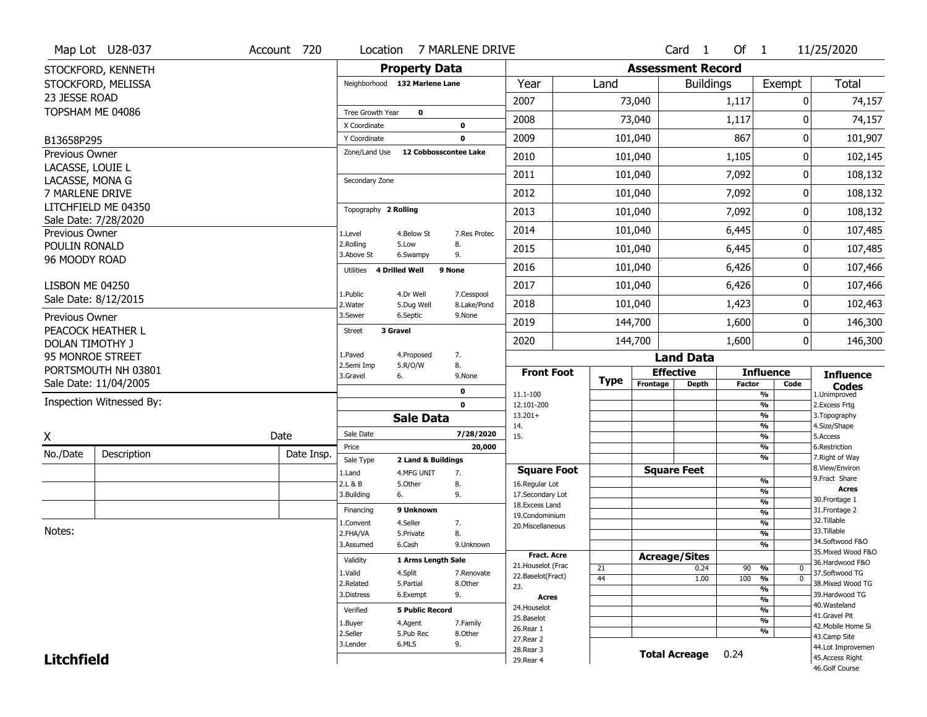|                                     | Map Lot U28-037          | Account 720 | Location                           |                        | 7 MARLENE DRIVE            |                                      |             |                          | Card 1               | Of $1$        |                                                            | 11/25/2020                           |
|-------------------------------------|--------------------------|-------------|------------------------------------|------------------------|----------------------------|--------------------------------------|-------------|--------------------------|----------------------|---------------|------------------------------------------------------------|--------------------------------------|
|                                     | STOCKFORD, KENNETH       |             |                                    | <b>Property Data</b>   |                            |                                      |             | <b>Assessment Record</b> |                      |               |                                                            |                                      |
|                                     | STOCKFORD, MELISSA       |             | Neighborhood 132 Marlene Lane      |                        |                            | Year                                 | Land        |                          | <b>Buildings</b>     |               | Exempt                                                     | Total                                |
| 23 JESSE ROAD                       |                          |             |                                    |                        |                            | 2007                                 |             | 73,040                   |                      | 1,117         | 0                                                          | 74,157                               |
| TOPSHAM ME 04086                    |                          |             | Tree Growth Year                   | $\mathbf 0$            |                            | 2008                                 |             | 73,040                   |                      | 1,117         | 0                                                          | 74,157                               |
|                                     |                          |             | X Coordinate                       |                        | 0                          |                                      |             |                          |                      |               |                                                            |                                      |
| B13658P295                          |                          |             | Y Coordinate<br>Zone/Land Use      | 12 Cobbosscontee Lake  | $\mathbf 0$                | 2009                                 |             | 101,040                  |                      | 867           | 0                                                          | 101,907                              |
| Previous Owner<br>LACASSE, LOUIE L  |                          |             |                                    |                        |                            | 2010                                 |             | 101,040                  |                      | 1,105         | 0                                                          | 102,145                              |
| LACASSE, MONA G                     |                          |             | Secondary Zone                     |                        |                            | 2011                                 |             | 101,040                  |                      | 7,092         | 0                                                          | 108,132                              |
| 7 MARLENE DRIVE                     |                          |             |                                    |                        |                            | 2012                                 |             | 101,040                  |                      | 7,092         | 0                                                          | 108,132                              |
|                                     | LITCHFIELD ME 04350      |             | Topography 2 Rolling               |                        |                            | 2013                                 |             | 101,040                  |                      | 7,092         | 0                                                          | 108,132                              |
|                                     | Sale Date: 7/28/2020     |             |                                    |                        |                            | 2014                                 |             | 101,040                  |                      | 6,445         | 0                                                          | 107,485                              |
| Previous Owner<br>POULIN RONALD     |                          |             | 1.Level<br>2.Rolling               | 4.Below St<br>5.Low    | 7.Res Protec<br>8.         |                                      |             |                          |                      |               |                                                            |                                      |
| 96 MOODY ROAD                       |                          |             | 3.Above St                         | 6.Swampy               | 9.                         | 2015                                 |             | 101,040                  |                      | 6,445         | 0                                                          | 107,485                              |
|                                     |                          |             | <b>4 Drilled Well</b><br>Utilities |                        | 9 None                     | 2016                                 |             | 101,040                  |                      | 6,426         | 0                                                          | 107,466                              |
| LISBON ME 04250                     |                          |             | 1.Public                           | 4.Dr Well              | 7.Cesspool                 | 2017                                 |             | 101,040                  |                      | 6,426         | 0                                                          | 107,466                              |
|                                     | Sale Date: 8/12/2015     |             | 2. Water                           | 5.Dug Well             | 8.Lake/Pond                | 2018                                 |             | 101,040                  |                      | 1,423         | 0                                                          | 102,463                              |
| Previous Owner                      |                          |             | 3.Sewer                            | 6.Septic               | 9.None                     | 2019                                 |             | 144,700                  |                      | 1,600         | 0                                                          | 146,300                              |
|                                     | PEACOCK HEATHER L        |             | 3 Gravel<br><b>Street</b>          |                        |                            | 2020                                 |             | 144,700                  |                      | 1,600         | 0                                                          | 146,300                              |
| DOLAN TIMOTHY J<br>95 MONROE STREET |                          |             | 1.Paved                            | 4.Proposed             | 7.                         |                                      |             |                          | <b>Land Data</b>     |               |                                                            |                                      |
|                                     | PORTSMOUTH NH 03801      |             | 2.Semi Imp                         | 5.R/O/W                | 8.                         | <b>Front Foot</b>                    |             | <b>Effective</b>         |                      |               | <b>Influence</b>                                           |                                      |
|                                     | Sale Date: 11/04/2005    |             | 3.Gravel<br>6.                     |                        | 9.None                     |                                      | <b>Type</b> | Frontage                 | <b>Depth</b>         | <b>Factor</b> | Code                                                       | <b>Influence</b><br><b>Codes</b>     |
|                                     | Inspection Witnessed By: |             |                                    |                        | $\mathbf 0$<br>$\mathbf 0$ | 11.1-100<br>12.101-200               |             |                          |                      |               | $\overline{\frac{9}{6}}$<br>$\frac{9}{6}$                  | 1.Unimproved<br>2.Excess Frtg        |
|                                     |                          |             |                                    | <b>Sale Data</b>       |                            | $13.201+$                            |             |                          |                      |               | $\overline{\frac{9}{6}}$                                   | 3. Topography                        |
| X                                   |                          | Date        | Sale Date                          |                        | 7/28/2020                  | 14.<br>15.                           |             |                          |                      |               | $\frac{9}{6}$<br>$\overline{\frac{9}{6}}$                  | 4.Size/Shape<br>5.Access             |
|                                     |                          |             | Price                              |                        | 20,000                     |                                      |             |                          |                      |               | %                                                          | 6.Restriction                        |
| No./Date                            | Description              | Date Insp.  | Sale Type                          | 2 Land & Buildings     |                            |                                      |             |                          |                      |               | %                                                          | 7. Right of Way<br>8.View/Environ    |
|                                     |                          |             | 1.Land<br>2.L & B                  | 4.MFG UNIT<br>5.0ther  | 7.<br>8.                   | <b>Square Foot</b><br>16.Regular Lot |             | <b>Square Feet</b>       |                      |               | $\frac{9}{6}$                                              | 9. Fract Share                       |
|                                     |                          |             | 3.Building<br>6.                   |                        | 9.                         | 17.Secondary Lot                     |             |                          |                      |               | %                                                          | <b>Acres</b><br>30. Frontage 1       |
|                                     |                          |             | Financing                          | 9 Unknown              |                            | 18.Excess Land<br>19.Condominium     |             |                          |                      |               | $\frac{9}{6}$<br>%                                         | 31. Frontage 2                       |
| Notes:                              |                          |             | 1.Convent                          | 4.Seller               | 7.                         | 20.Miscellaneous                     |             |                          |                      |               | $\frac{9}{6}$                                              | 32.Tillable<br>33.Tillable           |
|                                     |                          |             | 2.FHA/VA<br>3.Assumed              | 5.Private<br>6.Cash    | 8.<br>9.Unknown            |                                      |             |                          |                      |               | %<br>%                                                     | 34.Softwood F&O                      |
|                                     |                          |             | Validity                           | 1 Arms Length Sale     |                            | <b>Fract. Acre</b>                   |             | <b>Acreage/Sites</b>     |                      |               |                                                            | 35. Mixed Wood F&O                   |
|                                     |                          |             | 1.Valid                            | 4.Split                | 7.Renovate                 | 21. Houselot (Frac                   | 21          |                          | 0.24                 | 90 %          | 0                                                          | 36.Hardwood F&O<br>37.Softwood TG    |
|                                     |                          |             | 2.Related                          | 5.Partial              | 8.Other                    | 22.Baselot(Fract)<br>23.             | 44          |                          | 1.00                 | 100           | $\overline{\mathfrak{o}}$<br>%<br>$\overline{\frac{9}{6}}$ | 38. Mixed Wood TG                    |
|                                     |                          |             | 3.Distress                         | 6.Exempt               | 9.                         | Acres                                |             |                          |                      |               | $\overline{\frac{9}{6}}$                                   | 39.Hardwood TG                       |
|                                     |                          |             | Verified                           | <b>5 Public Record</b> |                            | 24. Houselot                         |             |                          |                      |               | $\overline{\frac{9}{6}}$                                   | 40. Wasteland<br>41.Gravel Pit       |
|                                     |                          |             |                                    |                        |                            |                                      |             |                          |                      |               |                                                            |                                      |
|                                     |                          |             | 1.Buyer                            | 4.Agent                | 7.Family                   | 25.Baselot                           |             |                          |                      |               | $\overline{\frac{9}{6}}$                                   | 42. Mobile Home Si                   |
|                                     |                          |             | 2.Seller                           | 5.Pub Rec              | 8.Other                    | 26.Rear 1<br>27. Rear 2              |             |                          |                      |               | %                                                          | 43.Camp Site                         |
| <b>Litchfield</b>                   |                          |             | 3.Lender                           | 6.MLS                  | 9.                         | 28.Rear 3<br>29. Rear 4              |             |                          | <b>Total Acreage</b> | 0.24          |                                                            | 44.Lot Improvemen<br>45.Access Right |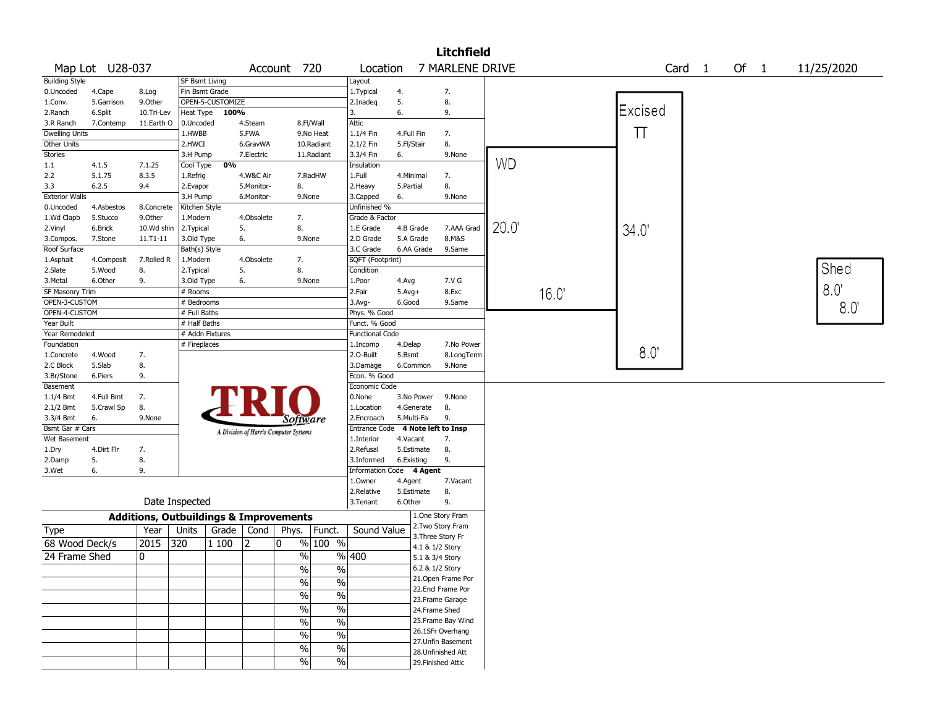|                       |                 |            |                                                   |                    |            |                                       |               |                          |              |                 | <b>Litchfield</b>   |           |       |         |                   |      |            |
|-----------------------|-----------------|------------|---------------------------------------------------|--------------------|------------|---------------------------------------|---------------|--------------------------|--------------|-----------------|---------------------|-----------|-------|---------|-------------------|------|------------|
|                       | Map Lot U28-037 |            |                                                   |                    |            | Account 720                           |               | Location                 |              |                 | 7 MARLENE DRIVE     |           |       |         | Card <sub>1</sub> | Of 1 | 11/25/2020 |
| <b>Building Style</b> |                 |            | <b>SF Bsmt Living</b>                             |                    |            |                                       |               | Layout                   |              |                 |                     |           |       |         |                   |      |            |
| 0.Uncoded             | 4.Cape          | 8.Log      | Fin Bsmt Grade                                    |                    |            |                                       |               | 1. Typical               | 4.           |                 | 7.                  |           |       |         |                   |      |            |
| 1.Conv.               | 5.Garrison      | 9.Other    |                                                   | OPEN-5-CUSTOMIZE   |            |                                       |               | 2.Inadeq                 | 5.           |                 | 8.                  |           |       |         |                   |      |            |
| 2.Ranch               | 6.Split         | 10.Tri-Lev | Heat Type                                         | 100%               |            |                                       |               | 3.                       | 6.           |                 | 9.                  |           |       | Excised |                   |      |            |
| 3.R Ranch             | 7.Contemp       | 11.Earth O | 0.Uncoded                                         |                    | 4.Steam    |                                       | 8.Fl/Wall     | Attic                    |              |                 |                     |           |       |         |                   |      |            |
| <b>Dwelling Units</b> |                 |            | 1.HWBB                                            |                    | 5.FWA      |                                       | 9.No Heat     | 1.1/4 Fin                | 4.Full Fin   |                 | 7.                  |           |       | $\top$  |                   |      |            |
| Other Units           |                 |            | 2.HWCI                                            |                    | 6.GravWA   |                                       | 10.Radiant    | 2.1/2 Fin                | 5.Fl/Stair   |                 | 8.                  |           |       |         |                   |      |            |
| Stories               |                 |            | 3.H Pump                                          |                    | 7.Electric |                                       | 11.Radiant    | 3.3/4 Fin                | 6.           |                 | 9.None              |           |       |         |                   |      |            |
| 1.1                   | 4.1.5           | 7.1.25     | Cool Type                                         | 0%                 |            |                                       |               | Insulation               |              |                 |                     | <b>WD</b> |       |         |                   |      |            |
| 2.2                   | 5.1.75          | 8.3.5      | 1.Refrig                                          |                    | 4.W&C Air  |                                       | 7.RadHW       | 1.Full                   | 4.Minimal    |                 | 7.                  |           |       |         |                   |      |            |
| 3.3                   | 6.2.5           | 9.4        | 2.Evapor                                          |                    | 5.Monitor- | 8.                                    |               | 2.Heavy                  | 5.Partial    |                 | 8.                  |           |       |         |                   |      |            |
| <b>Exterior Walls</b> |                 |            | 3.H Pump                                          |                    | 6.Monitor- | 9.None                                |               | 3.Capped                 | 6.           |                 | 9.None              |           |       |         |                   |      |            |
| 0.Uncoded             | 4.Asbestos      | 8.Concrete | Kitchen Style                                     |                    |            |                                       |               | Unfinished %             |              |                 |                     |           |       |         |                   |      |            |
| 1.Wd Clapb            | 5.Stucco        | 9.0ther    | 1.Modern                                          |                    | 4.Obsolete | 7.                                    |               | Grade & Factor           |              |                 |                     |           |       |         |                   |      |            |
| 2.Vinyl               | 6.Brick         | 10.Wd shin | 2. Typical                                        |                    | 5.         | 8.                                    |               | 1.E Grade                | 4.B Grade    |                 | 7.AAA Grad          | 20.0      |       | 34.0'   |                   |      |            |
| 3.Compos.             | 7.Stone         | 11.T1-11   | 3.Old Type                                        |                    | 6.         | 9.None                                |               | 2.D Grade                | 5.A Grade    |                 | 8.M&S               |           |       |         |                   |      |            |
| Roof Surface          |                 |            | Bath(s) Style                                     |                    |            |                                       |               | 3.C Grade                | 6.AA Grade   |                 | 9.Same              |           |       |         |                   |      |            |
| 1.Asphalt             | 4.Composit      | 7.Rolled R | 1.Modern                                          |                    | 4.Obsolete | 7.                                    |               | SQFT (Footprint)         |              |                 |                     |           |       |         |                   |      |            |
| 2.Slate               | 5.Wood          | 8.         | 2. Typical                                        |                    | 5.         | 8.                                    |               | Condition                |              |                 |                     |           |       |         |                   |      | Shed       |
| 3.Metal               | 6.Other         | 9.         | 3.Old Type                                        |                    | 6.         | 9.None                                |               | 1.Poor                   | 4.Avg        |                 | 7.V G               |           |       |         |                   |      |            |
| SF Masonry Trim       |                 |            | # Rooms                                           |                    |            |                                       |               | 2.Fair                   | $5.$ Avg $+$ |                 | 8.Exc               |           | 16.0' |         |                   |      | 8.0        |
| OPEN-3-CUSTOM         |                 |            | # Bedrooms                                        |                    |            |                                       |               | 3.Avg-                   | 6.Good       |                 | 9.Same              |           |       |         |                   |      |            |
| OPEN-4-CUSTOM         |                 |            | # Full Baths                                      |                    |            |                                       |               | Phys. % Good             |              |                 |                     |           |       |         |                   |      | 8.0        |
| Year Built            |                 |            | # Half Baths                                      |                    |            |                                       |               | Funct. % Good            |              |                 |                     |           |       |         |                   |      |            |
| Year Remodeled        |                 |            | # Addn Fixtures                                   |                    |            |                                       |               | <b>Functional Code</b>   |              |                 |                     |           |       |         |                   |      |            |
| Foundation            |                 |            | # Fireplaces                                      |                    |            |                                       |               | 1.Incomp                 | 4.Delap      |                 | 7.No Power          |           |       |         |                   |      |            |
| 1.Concrete            | 4.Wood          | 7.         |                                                   |                    |            |                                       |               | 2.O-Built                | 5.Bsmt       |                 | 8.LongTerm          |           |       | 8.0"    |                   |      |            |
| 2.C Block             | 5.Slab          | 8.         |                                                   |                    |            |                                       |               | 3.Damage                 | 6.Common     |                 | 9.None              |           |       |         |                   |      |            |
| 3.Br/Stone            | 6.Piers         | 9.         |                                                   |                    |            |                                       |               | Econ. % Good             |              |                 |                     |           |       |         |                   |      |            |
| Basement              |                 |            |                                                   |                    |            |                                       |               | Economic Code            |              |                 |                     |           |       |         |                   |      |            |
| 1.1/4 Bmt             | 4.Full Bmt      | 7.         |                                                   |                    |            |                                       |               | 0.None                   |              | 3.No Power      | 9.None              |           |       |         |                   |      |            |
| 2.1/2 Bmt             | 5.Crawl Sp      | 8.         |                                                   |                    |            |                                       |               | 1.Location               | 4.Generate   |                 | 8.                  |           |       |         |                   |      |            |
| 3.3/4 Bmt             | 6.              | 9.None     |                                                   |                    |            | Software                              |               | 2.Encroach               | 5.Multi-Fa   |                 | 9.                  |           |       |         |                   |      |            |
| Bsmt Gar # Cars       |                 |            |                                                   |                    |            | A Division of Harris Computer Systems |               | Entrance Code            |              |                 | 4 Note left to Insp |           |       |         |                   |      |            |
| Wet Basement          |                 |            |                                                   |                    |            |                                       |               | 1.Interior               | 4.Vacant     |                 | 7.                  |           |       |         |                   |      |            |
| 1.Dry                 | 4.Dirt Flr      | 7.         |                                                   |                    |            |                                       |               | 2.Refusal                | 5.Estimate   |                 | 8.                  |           |       |         |                   |      |            |
| 2.Damp                | 5.              | 8.         |                                                   |                    |            |                                       |               | 3.Informed               | 6.Existing   |                 | 9.                  |           |       |         |                   |      |            |
| 3.Wet                 | 6.              | 9.         |                                                   |                    |            |                                       |               | Information Code 4 Agent |              |                 |                     |           |       |         |                   |      |            |
|                       |                 |            |                                                   |                    |            |                                       |               | 1.0wner                  | 4.Agent      |                 | 7.Vacant            |           |       |         |                   |      |            |
|                       |                 |            |                                                   |                    |            |                                       |               | 2.Relative               | 5.Estimate   |                 | 8.                  |           |       |         |                   |      |            |
|                       |                 |            | Date Inspected                                    |                    |            |                                       |               | 3. Tenant                | 6.Other      |                 | 9.                  |           |       |         |                   |      |            |
|                       |                 |            | <b>Additions, Outbuildings &amp; Improvements</b> |                    |            |                                       |               |                          |              |                 | 1.One Story Fram    |           |       |         |                   |      |            |
| Type                  |                 | Year       | Units                                             | Grade $\vert$ Cond |            | Phys.                                 | Funct.        | Sound Value              |              |                 | 2. Two Story Fram   |           |       |         |                   |      |            |
| 68 Wood Deck/s        |                 | 2015       | 320                                               | 1 100              | 2          | 0                                     | % 100 %       |                          |              |                 | 3. Three Story Fr   |           |       |         |                   |      |            |
| 24 Frame Shed         |                 |            |                                                   |                    |            |                                       |               |                          |              | 4.1 & 1/2 Story |                     |           |       |         |                   |      |            |
|                       |                 | 0          |                                                   |                    |            | $\%$                                  |               | %  400                   |              | 5.1 & 3/4 Story |                     |           |       |         |                   |      |            |
|                       |                 |            |                                                   |                    |            | $\frac{0}{0}$                         | $\frac{1}{2}$ |                          |              | 6.2 & 1/2 Story |                     |           |       |         |                   |      |            |
|                       |                 |            |                                                   |                    |            | $\frac{0}{0}$                         | $\frac{0}{0}$ |                          |              |                 | 21. Open Frame Por  |           |       |         |                   |      |            |
|                       |                 |            |                                                   |                    |            | $\frac{1}{2}$                         | $\%$          |                          |              |                 | 22.Encl Frame Por   |           |       |         |                   |      |            |
|                       |                 |            |                                                   |                    |            |                                       |               |                          |              |                 | 23. Frame Garage    |           |       |         |                   |      |            |
|                       |                 |            |                                                   |                    |            | $\frac{1}{2}$                         | $\%$          |                          |              | 24.Frame Shed   |                     |           |       |         |                   |      |            |
|                       |                 |            |                                                   |                    |            | $\frac{0}{0}$                         | $\%$          |                          |              |                 | 25. Frame Bay Wind  |           |       |         |                   |      |            |
|                       |                 |            |                                                   |                    |            | $\frac{0}{0}$                         | $\%$          |                          |              |                 | 26.1SFr Overhang    |           |       |         |                   |      |            |
|                       |                 |            |                                                   |                    |            | $\%$                                  | $\%$          |                          |              |                 | 27. Unfin Basement  |           |       |         |                   |      |            |
|                       |                 |            |                                                   |                    |            |                                       |               |                          |              |                 | 28. Unfinished Att  |           |       |         |                   |      |            |
|                       |                 |            |                                                   |                    |            | $\%$                                  | $\%$          |                          |              |                 | 29. Finished Attic  |           |       |         |                   |      |            |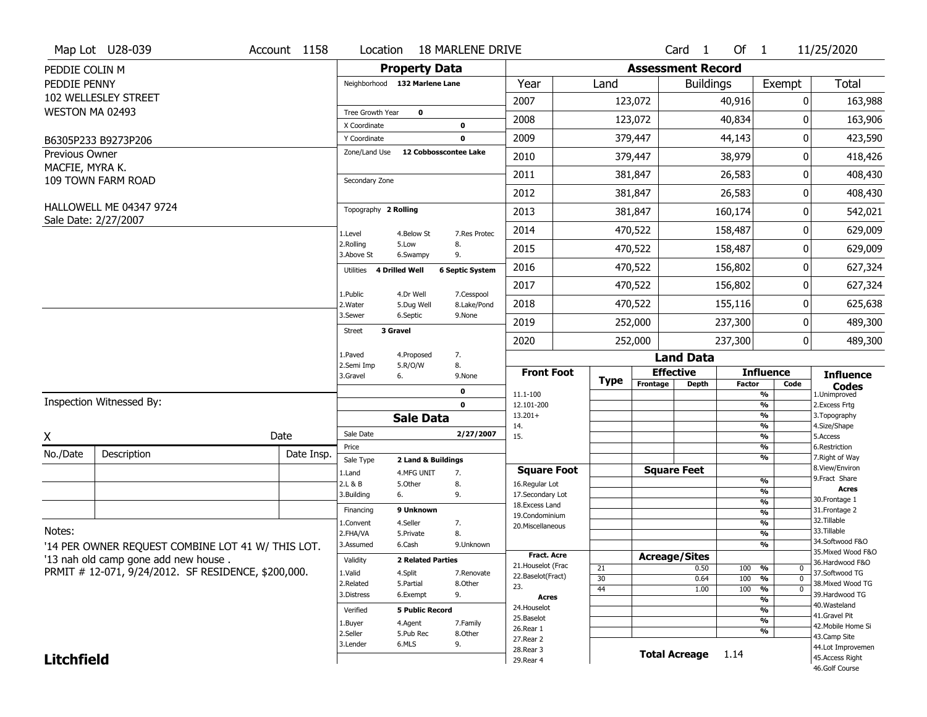|                       | Map Lot U28-039                                        | Account 1158 | Location                      |                          | <b>18 MARLENE DRIVE</b> |                                      |             |          | Card <sub>1</sub>        | Of $1$        |                                | 11/25/2020                        |
|-----------------------|--------------------------------------------------------|--------------|-------------------------------|--------------------------|-------------------------|--------------------------------------|-------------|----------|--------------------------|---------------|--------------------------------|-----------------------------------|
| PEDDIE COLIN M        |                                                        |              |                               | <b>Property Data</b>     |                         |                                      |             |          | <b>Assessment Record</b> |               |                                |                                   |
| PEDDIE PENNY          |                                                        |              | Neighborhood 132 Marlene Lane |                          |                         | Year                                 | Land        |          | <b>Buildings</b>         |               | Exempt                         | <b>Total</b>                      |
|                       | 102 WELLESLEY STREET                                   |              |                               |                          |                         | 2007                                 |             | 123,072  |                          | 40,916        | 0                              | 163,988                           |
| WESTON MA 02493       |                                                        |              | Tree Growth Year              | $\mathbf 0$              |                         | 2008                                 |             | 123,072  |                          | 40,834        | 0                              | 163,906                           |
|                       |                                                        |              | X Coordinate                  |                          | 0                       |                                      |             |          |                          |               |                                |                                   |
|                       | B6305P233 B9273P206                                    |              | Y Coordinate                  |                          | $\mathbf 0$             | 2009                                 |             | 379,447  |                          | 44,143        | 0                              | 423,590                           |
| <b>Previous Owner</b> |                                                        |              | Zone/Land Use                 | 12 Cobbosscontee Lake    |                         | 2010                                 |             | 379,447  |                          | 38,979        | 0                              | 418,426                           |
| MACFIE, MYRA K.       | 109 TOWN FARM ROAD                                     |              | Secondary Zone                |                          |                         | 2011                                 |             | 381,847  |                          | 26,583        | 0                              | 408,430                           |
|                       |                                                        |              |                               |                          |                         | 2012                                 |             | 381,847  |                          | 26,583        | 0                              | 408,430                           |
|                       | <b>HALLOWELL ME 04347 9724</b><br>Sale Date: 2/27/2007 |              | Topography 2 Rolling          |                          |                         | 2013                                 |             | 381,847  |                          | 160,174       | 0                              | 542,021                           |
|                       |                                                        |              | 1.Level                       | 4.Below St               | 7.Res Protec            | 2014                                 |             | 470,522  |                          | 158,487       | 0                              | 629,009                           |
|                       |                                                        |              | 2.Rolling<br>3.Above St       | 5.Low<br>6.Swampy        | 8.<br>9.                | 2015                                 |             | 470,522  |                          | 158,487       | 0                              | 629,009                           |
|                       |                                                        |              | Utilities                     | <b>4 Drilled Well</b>    | <b>6 Septic System</b>  | 2016                                 |             | 470,522  |                          | 156,802       | 0                              | 627,324                           |
|                       |                                                        |              | 1.Public                      | 4.Dr Well                | 7.Cesspool              | 2017                                 |             | 470,522  |                          | 156,802       | 0                              | 627,324                           |
|                       |                                                        |              | 2. Water                      | 5.Dug Well               | 8.Lake/Pond             | 2018                                 |             | 470,522  |                          | 155,116       | 0                              | 625,638                           |
|                       |                                                        |              | 3.Sewer                       | 6.Septic                 | 9.None                  | 2019                                 |             | 252,000  |                          | 237,300       | 0                              | 489,300                           |
|                       |                                                        |              | 3 Gravel<br><b>Street</b>     |                          |                         | 2020                                 |             | 252,000  |                          | 237,300       | 0                              | 489,300                           |
|                       |                                                        |              | 1.Paved                       | 4.Proposed               | 7.                      |                                      |             |          | <b>Land Data</b>         |               |                                |                                   |
|                       |                                                        |              | 2.Semi Imp<br>3.Gravel        | 5.R/O/W<br>6.            | 8.<br>9.None            | <b>Front Foot</b>                    |             |          | <b>Effective</b>         |               | <b>Influence</b>               | <b>Influence</b>                  |
|                       |                                                        |              |                               |                          | 0                       | 11.1-100                             | <b>Type</b> | Frontage | <b>Depth</b>             | <b>Factor</b> | Code<br>%                      | <b>Codes</b><br>1.Unimproved      |
|                       | Inspection Witnessed By:                               |              |                               |                          | $\mathbf 0$             | 12.101-200                           |             |          |                          |               | $\overline{\frac{9}{6}}$       | 2. Excess Frtg                    |
|                       |                                                        |              |                               | <b>Sale Data</b>         |                         | $13.201+$                            |             |          |                          |               | %                              | 3. Topography                     |
| X                     |                                                        | Date         | Sale Date                     |                          | 2/27/2007               | 14.<br>15.                           |             |          |                          |               | %<br>$\frac{9}{6}$             | 4.Size/Shape<br>5.Access          |
| No./Date              | Description                                            | Date Insp.   | Price                         |                          |                         |                                      |             |          |                          |               | %                              | 6.Restriction                     |
|                       |                                                        |              | Sale Type                     | 2 Land & Buildings       |                         |                                      |             |          |                          |               | %                              | 7. Right of Way<br>8.View/Environ |
|                       |                                                        |              | 1.Land<br>2.L & B             | 4.MFG UNIT<br>5.Other    | 7.<br>8.                | <b>Square Foot</b><br>16.Regular Lot |             |          | <b>Square Feet</b>       |               | $\frac{9}{6}$                  | 9. Fract Share                    |
|                       |                                                        |              | 3.Building                    | 6.                       | 9.                      | 17.Secondary Lot                     |             |          |                          |               | $\overline{\frac{9}{6}}$       | <b>Acres</b>                      |
|                       |                                                        |              | Financing                     | 9 Unknown                |                         | 18. Excess Land                      |             |          |                          |               | $\frac{9}{6}$                  | 30. Frontage 1<br>31. Frontage 2  |
|                       |                                                        |              | 1.Convent                     | 4.Seller                 | 7.                      | 19.Condominium                       |             |          |                          |               | $\frac{9}{6}$<br>$\frac{9}{6}$ | 32.Tillable                       |
| Notes:                |                                                        |              | 2.FHA/VA                      | 5.Private                | 8.                      | 20.Miscellaneous                     |             |          |                          |               | $\frac{9}{6}$                  | 33.Tillable                       |
|                       | '14 PER OWNER REQUEST COMBINE LOT 41 W/ THIS LOT.      |              | 3.Assumed                     | 6.Cash                   | 9.Unknown               |                                      |             |          |                          |               | %                              | 34.Softwood F&O                   |
|                       | '13 nah old camp gone add new house.                   |              | Validity                      | <b>2 Related Parties</b> |                         | <b>Fract, Acre</b>                   |             |          | <b>Acreage/Sites</b>     |               |                                | 35. Mixed Wood F&O                |
|                       | PRMIT # 12-071, 9/24/2012. SF RESIDENCE, \$200,000.    |              |                               |                          |                         | 21. Houselot (Frac                   | 21          |          | 0.50                     | 100           | %<br>0                         | 36.Hardwood F&O<br>37.Softwood TG |
|                       |                                                        |              | 1.Valid<br>2.Related          | 4.Split<br>5.Partial     | 7.Renovate<br>8.Other   | 22.Baselot(Fract)                    | 30          |          | 0.64                     | 100           | %<br>$\mathbf 0$               | 38. Mixed Wood TG                 |
|                       |                                                        |              | 3.Distress                    | 6.Exempt                 | 9.                      | 23.                                  | 44          |          | 1.00                     | 100           | $\frac{9}{6}$<br>0             | 39.Hardwood TG                    |
|                       |                                                        |              |                               |                          |                         | <b>Acres</b><br>24. Houselot         |             |          |                          |               | %                              | 40. Wasteland                     |
|                       |                                                        |              | Verified                      | <b>5 Public Record</b>   |                         | 25.Baselot                           |             |          |                          |               | %<br>%                         | 41.Gravel Pit                     |
|                       |                                                        |              | 1.Buyer                       | 4.Agent                  | 7.Family                | 26.Rear 1                            |             |          |                          |               | %                              | 42. Mobile Home Si                |
|                       |                                                        |              | 2.Seller<br>3.Lender          | 5.Pub Rec<br>6.MLS       | 8.Other<br>9.           | 27.Rear 2                            |             |          |                          |               |                                | 43.Camp Site                      |
| <b>Litchfield</b>     |                                                        |              |                               |                          |                         | 28. Rear 3                           |             |          | <b>Total Acreage</b>     | 1.14          |                                | 44.Lot Improvemen                 |
|                       |                                                        |              |                               |                          |                         | 29. Rear 4                           |             |          |                          |               |                                | 45.Access Right<br>46.Golf Course |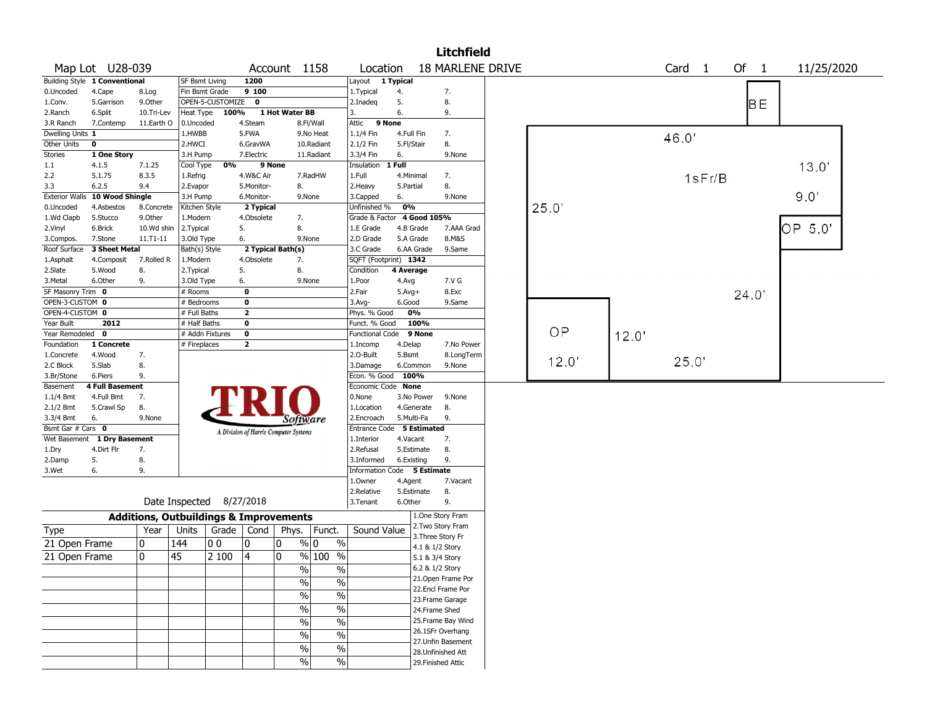|                   |                                |                                                   |                          |                    |                         |                                       |                        |                             |              |                 | <b>Litchfield</b>       |  |       |       |                   |        |        |         |            |  |
|-------------------|--------------------------------|---------------------------------------------------|--------------------------|--------------------|-------------------------|---------------------------------------|------------------------|-----------------------------|--------------|-----------------|-------------------------|--|-------|-------|-------------------|--------|--------|---------|------------|--|
|                   | Map Lot U28-039                |                                                   |                          |                    |                         | Account 1158                          |                        | Location                    |              |                 | <b>18 MARLENE DRIVE</b> |  |       |       | Card <sub>1</sub> |        | Of $1$ |         | 11/25/2020 |  |
|                   | Building Style 1 Conventional  |                                                   | <b>SF Bsmt Living</b>    |                    | 1200                    |                                       |                        | Layout 1 Typical            |              |                 |                         |  |       |       |                   |        |        |         |            |  |
| 0.Uncoded         | 4.Cape                         | 8.Log                                             | Fin Bsmt Grade           |                    | 9 100                   |                                       |                        | 1. Typical                  | 4.           |                 | 7.                      |  |       |       |                   |        |        |         |            |  |
| 1.Conv.           | 5.Garrison                     | 9.Other                                           |                          | OPEN-5-CUSTOMIZE   | $\mathbf 0$             |                                       |                        | 2.Inadeg                    | 5.           |                 | 8.                      |  |       |       |                   |        | BE     |         |            |  |
| 2.Ranch           | 6.Split                        | 10.Tri-Lev                                        | Heat Type                | 100%               |                         | 1 Hot Water BB                        |                        | 3.                          | 6.           |                 | 9.                      |  |       |       |                   |        |        |         |            |  |
| 3.R Ranch         | 7.Contemp                      | 11.Earth O                                        | 0.Uncoded                |                    | 4.Steam                 |                                       | 8.Fl/Wall              | 9 None<br>Attic             |              |                 |                         |  |       |       |                   |        |        |         |            |  |
| Dwelling Units 1  |                                |                                                   | 1.HWBB                   |                    | 5.FWA                   |                                       | 9.No Heat              | 1.1/4 Fin                   | 4.Full Fin   |                 | 7.                      |  |       |       | 46.0              |        |        |         |            |  |
| Other Units       | $\mathbf 0$                    |                                                   | 2.HWCI                   |                    | 6.GravWA                |                                       | 10.Radiant             | 2.1/2 Fin                   | 5.Fl/Stair   |                 | 8.                      |  |       |       |                   |        |        |         |            |  |
| <b>Stories</b>    | 1 One Story                    |                                                   | 3.H Pump                 |                    | 7.Electric              |                                       | 11.Radiant             | 3.3/4 Fin                   | 6.           |                 | 9.None                  |  |       |       |                   |        |        |         |            |  |
| 1.1               | 4.1.5                          | 7.1.25                                            | Cool Type                | 0%                 | 9 None                  |                                       |                        | Insulation                  | $1$ Full     |                 |                         |  |       |       |                   |        |        | 13.0'   |            |  |
| 2.2               | 5.1.75                         | 8.3.5                                             | 1.Refrig                 |                    | 4.W&C Air               |                                       | 7.RadHW                | 1.Full                      | 4.Minimal    |                 | 7.                      |  |       |       |                   | 1sFr/B |        |         |            |  |
| 3.3               | 6.2.5                          | 9.4                                               | 2.Evapor                 |                    | 5.Monitor-              | 8.                                    |                        | 2. Heavy                    | 5.Partial    |                 | 8.                      |  |       |       |                   |        |        |         |            |  |
|                   | Exterior Walls 10 Wood Shingle |                                                   | 3.H Pump                 |                    | 6.Monitor-              | 9.None                                |                        | 3.Capped                    | 6.           |                 | 9.None                  |  |       |       |                   |        |        | 9.0'    |            |  |
| 0.Uncoded         | 4.Asbestos                     | 8.Concrete                                        | Kitchen Style            |                    | 2 Typical               |                                       |                        | Unfinished %                | 0%           |                 |                         |  | 25.0' |       |                   |        |        |         |            |  |
| 1.Wd Clapb        | 5.Stucco                       | 9.0ther                                           | 1.Modern                 |                    | 4.Obsolete              | 7.                                    |                        | Grade & Factor              |              | 4 Good 105%     |                         |  |       |       |                   |        |        |         |            |  |
| 2.Vinyl           | 6.Brick                        | 10.Wd shin                                        | 2. Typical               |                    | 5.                      | 8.                                    |                        | 1.E Grade                   | 4.B Grade    |                 | 7.AAA Grad              |  |       |       |                   |        |        | OP 5.0' |            |  |
| 3.Compos.         | 7.Stone                        | 11.T1-11                                          | 3.Old Type               |                    | 6.                      | 9.None                                |                        | 2.D Grade                   | 5.A Grade    |                 | 8.M&S                   |  |       |       |                   |        |        |         |            |  |
| Roof Surface      | 3 Sheet Metal                  |                                                   | Bath(s) Style            |                    |                         | 2 Typical Bath(s)                     |                        | 3.C Grade                   |              | 6.AA Grade      | 9.Same                  |  |       |       |                   |        |        |         |            |  |
| 1.Asphalt         | 4.Composit                     | 7.Rolled R                                        | 1.Modern                 |                    | 4.Obsolete              | 7.                                    |                        | SQFT (Footprint) 1342       |              |                 |                         |  |       |       |                   |        |        |         |            |  |
| 2.Slate           | 5.Wood                         | 8.                                                | 2.Typical                |                    | 5.                      | 8.                                    |                        | Condition                   | 4 Average    |                 |                         |  |       |       |                   |        |        |         |            |  |
| 3.Metal           | 6.Other                        | 9.                                                | 3.Old Type               |                    | 6.                      | 9.None                                |                        | 1.Poor                      | 4.Avg        |                 | 7.V G                   |  |       |       |                   |        |        |         |            |  |
| SF Masonry Trim 0 |                                |                                                   | # Rooms                  |                    | $\mathbf 0$             |                                       |                        | 2.Fair                      | $5.$ Avg $+$ |                 | 8.Exc                   |  |       |       |                   |        | 24.0'  |         |            |  |
| OPEN-3-CUSTOM 0   |                                |                                                   | # Bedrooms               |                    | 0                       |                                       |                        | 3.Avg-                      | 6.Good       |                 | 9.Same                  |  |       |       |                   |        |        |         |            |  |
| OPEN-4-CUSTOM 0   |                                |                                                   | # Full Baths             |                    | $\overline{\mathbf{2}}$ |                                       |                        | Phys. % Good                |              | 0%              |                         |  |       |       |                   |        |        |         |            |  |
| Year Built        | 2012                           |                                                   | # Half Baths             |                    | $\mathbf 0$             |                                       |                        | Funct. % Good               |              | 100%            |                         |  |       |       |                   |        |        |         |            |  |
| Year Remodeled 0  |                                |                                                   | # Addn Fixtures          |                    | $\mathbf 0$             |                                       |                        | <b>Functional Code</b>      |              | 9 None          |                         |  | OP    | 12.0' |                   |        |        |         |            |  |
| Foundation        | 1 Concrete                     |                                                   | # Fireplaces             |                    | $\mathbf{2}$            |                                       |                        | 1.Incomp                    | 4.Delap      |                 | 7.No Power              |  |       |       |                   |        |        |         |            |  |
| 1.Concrete        | 4.Wood                         | 7.                                                |                          |                    |                         |                                       |                        | 2.O-Built                   | 5.Bsmt       |                 | 8.LongTerm              |  |       |       |                   |        |        |         |            |  |
| 2.C Block         | 5.Slab                         | 8.                                                |                          |                    |                         |                                       |                        | 3.Damage                    |              | 6.Common        | 9.None                  |  | 12.0' |       | 25.0'             |        |        |         |            |  |
| 3.Br/Stone        | 6.Piers                        | 9.                                                |                          |                    |                         |                                       |                        | Econ. % Good                | 100%         |                 |                         |  |       |       |                   |        |        |         |            |  |
| Basement          | <b>4 Full Basement</b>         |                                                   |                          |                    |                         |                                       |                        | Economic Code None          |              |                 |                         |  |       |       |                   |        |        |         |            |  |
| $1.1/4$ Bmt       | 4.Full Bmt                     | 7.                                                |                          |                    |                         |                                       |                        | 0.None                      |              | 3.No Power      | 9.None                  |  |       |       |                   |        |        |         |            |  |
| 2.1/2 Bmt         | 5.Crawl Sp                     | 8.                                                |                          |                    |                         |                                       |                        | 1.Location                  |              | 4.Generate      | 8.                      |  |       |       |                   |        |        |         |            |  |
| 3.3/4 Bmt         | 6.                             | 9.None                                            |                          |                    |                         | Software                              |                        | 2.Encroach                  | 5.Multi-Fa   |                 | 9.                      |  |       |       |                   |        |        |         |            |  |
| Bsmt Gar # Cars 0 |                                |                                                   |                          |                    |                         | A Division of Harris Computer Systems |                        | Entrance Code 5 Estimated   |              |                 |                         |  |       |       |                   |        |        |         |            |  |
| Wet Basement      | 1 Dry Basement                 |                                                   |                          |                    |                         |                                       |                        | 1.Interior                  | 4.Vacant     |                 | 7.                      |  |       |       |                   |        |        |         |            |  |
| 1.Dry             | 4.Dirt Flr                     | 7.                                                |                          |                    |                         |                                       |                        | 2.Refusal                   |              | 5.Estimate      | 8.                      |  |       |       |                   |        |        |         |            |  |
| 2.Damp            | 5.                             | 8.                                                |                          |                    |                         |                                       |                        | 3.Informed                  | 6.Existing   |                 | 9.                      |  |       |       |                   |        |        |         |            |  |
| 3.Wet             | 6.                             | 9.                                                |                          |                    |                         |                                       |                        | Information Code 5 Estimate |              |                 |                         |  |       |       |                   |        |        |         |            |  |
|                   |                                |                                                   |                          |                    |                         |                                       |                        | 1.Owner                     | 4.Agent      |                 | 7.Vacant                |  |       |       |                   |        |        |         |            |  |
|                   |                                |                                                   |                          |                    |                         |                                       |                        | 2.Relative                  |              | 5.Estimate      | 8.                      |  |       |       |                   |        |        |         |            |  |
|                   |                                |                                                   | Date Inspected 8/27/2018 |                    |                         |                                       |                        | 3.Tenant                    | 6.Other      |                 | 9.                      |  |       |       |                   |        |        |         |            |  |
|                   |                                | <b>Additions, Outbuildings &amp; Improvements</b> |                          |                    |                         |                                       |                        |                             |              |                 | 1.One Story Fram        |  |       |       |                   |        |        |         |            |  |
| Type              |                                | Year                                              | Units                    | Grade $\vert$ Cond |                         | Phys.   Funct.                        |                        | Sound Value                 |              |                 | 2. Two Story Fram       |  |       |       |                   |        |        |         |            |  |
|                   |                                |                                                   |                          |                    |                         |                                       |                        |                             |              |                 | 3. Three Story Fr       |  |       |       |                   |        |        |         |            |  |
| 21 Open Frame     |                                | 10                                                | 144                      | 0 <sub>0</sub>     | 0                       | $\%$ 0<br>0                           | $\%$                   |                             |              | 4.1 & 1/2 Story |                         |  |       |       |                   |        |        |         |            |  |
| 21 Open Frame     |                                | 0                                                 | 45                       | 2 100              | 4                       | $\mathbf{0}$                          | % 100<br>$\frac{0}{0}$ |                             |              | 5.1 & 3/4 Story |                         |  |       |       |                   |        |        |         |            |  |
|                   |                                |                                                   |                          |                    |                         | $\%$                                  | $\%$                   |                             |              | 6.2 & 1/2 Story |                         |  |       |       |                   |        |        |         |            |  |
|                   |                                |                                                   |                          |                    |                         |                                       |                        |                             |              |                 | 21. Open Frame Por      |  |       |       |                   |        |        |         |            |  |
|                   |                                |                                                   |                          |                    |                         | $\frac{0}{0}$                         | $\frac{0}{0}$          |                             |              |                 | 22.Encl Frame Por       |  |       |       |                   |        |        |         |            |  |
|                   |                                |                                                   |                          |                    |                         | $\frac{9}{6}$                         | $\frac{0}{0}$          |                             |              |                 | 23. Frame Garage        |  |       |       |                   |        |        |         |            |  |
|                   |                                |                                                   |                          |                    |                         | $\frac{1}{2}$                         | $\frac{1}{2}$          |                             |              |                 | 24.Frame Shed           |  |       |       |                   |        |        |         |            |  |
|                   |                                |                                                   |                          |                    |                         | $\frac{9}{6}$                         | $\frac{1}{2}$          |                             |              |                 | 25. Frame Bay Wind      |  |       |       |                   |        |        |         |            |  |
|                   |                                |                                                   |                          |                    |                         |                                       |                        |                             |              |                 | 26.1SFr Overhang        |  |       |       |                   |        |        |         |            |  |
|                   |                                |                                                   |                          |                    |                         | %                                     | $\frac{1}{2}$          |                             |              |                 | 27.Unfin Basement       |  |       |       |                   |        |        |         |            |  |
|                   |                                |                                                   |                          |                    |                         | %                                     | $\%$                   |                             |              |                 | 28. Unfinished Att      |  |       |       |                   |        |        |         |            |  |
|                   |                                |                                                   |                          |                    |                         | %                                     | %                      |                             |              |                 | 29. Finished Attic      |  |       |       |                   |        |        |         |            |  |
|                   |                                |                                                   |                          |                    |                         |                                       |                        |                             |              |                 |                         |  |       |       |                   |        |        |         |            |  |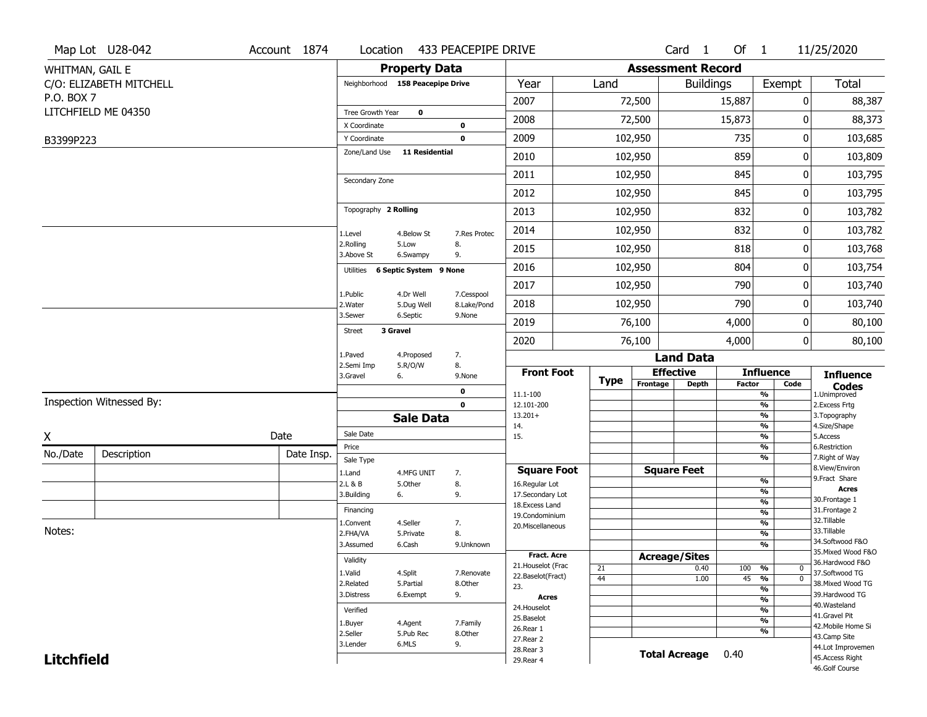|                   | Map Lot U28-042          | Account 1874 | Location                      |                                  | 433 PEACEPIPE DRIVE       |                                   |             |          | Card <sub>1</sub>        | Of 1          |                                | 11/25/2020                          |
|-------------------|--------------------------|--------------|-------------------------------|----------------------------------|---------------------------|-----------------------------------|-------------|----------|--------------------------|---------------|--------------------------------|-------------------------------------|
| WHITMAN, GAIL E   |                          |              |                               | <b>Property Data</b>             |                           |                                   |             |          | <b>Assessment Record</b> |               |                                |                                     |
|                   | C/O: ELIZABETH MITCHELL  |              |                               | Neighborhood 158 Peacepipe Drive |                           | Year                              | Land        |          | <b>Buildings</b>         |               | Exempt                         | <b>Total</b>                        |
| P.O. BOX 7        |                          |              |                               |                                  |                           | 2007                              |             | 72,500   |                          | 15,887        | 0                              | 88,387                              |
|                   | LITCHFIELD ME 04350      |              | Tree Growth Year              | $\bf{0}$                         |                           | 2008                              |             | 72,500   |                          | 15,873        | 0                              | 88,373                              |
|                   |                          |              | X Coordinate                  |                                  | 0                         |                                   |             |          |                          |               |                                |                                     |
| B3399P223         |                          |              | Y Coordinate<br>Zone/Land Use | <b>11 Residential</b>            | 0                         | 2009                              |             | 102,950  |                          | 735           | $\pmb{0}$                      | 103,685                             |
|                   |                          |              |                               |                                  |                           | 2010                              |             | 102,950  |                          | 859           | 0                              | 103,809                             |
|                   |                          |              | Secondary Zone                |                                  |                           | 2011                              |             | 102,950  |                          | 845           | 0                              | 103,795                             |
|                   |                          |              |                               |                                  |                           | 2012                              |             | 102,950  |                          | 845           | 0                              | 103,795                             |
|                   |                          |              | Topography 2 Rolling          |                                  |                           | 2013                              |             | 102,950  |                          | 832           | 0                              | 103,782                             |
|                   |                          |              | 1.Level                       | 4.Below St                       | 7.Res Protec              | 2014                              |             | 102,950  |                          | 832           | 0                              | 103,782                             |
|                   |                          |              | 2.Rolling<br>3.Above St       | 5.Low<br>6.Swampy                | 8.<br>9.                  | 2015                              |             | 102,950  |                          | 818           | 0                              | 103,768                             |
|                   |                          |              | Utilities                     | 6 Septic System 9 None           |                           | 2016                              |             | 102,950  |                          | 804           | 0                              | 103,754                             |
|                   |                          |              |                               |                                  |                           | 2017                              |             | 102,950  |                          | 790           | 0                              | 103,740                             |
|                   |                          |              | 1.Public<br>2. Water          | 4.Dr Well<br>5.Dug Well          | 7.Cesspool<br>8.Lake/Pond | 2018                              |             | 102,950  |                          | 790           | 0                              | 103,740                             |
|                   |                          |              | 3.Sewer                       | 6.Septic                         | 9.None                    | 2019                              |             | 76,100   |                          | 4,000         | 0                              | 80,100                              |
|                   |                          |              | <b>Street</b>                 | 3 Gravel                         |                           | 2020                              |             | 76,100   |                          | 4,000         | 0                              | 80,100                              |
|                   |                          |              | 1.Paved                       | 4.Proposed                       | 7.                        |                                   |             |          | <b>Land Data</b>         |               |                                |                                     |
|                   |                          |              | 2.Semi Imp<br>3.Gravel        | 5.R/O/W<br>6.                    | 8.<br>9.None              | <b>Front Foot</b>                 | <b>Type</b> |          | <b>Effective</b>         |               | <b>Influence</b>               | <b>Influence</b>                    |
|                   |                          |              |                               |                                  | 0                         | 11.1-100                          |             | Frontage | <b>Depth</b>             | <b>Factor</b> | Code<br>%                      | <b>Codes</b><br>1.Unimproved        |
|                   | Inspection Witnessed By: |              |                               |                                  | $\mathbf 0$               | 12.101-200                        |             |          |                          |               | $\frac{9}{6}$                  | 2.Excess Frtg                       |
|                   |                          |              |                               | <b>Sale Data</b>                 |                           | $13.201+$<br>14.                  |             |          |                          |               | %<br>%                         | 3. Topography<br>4.Size/Shape       |
| X                 |                          | Date         | Sale Date                     |                                  |                           | 15.                               |             |          |                          |               | %                              | 5.Access                            |
| No./Date          | Description              | Date Insp.   | Price                         |                                  |                           |                                   |             |          |                          |               | %<br>%                         | 6.Restriction<br>7. Right of Way    |
|                   |                          |              | Sale Type<br>1.Land           | 4.MFG UNIT                       | 7.                        | <b>Square Foot</b>                |             |          | <b>Square Feet</b>       |               |                                | 8.View/Environ                      |
|                   |                          |              | 2.L & B                       | 5.Other                          | 8.                        | 16.Regular Lot                    |             |          |                          |               | $\frac{9}{6}$                  | 9.Fract Share<br><b>Acres</b>       |
|                   |                          |              | 3.Building                    | 6.                               | 9.                        | 17.Secondary Lot                  |             |          |                          |               | $\frac{9}{6}$<br>$\frac{9}{6}$ | 30.Frontage 1                       |
|                   |                          |              | Financing                     |                                  |                           | 18.Excess Land<br>19.Condominium  |             |          |                          |               | $\frac{9}{6}$                  | 31. Frontage 2                      |
|                   |                          |              | 1.Convent                     | 4.Seller                         | 7.                        | 20.Miscellaneous                  |             |          |                          |               | $\frac{9}{6}$                  | 32. Tillable                        |
| Notes:            |                          |              | 2.FHA/VA                      | 5.Private                        | 8.                        |                                   |             |          |                          |               | $\frac{9}{6}$                  | 33.Tillable<br>34.Softwood F&O      |
|                   |                          |              | 3.Assumed                     | 6.Cash                           | 9.Unknown                 |                                   |             |          |                          |               | $\frac{9}{6}$                  | 35. Mixed Wood F&O                  |
|                   |                          |              | Validity                      |                                  |                           | Fract. Acre<br>21. Houselot (Frac |             |          | <b>Acreage/Sites</b>     |               |                                | 36.Hardwood F&O                     |
|                   |                          |              | 1.Valid                       | 4.Split                          | 7.Renovate                | 22.Baselot(Fract)                 | 21<br>44    |          | 0.40<br>1.00             | 100<br>45     | %<br>0<br>$\overline{0}$       | 37.Softwood TG                      |
|                   |                          |              | 2.Related                     | 5.Partial                        | 8.Other                   | 23.                               |             |          |                          |               | $\frac{9}{6}$<br>$\frac{9}{6}$ | 38. Mixed Wood TG                   |
|                   |                          |              | 3.Distress                    | 6.Exempt                         | 9.                        | Acres                             |             |          |                          |               | $\frac{9}{6}$                  | 39.Hardwood TG                      |
|                   |                          |              | Verified                      |                                  |                           | 24. Houselot                      |             |          |                          |               | $\frac{9}{6}$                  | 40. Wasteland                       |
|                   |                          |              | 1.Buyer                       | 4.Agent                          | 7.Family                  | 25.Baselot                        |             |          |                          |               | $\frac{9}{6}$                  | 41.Gravel Pit<br>42. Mobile Home Si |
|                   |                          |              | 2.Seller                      | 5.Pub Rec                        | 8.Other                   | 26.Rear 1                         |             |          |                          |               | %                              | 43.Camp Site                        |
|                   |                          |              | 3.Lender                      | 6.MLS                            | 9.                        | 27.Rear 2<br>28. Rear 3           |             |          |                          |               |                                | 44.Lot Improvemen                   |
| <b>Litchfield</b> |                          |              |                               |                                  |                           | 29. Rear 4                        |             |          | <b>Total Acreage</b>     | 0.40          |                                | 45.Access Right                     |
|                   |                          |              |                               |                                  |                           |                                   |             |          |                          |               |                                | 46.Golf Course                      |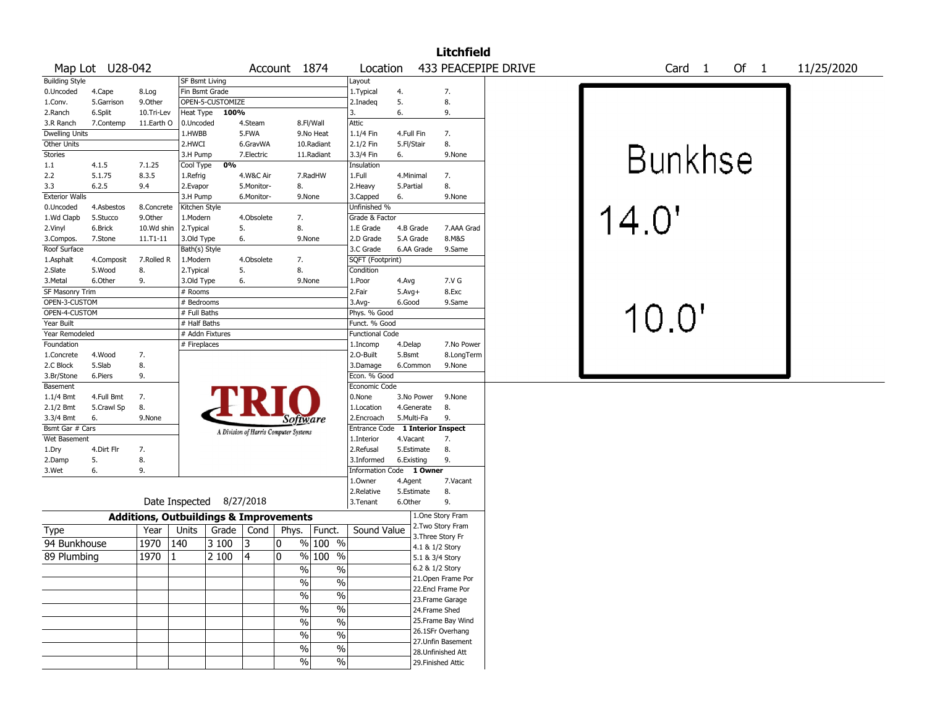|                              |                 |            |                                                            |                  |                          |                                       |                          |                         |                 |                   | <b>Litchfield</b>         |                     |  |                |        |  |        |            |  |
|------------------------------|-----------------|------------|------------------------------------------------------------|------------------|--------------------------|---------------------------------------|--------------------------|-------------------------|-----------------|-------------------|---------------------------|---------------------|--|----------------|--------|--|--------|------------|--|
|                              | Map Lot U28-042 |            |                                                            |                  |                          | Account 1874                          |                          | Location                |                 |                   |                           | 433 PEACEPIPE DRIVE |  |                | Card 1 |  | Of $1$ | 11/25/2020 |  |
| <b>Building Style</b>        |                 |            | <b>SF Bsmt Living</b>                                      |                  |                          |                                       |                          | Layout                  |                 |                   |                           |                     |  |                |        |  |        |            |  |
| 0.Uncoded                    | 4.Cape          | 8.Log      | Fin Bsmt Grade                                             |                  |                          |                                       |                          | 1.Typical               | 4.              |                   | 7.                        |                     |  |                |        |  |        |            |  |
| 1.Conv.                      | 5.Garrison      | 9.Other    |                                                            | OPEN-5-CUSTOMIZE |                          |                                       |                          | 2.Inadeq                | 5.              |                   | 8.                        |                     |  |                |        |  |        |            |  |
| 2.Ranch                      | 6.Split         | 10.Tri-Lev | Heat Type                                                  | 100%             |                          |                                       |                          | $\mathbf{3}$            | 6.              |                   | 9.                        |                     |  |                |        |  |        |            |  |
| 3.R Ranch                    | 7.Contemp       | 11.Earth O | 0.Uncoded                                                  |                  | 4.Steam                  |                                       | 8.Fl/Wall                | Attic                   |                 |                   |                           |                     |  |                |        |  |        |            |  |
| <b>Dwelling Units</b>        |                 |            | 1.HWBB                                                     |                  | 5.FWA                    |                                       | 9.No Heat                | 1.1/4 Fin               | 4.Full Fin      |                   | 7.                        |                     |  |                |        |  |        |            |  |
| Other Units                  |                 |            | 2.HWCI                                                     |                  | 6.GravWA                 |                                       | 10.Radiant               | 2.1/2 Fin               | 5.Fl/Stair      |                   | 8.                        |                     |  |                |        |  |        |            |  |
| Stories                      |                 |            | 3.H Pump                                                   |                  | 7.Electric               |                                       | 11.Radiant               | 3.3/4 Fin               | 6.              |                   | 9.None                    |                     |  | <b>Bunkhse</b> |        |  |        |            |  |
| 1.1                          | 4.1.5           | 7.1.25     | Cool Type                                                  | 0%               |                          |                                       |                          | Insulation              |                 |                   |                           |                     |  |                |        |  |        |            |  |
| 2.2                          | 5.1.75          | 8.3.5      | 1.Refrig                                                   |                  | 4.W&C Air                |                                       | 7.RadHW                  | 1.Full                  | 4.Minimal       |                   | 7.                        |                     |  |                |        |  |        |            |  |
| 3.3<br><b>Exterior Walls</b> | 6.2.5           | 9.4        | 2.Evapor<br>3.H Pump                                       |                  | 5.Monitor-<br>6.Monitor- | 8.                                    | 9.None                   | 2. Heavy<br>3.Capped    | 5.Partial<br>6. |                   | 8.<br>9.None              |                     |  |                |        |  |        |            |  |
| 0.Uncoded                    | 4.Asbestos      | 8.Concrete | Kitchen Style                                              |                  |                          |                                       |                          | Unfinished %            |                 |                   |                           |                     |  |                |        |  |        |            |  |
| 1.Wd Clapb                   | 5.Stucco        | 9.Other    | 1.Modern                                                   |                  | 4.Obsolete               | 7.                                    |                          | Grade & Factor          |                 |                   |                           |                     |  | 14.0'          |        |  |        |            |  |
| 2.Vinyl                      | 6.Brick         | 10.Wd shin | 2.Typical                                                  |                  | 5.                       | 8.                                    |                          | 1.E Grade               | 4.B Grade       |                   | 7.AAA Grad                |                     |  |                |        |  |        |            |  |
| 3.Compos.                    | 7.Stone         | 11.T1-11   | 3.Old Type                                                 |                  | 6.                       |                                       | 9.None                   | 2.D Grade               | 5.A Grade       |                   | 8.M&S                     |                     |  |                |        |  |        |            |  |
| Roof Surface                 |                 |            | Bath(s) Style                                              |                  |                          |                                       |                          | 3.C Grade               |                 | 6.AA Grade        | 9.Same                    |                     |  |                |        |  |        |            |  |
| 1.Asphalt                    | 4.Composit      | 7.Rolled R | 1.Modern                                                   |                  | 4.Obsolete               | 7.                                    |                          | SQFT (Footprint)        |                 |                   |                           |                     |  |                |        |  |        |            |  |
| 2.Slate                      | 5.Wood          | 8.         | 2. Typical                                                 |                  | 5.                       | 8.                                    |                          | Condition               |                 |                   |                           |                     |  |                |        |  |        |            |  |
| 3.Metal                      | 6.Other         | 9.         | 3.Old Type                                                 |                  | 6.                       |                                       | 9.None                   | 1.Poor                  | 4.Avg           |                   | 7.V G                     |                     |  |                |        |  |        |            |  |
| SF Masonry Trim              |                 |            | # Rooms                                                    |                  |                          |                                       |                          | 2.Fair                  | $5.Avg+$        |                   | 8.Exc                     |                     |  |                |        |  |        |            |  |
| OPEN-3-CUSTOM                |                 |            | # Bedrooms                                                 |                  |                          |                                       |                          | 3.Avg-                  | 6.Good          |                   | 9.Same                    |                     |  |                |        |  |        |            |  |
| OPEN-4-CUSTOM                |                 |            | # Full Baths                                               |                  |                          |                                       |                          | Phys. % Good            |                 |                   |                           |                     |  | 10.0'          |        |  |        |            |  |
| Year Built                   |                 |            | # Half Baths                                               |                  |                          |                                       |                          | Funct. % Good           |                 |                   |                           |                     |  |                |        |  |        |            |  |
| Year Remodeled               |                 |            | # Addn Fixtures                                            |                  |                          |                                       |                          | <b>Functional Code</b>  |                 |                   |                           |                     |  |                |        |  |        |            |  |
| Foundation                   |                 |            | # Fireplaces                                               |                  |                          |                                       |                          | 1.Incomp                | 4.Delap         |                   | 7.No Power                |                     |  |                |        |  |        |            |  |
| 1.Concrete                   | 4.Wood          | 7.         |                                                            |                  |                          |                                       |                          | 2.0-Built               | 5.Bsmt          |                   | 8.LongTerm                |                     |  |                |        |  |        |            |  |
| 2.C Block                    | 5.Slab          | 8.         |                                                            |                  |                          |                                       |                          | 3.Damage                | 6.Common        |                   | 9.None                    |                     |  |                |        |  |        |            |  |
| 3.Br/Stone                   | 6.Piers         | 9.         |                                                            |                  |                          |                                       |                          | Econ. % Good            |                 |                   |                           |                     |  |                |        |  |        |            |  |
| Basement                     |                 |            |                                                            |                  |                          |                                       |                          | Economic Code           |                 |                   |                           |                     |  |                |        |  |        |            |  |
| 1.1/4 Bmt                    | 4.Full Bmt      | 7.         |                                                            |                  |                          |                                       |                          | 0.None                  |                 | 3.No Power        | 9.None                    |                     |  |                |        |  |        |            |  |
| 2.1/2 Bmt                    | 5.Crawl Sp      | 8.         |                                                            |                  |                          |                                       |                          | 1.Location              |                 | 4.Generate        | 8.                        |                     |  |                |        |  |        |            |  |
| 3.3/4 Bmt                    | 6.              | 9.None     |                                                            |                  |                          | Software                              |                          | 2.Encroach              | 5.Multi-Fa      |                   | 9.                        |                     |  |                |        |  |        |            |  |
| Bsmt Gar # Cars              |                 |            |                                                            |                  |                          | A Division of Harris Computer Systems |                          | <b>Entrance Code</b>    |                 |                   | <b>1 Interior Inspect</b> |                     |  |                |        |  |        |            |  |
| Wet Basement                 |                 |            |                                                            |                  |                          |                                       |                          | 1.Interior              | 4.Vacant        |                   | 7.                        |                     |  |                |        |  |        |            |  |
| 1.Dry                        | 4.Dirt Flr      | 7.         |                                                            |                  |                          |                                       |                          | 2.Refusal               | 5.Estimate      |                   | 8.                        |                     |  |                |        |  |        |            |  |
| 2.Damp                       | 5.              | 8.         |                                                            |                  |                          |                                       |                          | 3.Informed              | 6.Existing      |                   | 9.                        |                     |  |                |        |  |        |            |  |
| 3.Wet                        | 6.              | 9.         |                                                            |                  |                          |                                       |                          | <b>Information Code</b> |                 | 1 Owner           |                           |                     |  |                |        |  |        |            |  |
|                              |                 |            |                                                            |                  |                          |                                       |                          | 1.Owner                 | 4.Agent         |                   | 7.Vacant                  |                     |  |                |        |  |        |            |  |
|                              |                 |            | Date Inspected 8/27/2018                                   |                  |                          |                                       |                          | 2.Relative              | 5.Estimate      |                   | 8.                        |                     |  |                |        |  |        |            |  |
|                              |                 |            |                                                            |                  |                          |                                       |                          | 3.Tenant                | 6.Other         |                   | 9.<br>1.One Story Fram    |                     |  |                |        |  |        |            |  |
|                              |                 | Year       | <b>Additions, Outbuildings &amp; Improvements</b><br>Units | Grade            | Cond                     |                                       |                          | Sound Value             |                 |                   | 2. Two Story Fram         |                     |  |                |        |  |        |            |  |
| Type                         |                 |            |                                                            |                  |                          | Phys.                                 | Funct.                   |                         |                 | 3. Three Story Fr |                           |                     |  |                |        |  |        |            |  |
| 94 Bunkhouse                 |                 | 1970       | 140                                                        | 3 100            | 3                        | 10                                    | % 100 %                  |                         |                 | 4.1 & 1/2 Story   |                           |                     |  |                |        |  |        |            |  |
| 89 Plumbing                  |                 | 1970       |                                                            | 2 100            | 4                        | 10                                    | % 100 %                  |                         |                 | 5.1 & 3/4 Story   |                           |                     |  |                |        |  |        |            |  |
|                              |                 |            |                                                            |                  |                          | $\frac{1}{2}$                         | $\frac{1}{2}$            |                         |                 | 6.2 & 1/2 Story   |                           |                     |  |                |        |  |        |            |  |
|                              |                 |            |                                                            |                  |                          | $\%$                                  | $\frac{0}{0}$            |                         |                 |                   | 21. Open Frame Por        |                     |  |                |        |  |        |            |  |
|                              |                 |            |                                                            |                  |                          |                                       |                          |                         |                 |                   | 22.Encl Frame Por         |                     |  |                |        |  |        |            |  |
|                              |                 |            |                                                            |                  |                          | $\%$                                  | $\%$                     |                         |                 |                   | 23. Frame Garage          |                     |  |                |        |  |        |            |  |
|                              |                 |            |                                                            |                  |                          | $\%$                                  | $\%$                     |                         |                 | 24.Frame Shed     |                           |                     |  |                |        |  |        |            |  |
|                              |                 |            |                                                            |                  |                          | $\%$                                  | $\%$                     |                         |                 |                   | 25. Frame Bay Wind        |                     |  |                |        |  |        |            |  |
|                              |                 |            |                                                            |                  |                          | $\%$                                  | $\%$                     |                         |                 |                   | 26.1SFr Overhang          |                     |  |                |        |  |        |            |  |
|                              |                 |            |                                                            |                  |                          | $\%$                                  | $\overline{\frac{0}{6}}$ |                         |                 |                   | 27. Unfin Basement        |                     |  |                |        |  |        |            |  |
|                              |                 |            |                                                            |                  |                          |                                       |                          |                         |                 |                   | 28. Unfinished Att        |                     |  |                |        |  |        |            |  |
|                              |                 |            |                                                            |                  |                          | $\%$                                  | $\%$                     |                         |                 |                   | 29. Finished Attic        |                     |  |                |        |  |        |            |  |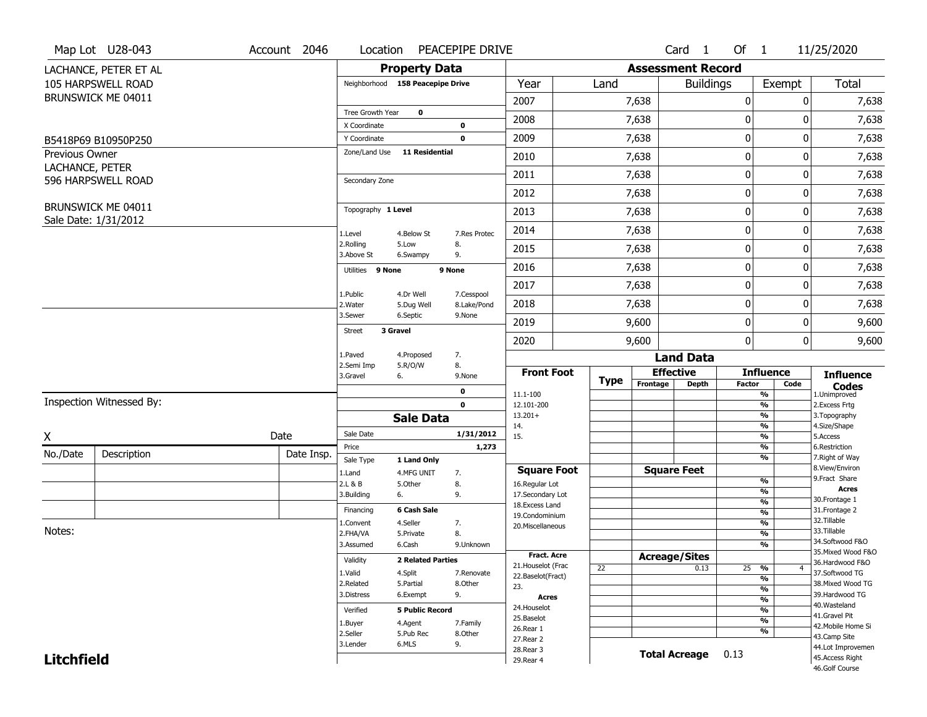|                                   | Map Lot U28-043          | Account 2046 | Location                |                                  | PEACEPIPE DRIVE           |                        |             |          | Card <sub>1</sub>        | Of $1$      |                                           | 11/25/2020                          |
|-----------------------------------|--------------------------|--------------|-------------------------|----------------------------------|---------------------------|------------------------|-------------|----------|--------------------------|-------------|-------------------------------------------|-------------------------------------|
|                                   | LACHANCE, PETER ET AL    |              |                         | <b>Property Data</b>             |                           |                        |             |          | <b>Assessment Record</b> |             |                                           |                                     |
|                                   | 105 HARPSWELL ROAD       |              |                         | Neighborhood 158 Peacepipe Drive |                           | Year                   | Land        |          | <b>Buildings</b>         |             | Exempt                                    | Total                               |
|                                   | BRUNSWICK ME 04011       |              |                         |                                  |                           | 2007                   |             | 7,638    |                          | 0           | 0                                         | 7,638                               |
|                                   |                          |              | Tree Growth Year        | $\mathbf 0$                      |                           | 2008                   |             | 7,638    |                          | 0           | 0                                         | 7,638                               |
|                                   |                          |              | X Coordinate            |                                  | 0                         |                        |             |          |                          |             |                                           |                                     |
|                                   | B5418P69 B10950P250      |              | Y Coordinate            | Zone/Land Use 11 Residential     | $\mathbf 0$               | 2009                   |             | 7,638    |                          | $\pmb{0}$   | 0                                         | 7,638                               |
| Previous Owner<br>LACHANCE, PETER |                          |              |                         |                                  |                           | 2010                   |             | 7,638    |                          | 0           | 0                                         | 7,638                               |
|                                   | 596 HARPSWELL ROAD       |              | Secondary Zone          |                                  |                           | 2011                   |             | 7,638    |                          | $\mathbf 0$ | 0                                         | 7,638                               |
|                                   |                          |              |                         |                                  |                           | 2012                   |             | 7,638    |                          | 0           | 0                                         | 7,638                               |
|                                   | BRUNSWICK ME 04011       |              | Topography 1 Level      |                                  |                           | 2013                   |             | 7,638    |                          | $\pmb{0}$   | 0                                         | 7,638                               |
|                                   | Sale Date: 1/31/2012     |              | 1.Level                 | 4.Below St                       | 7.Res Protec              | 2014                   |             | 7,638    |                          | 0           | 0                                         | 7,638                               |
|                                   |                          |              | 2.Rolling<br>3.Above St | 5.Low<br>6.Swampy                | 8.<br>9.                  | 2015                   |             | 7,638    |                          | 0           | 0                                         | 7,638                               |
|                                   |                          |              | Utilities 9 None        |                                  | 9 None                    | 2016                   |             | 7,638    |                          | $\pmb{0}$   | 0                                         | 7,638                               |
|                                   |                          |              |                         |                                  |                           | 2017                   |             | 7,638    |                          | $\pmb{0}$   | 0                                         | 7,638                               |
|                                   |                          |              | 1.Public<br>2. Water    | 4.Dr Well<br>5.Dug Well          | 7.Cesspool<br>8.Lake/Pond | 2018                   |             | 7,638    |                          | 0           | 0                                         | 7,638                               |
|                                   |                          |              | 3.Sewer                 | 6.Septic                         | 9.None                    | 2019                   |             | 9,600    |                          | $\mathbf 0$ | 0                                         | 9,600                               |
|                                   |                          |              | <b>Street</b>           | 3 Gravel                         |                           | 2020                   |             | 9,600    |                          | 0           | $\overline{0}$                            | 9,600                               |
|                                   |                          |              | 1.Paved                 | 4.Proposed                       | 7.                        |                        |             |          | <b>Land Data</b>         |             |                                           |                                     |
|                                   |                          |              | 2.Semi Imp<br>3.Gravel  | 5.R/O/W<br>6.                    | 8.<br>9.None              | <b>Front Foot</b>      |             |          | <b>Effective</b>         |             | <b>Influence</b>                          | <b>Influence</b>                    |
|                                   |                          |              |                         |                                  | 0                         | 11.1-100               | <b>Type</b> | Frontage | <b>Depth</b>             | Factor      | Code<br>%                                 | <b>Codes</b><br>1.Unimproved        |
|                                   | Inspection Witnessed By: |              |                         |                                  | $\mathbf 0$               | 12.101-200             |             |          |                          |             | $\overline{\frac{9}{6}}$                  | 2. Excess Frtg                      |
|                                   |                          |              |                         | <b>Sale Data</b>                 |                           | $13.201+$<br>14.       |             |          |                          |             | %<br>%                                    | 3. Topography<br>4.Size/Shape       |
| X                                 |                          | Date         | Sale Date               |                                  | 1/31/2012                 | 15.                    |             |          |                          |             | %                                         | 5.Access                            |
| No./Date                          | Description              | Date Insp.   | Price                   |                                  | 1,273                     |                        |             |          |                          |             | %                                         | 6.Restriction                       |
|                                   |                          |              | Sale Type               | 1 Land Only                      |                           | <b>Square Foot</b>     |             |          | <b>Square Feet</b>       |             | %                                         | 7. Right of Way<br>8.View/Environ   |
|                                   |                          |              | 1.Land<br>2.L & B       | 4.MFG UNIT<br>5.Other            | 7.<br>8.                  | 16.Regular Lot         |             |          |                          |             | $\frac{9}{6}$                             | 9. Fract Share                      |
|                                   |                          |              | 3.Building              | 6.                               | 9.                        | 17.Secondary Lot       |             |          |                          |             | $\overline{\frac{9}{6}}$                  | <b>Acres</b><br>30.Frontage 1       |
|                                   |                          |              | Financing               | 6 Cash Sale                      |                           | 18. Excess Land        |             |          |                          |             | $\frac{9}{6}$<br>$\overline{\frac{9}{6}}$ | 31. Frontage 2                      |
|                                   |                          |              | 1.Convent               | 4.Seller                         | 7.                        | 19.Condominium         |             |          |                          |             | $\frac{9}{6}$                             | 32.Tillable                         |
| Notes:                            |                          |              | 2.FHA/VA                | 5.Private                        | 8.                        | 20.Miscellaneous       |             |          |                          |             | $\overline{\frac{9}{6}}$                  | 33.Tillable                         |
|                                   |                          |              | 3.Assumed               | 6.Cash                           | 9.Unknown                 |                        |             |          |                          |             | %                                         | 34.Softwood F&O                     |
|                                   |                          |              | Validity                | <b>2 Related Parties</b>         |                           | Fract. Acre            |             |          | <b>Acreage/Sites</b>     |             |                                           | 35. Mixed Wood F&O                  |
|                                   |                          |              |                         |                                  |                           | 21. Houselot (Frac     | 22          |          | 0.13                     | 25          | %<br>$\overline{4}$                       | 36.Hardwood F&O                     |
|                                   |                          |              | 1.Valid                 | 4.Split                          | 7.Renovate                | 22.Baselot(Fract)      |             |          |                          |             | %                                         | 37.Softwood TG                      |
|                                   |                          |              | 2.Related               | 5.Partial                        | 8.Other                   | 23.                    |             |          |                          |             | $\frac{9}{6}$                             | 38. Mixed Wood TG<br>39.Hardwood TG |
|                                   |                          |              | 3.Distress              | 6.Exempt                         | 9.                        | <b>Acres</b>           |             |          |                          |             | $\frac{9}{6}$                             | 40. Wasteland                       |
|                                   |                          |              | Verified                | <b>5 Public Record</b>           |                           | 24. Houselot           |             |          |                          |             | %                                         | 41.Gravel Pit                       |
|                                   |                          |              | 1.Buyer                 | 4.Agent                          | 7.Family                  | 25.Baselot             |             |          |                          |             | $\frac{9}{6}$                             | 42. Mobile Home Si                  |
|                                   |                          |              | 2.Seller                | 5.Pub Rec                        | 8.Other                   | 26.Rear 1<br>27.Rear 2 |             |          |                          |             | %                                         | 43.Camp Site                        |
|                                   |                          |              | 3.Lender                | 6.MLS                            | 9.                        | 28.Rear 3              |             |          |                          |             |                                           | 44.Lot Improvemen                   |
| <b>Litchfield</b>                 |                          |              |                         |                                  |                           | 29. Rear 4             |             |          | <b>Total Acreage</b>     | 0.13        |                                           | 45.Access Right                     |
|                                   |                          |              |                         |                                  |                           |                        |             |          |                          |             |                                           | 46.Golf Course                      |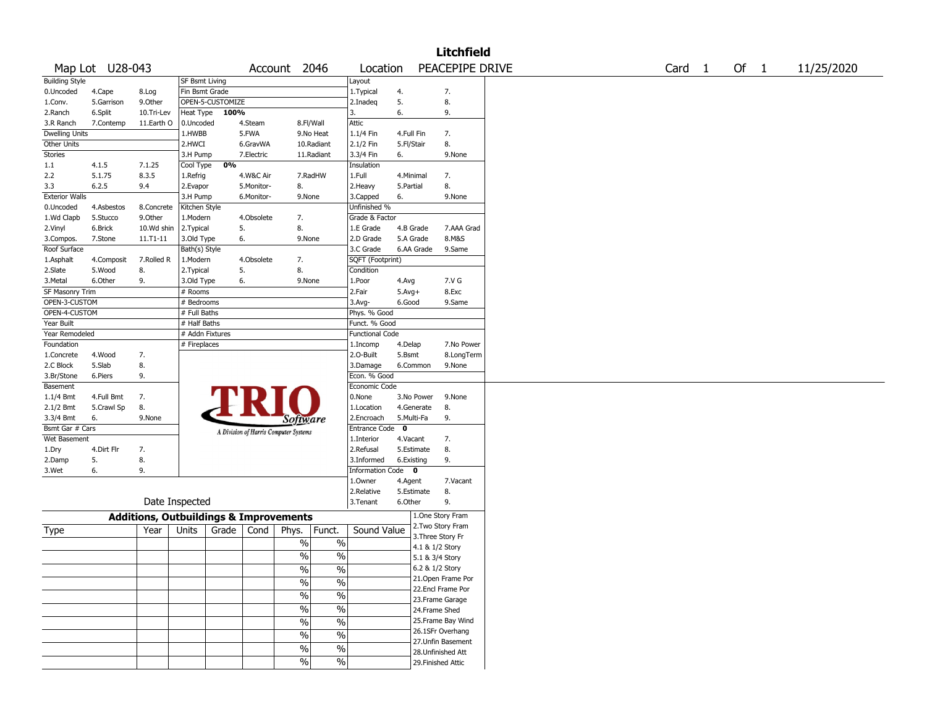|                       |                 |                                                   |                 |                  |            |                                       |               |                        |             |            | <b>Litchfield</b>  |  |        |  |      |            |
|-----------------------|-----------------|---------------------------------------------------|-----------------|------------------|------------|---------------------------------------|---------------|------------------------|-------------|------------|--------------------|--|--------|--|------|------------|
|                       | Map Lot U28-043 |                                                   |                 |                  |            | Account 2046                          |               | Location               |             |            | PEACEPIPE DRIVE    |  | Card 1 |  | Of 1 | 11/25/2020 |
| <b>Building Style</b> |                 |                                                   | SF Bsmt Living  |                  |            |                                       |               | Layout                 |             |            |                    |  |        |  |      |            |
| 0.Uncoded             | 4.Cape          | 8.Log                                             | Fin Bsmt Grade  |                  |            |                                       |               | 1.Typical              | 4.          |            | 7.                 |  |        |  |      |            |
| 1.Conv.               | 5.Garrison      | 9.0ther                                           |                 | OPEN-5-CUSTOMIZE |            |                                       |               | 2.Inadeg               | 5.          |            | 8.                 |  |        |  |      |            |
| 2.Ranch               | 6.Split         | 10.Tri-Lev                                        | Heat Type       | 100%             |            |                                       |               | 3.                     | 6.          |            | 9.                 |  |        |  |      |            |
| 3.R Ranch             | 7.Contemp       | 11.Earth O                                        | 0.Uncoded       |                  | 4.Steam    |                                       | 8.Fl/Wall     | Attic                  |             |            |                    |  |        |  |      |            |
| <b>Dwelling Units</b> |                 |                                                   | 1.HWBB          |                  | 5.FWA      |                                       | 9.No Heat     | 1.1/4 Fin              | 4.Full Fin  |            | 7.                 |  |        |  |      |            |
| Other Units           |                 |                                                   | 2.HWCI          |                  | 6.GravWA   |                                       | 10.Radiant    | 2.1/2 Fin              | 5.Fl/Stair  |            | 8.                 |  |        |  |      |            |
| Stories               |                 |                                                   | 3.H Pump        |                  | 7.Electric |                                       | 11.Radiant    | 3.3/4 Fin              | 6.          |            | 9.None             |  |        |  |      |            |
| 1.1                   | 4.1.5           | 7.1.25                                            | Cool Type       | 0%               |            |                                       |               | Insulation             |             |            |                    |  |        |  |      |            |
| 2.2                   | 5.1.75          | 8.3.5                                             | 1.Refrig        |                  | 4.W&C Air  |                                       | 7.RadHW       | 1.Full                 | 4.Minimal   |            | 7.                 |  |        |  |      |            |
| 3.3                   | 6.2.5           | 9.4                                               | 2.Evapor        |                  | 5.Monitor- | 8.                                    |               | 2.Heavy                | 5.Partial   |            | 8.                 |  |        |  |      |            |
| <b>Exterior Walls</b> |                 |                                                   | 3.H Pump        |                  | 6.Monitor- | 9.None                                |               | 3.Capped               | 6.          |            | 9.None             |  |        |  |      |            |
| 0.Uncoded             | 4.Asbestos      | 8.Concrete                                        | Kitchen Style   |                  |            |                                       |               | Unfinished %           |             |            |                    |  |        |  |      |            |
| 1.Wd Clapb            | 5.Stucco        | 9.0ther                                           | 1.Modern        |                  | 4.Obsolete | 7.                                    |               | Grade & Factor         |             |            |                    |  |        |  |      |            |
| 2.Vinyl               | 6.Brick         | 10.Wd shin                                        | 2.Typical       |                  | 5.         | 8.                                    |               | 1.E Grade              |             | 4.B Grade  | 7.AAA Grad         |  |        |  |      |            |
| 3.Compos.             | 7.Stone         | 11.T1-11                                          | 3.Old Type      |                  | 6.         | 9.None                                |               | 2.D Grade              |             | 5.A Grade  | 8.M&S              |  |        |  |      |            |
| Roof Surface          |                 |                                                   | Bath(s) Style   |                  |            |                                       |               | 3.C Grade              |             | 6.AA Grade | 9.Same             |  |        |  |      |            |
| 1.Asphalt             | 4.Composit      | 7.Rolled R                                        | 1.Modern        |                  | 4.Obsolete | 7.                                    |               | SQFT (Footprint)       |             |            |                    |  |        |  |      |            |
| 2.Slate               | 5.Wood          | 8.                                                | 2. Typical      |                  | 5.         | 8.                                    |               | Condition              |             |            |                    |  |        |  |      |            |
| 3. Metal              | 6.Other         | 9.                                                | 3.Old Type      |                  | 6.         | 9.None                                |               | 1.Poor                 | 4.Avg       |            | 7.V G              |  |        |  |      |            |
| SF Masonry Trim       |                 |                                                   | # Rooms         |                  |            |                                       |               | 2.Fair                 | $5.Avg+$    |            | 8.Exc              |  |        |  |      |            |
| OPEN-3-CUSTOM         |                 |                                                   | # Bedrooms      |                  |            |                                       |               | 3.Avg-                 | 6.Good      |            | 9.Same             |  |        |  |      |            |
| OPEN-4-CUSTOM         |                 |                                                   | # Full Baths    |                  |            |                                       |               | Phys. % Good           |             |            |                    |  |        |  |      |            |
| Year Built            |                 |                                                   | # Half Baths    |                  |            |                                       |               | Funct. % Good          |             |            |                    |  |        |  |      |            |
|                       |                 |                                                   |                 |                  |            |                                       |               |                        |             |            |                    |  |        |  |      |            |
| Year Remodeled        |                 |                                                   | # Addn Fixtures |                  |            |                                       |               | <b>Functional Code</b> |             |            |                    |  |        |  |      |            |
| Foundation            |                 |                                                   | # Fireplaces    |                  |            |                                       |               | 1.Incomp               | 4.Delap     |            | 7.No Power         |  |        |  |      |            |
| 1.Concrete            | 4.Wood          | 7.                                                |                 |                  |            |                                       |               | 2.0-Built              | 5.Bsmt      |            | 8.LongTerm         |  |        |  |      |            |
| 2.C Block             | 5.Slab          | 8.                                                |                 |                  |            |                                       |               | 3.Damage               |             | 6.Common   | 9.None             |  |        |  |      |            |
| 3.Br/Stone            | 6.Piers         | 9.                                                |                 |                  |            |                                       |               | Econ. % Good           |             |            |                    |  |        |  |      |            |
| Basement              |                 |                                                   |                 |                  |            |                                       |               | Economic Code          |             |            |                    |  |        |  |      |            |
| $1.1/4$ Bmt           | 4.Full Bmt      | 7.                                                |                 |                  |            |                                       |               | 0.None                 |             | 3.No Power | 9.None             |  |        |  |      |            |
| 2.1/2 Bmt             | 5.Crawl Sp      | 8.                                                |                 |                  |            |                                       |               | 1.Location             |             | 4.Generate | 8.                 |  |        |  |      |            |
| 3.3/4 Bmt             | 6.              | 9.None                                            |                 |                  |            | <i>Software</i>                       |               | 2.Encroach             |             | 5.Multi-Fa | 9.                 |  |        |  |      |            |
| Bsmt Gar # Cars       |                 |                                                   |                 |                  |            | A Division of Harris Computer Systems |               | Entrance Code          | $\mathbf 0$ |            |                    |  |        |  |      |            |
| Wet Basement          |                 |                                                   |                 |                  |            |                                       |               | 1.Interior             | 4.Vacant    |            | 7.                 |  |        |  |      |            |
| 1.Dry                 | 4.Dirt Flr      | 7.                                                |                 |                  |            |                                       |               | 2.Refusal              |             | 5.Estimate | 8.                 |  |        |  |      |            |
| 2.Damp                | 5.              | 8.                                                |                 |                  |            |                                       |               | 3.Informed             | 6.Existing  |            | 9.                 |  |        |  |      |            |
| 3.Wet                 | 6.              | 9.                                                |                 |                  |            |                                       |               | Information Code 0     |             |            |                    |  |        |  |      |            |
|                       |                 |                                                   |                 |                  |            |                                       |               | 1.Owner                | 4.Agent     |            | 7.Vacant           |  |        |  |      |            |
|                       |                 |                                                   |                 |                  |            |                                       |               | 2.Relative             |             | 5.Estimate | 8.                 |  |        |  |      |            |
|                       |                 |                                                   | Date Inspected  |                  |            |                                       |               | 3.Tenant               | 6.Other     |            | 9.                 |  |        |  |      |            |
|                       |                 | <b>Additions, Outbuildings &amp; Improvements</b> |                 |                  |            |                                       |               |                        |             |            | 1.One Story Fram   |  |        |  |      |            |
| Type                  |                 | Year                                              | Units           | Grade            | Cond       | Phys.                                 | Funct.        | Sound Value            |             |            | 2. Two Story Fram  |  |        |  |      |            |
|                       |                 |                                                   |                 |                  |            | $\%$                                  | $\%$          |                        |             |            | 3. Three Story Fr  |  |        |  |      |            |
|                       |                 |                                                   |                 |                  |            |                                       |               |                        |             |            | 4.1 & 1/2 Story    |  |        |  |      |            |
|                       |                 |                                                   |                 |                  |            | %                                     | $\%$          |                        |             |            | 5.1 & 3/4 Story    |  |        |  |      |            |
|                       |                 |                                                   |                 |                  |            | $\sqrt{6}$                            | $\frac{0}{6}$ |                        |             |            | 6.2 & 1/2 Story    |  |        |  |      |            |
|                       |                 |                                                   |                 |                  |            | $\sqrt{6}$                            | $\%$          |                        |             |            | 21. Open Frame Por |  |        |  |      |            |
|                       |                 |                                                   |                 |                  |            |                                       |               |                        |             |            | 22.Encl Frame Por  |  |        |  |      |            |
|                       |                 |                                                   |                 |                  |            | $\frac{9}{6}$                         | $\frac{1}{2}$ |                        |             |            | 23. Frame Garage   |  |        |  |      |            |
|                       |                 |                                                   |                 |                  |            | $\frac{9}{6}$                         | $\frac{1}{2}$ |                        |             |            | 24.Frame Shed      |  |        |  |      |            |
|                       |                 |                                                   |                 |                  |            | $\frac{9}{6}$                         | $\%$          |                        |             |            | 25. Frame Bay Wind |  |        |  |      |            |
|                       |                 |                                                   |                 |                  |            |                                       |               |                        |             |            | 26.1SFr Overhang   |  |        |  |      |            |
|                       |                 |                                                   |                 |                  |            | $\%$                                  | $\%$          |                        |             |            | 27.Unfin Basement  |  |        |  |      |            |
|                       |                 |                                                   |                 |                  |            | $\frac{9}{6}$                         | $\frac{0}{6}$ |                        |             |            | 28. Unfinished Att |  |        |  |      |            |
|                       |                 |                                                   |                 |                  |            | $\sqrt{6}$                            | $\frac{1}{2}$ |                        |             |            | 29. Finished Attic |  |        |  |      |            |
|                       |                 |                                                   |                 |                  |            |                                       |               |                        |             |            |                    |  |        |  |      |            |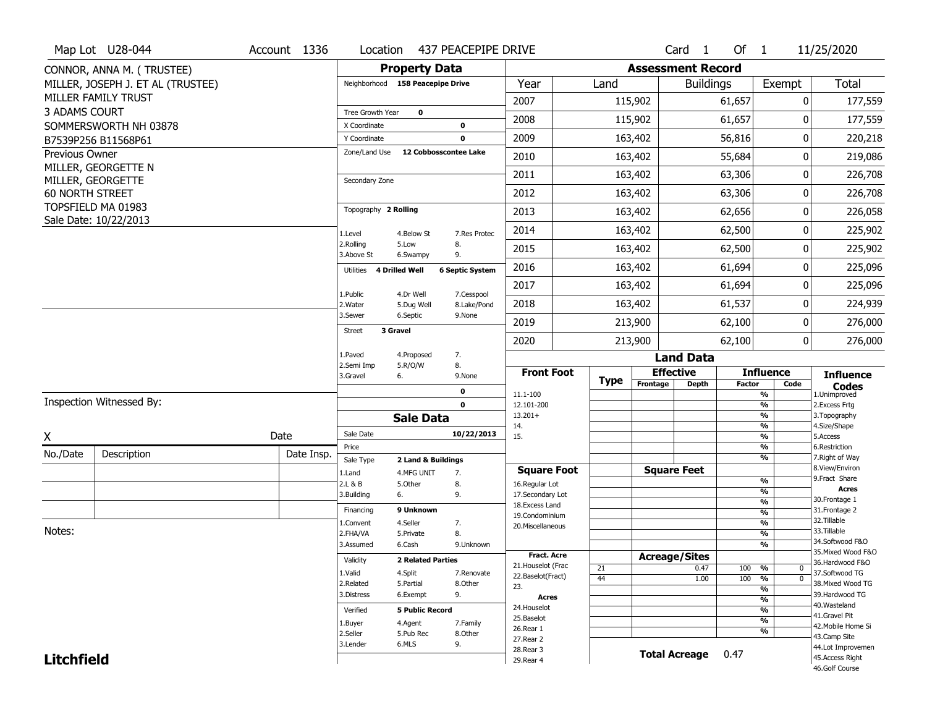|                   | Map Lot U28-044                             | Account 1336 | Location                  | 437 PEACEPIPE DRIVE                      |                           |                                         |             |                          | Card <sub>1</sub>    | Of $1$        |                                           | 11/25/2020                           |
|-------------------|---------------------------------------------|--------------|---------------------------|------------------------------------------|---------------------------|-----------------------------------------|-------------|--------------------------|----------------------|---------------|-------------------------------------------|--------------------------------------|
|                   | CONNOR, ANNA M. (TRUSTEE)                   |              |                           | <b>Property Data</b>                     |                           |                                         |             | <b>Assessment Record</b> |                      |               |                                           |                                      |
|                   | MILLER, JOSEPH J. ET AL (TRUSTEE)           |              |                           | Neighborhood 158 Peacepipe Drive         |                           | Year                                    | Land        |                          | <b>Buildings</b>     |               | Exempt                                    | Total                                |
|                   | MILLER FAMILY TRUST                         |              |                           |                                          |                           | 2007                                    |             | 115,902                  |                      | 61,657        | 0                                         | 177,559                              |
| 3 ADAMS COURT     |                                             |              | Tree Growth Year          | $\mathbf 0$                              |                           | 2008                                    |             | 115,902                  |                      | 61,657        | 0                                         | 177,559                              |
|                   | SOMMERSWORTH NH 03878                       |              | X Coordinate              | 0                                        |                           |                                         |             |                          |                      |               |                                           |                                      |
|                   | B7539P256 B11568P61                         |              | Y Coordinate              | $\mathbf 0$<br>12 Cobbosscontee Lake     |                           | 2009                                    |             | 163,402                  |                      | 56,816        | 0                                         | 220,218                              |
| Previous Owner    | MILLER, GEORGETTE N                         |              | Zone/Land Use             |                                          |                           | 2010                                    |             | 163,402                  |                      | 55,684        | 0                                         | 219,086                              |
|                   | MILLER, GEORGETTE                           |              | Secondary Zone            |                                          |                           | 2011                                    |             | 163,402                  |                      | 63,306        | 0                                         | 226,708                              |
| 60 NORTH STREET   |                                             |              |                           |                                          |                           | 2012                                    |             | 163,402                  |                      | 63,306        | $\mathbf 0$                               | 226,708                              |
|                   | TOPSFIELD MA 01983<br>Sale Date: 10/22/2013 |              | Topography 2 Rolling      |                                          |                           | 2013                                    |             | 163,402                  |                      | 62,656        | 0                                         | 226,058                              |
|                   |                                             |              | 1.Level                   | 4.Below St                               | 7.Res Protec              | 2014                                    |             | 163,402                  |                      | 62,500        | 0                                         | 225,902                              |
|                   |                                             |              | 2.Rolling<br>3.Above St   | 8.<br>5.Low<br>9.<br>6.Swampy            |                           | 2015                                    |             | 163,402                  |                      | 62,500        | 0                                         | 225,902                              |
|                   |                                             |              | Utilities                 | 4 Drilled Well<br><b>6 Septic System</b> |                           | 2016                                    |             | 163,402                  |                      | 61,694        | 0                                         | 225,096                              |
|                   |                                             |              |                           |                                          |                           | 2017                                    |             | 163,402                  |                      | 61,694        | 0                                         | 225,096                              |
|                   |                                             |              | 1.Public<br>2. Water      | 4.Dr Well<br>5.Dug Well                  | 7.Cesspool<br>8.Lake/Pond | 2018                                    |             | 163,402                  |                      | 61,537        | 0                                         | 224,939                              |
|                   |                                             |              | 3.Sewer                   | 6.Septic<br>9.None                       |                           | 2019                                    |             | 213,900                  |                      | 62,100        | 0                                         | 276,000                              |
|                   |                                             |              | 3 Gravel<br><b>Street</b> |                                          |                           | 2020                                    |             | 213,900                  |                      | 62,100        | $\overline{0}$                            | 276,000                              |
|                   |                                             |              | 1.Paved                   | 4.Proposed<br>7.                         |                           |                                         |             |                          | <b>Land Data</b>     |               |                                           |                                      |
|                   |                                             |              | 2.Semi Imp<br>3.Gravel    | 5.R/O/W<br>8.<br>6.<br>9.None            |                           | <b>Front Foot</b>                       |             | <b>Effective</b>         |                      |               | <b>Influence</b>                          | <b>Influence</b>                     |
|                   |                                             |              |                           |                                          |                           |                                         | <b>Type</b> | Frontage                 | <b>Depth</b>         | <b>Factor</b> | Code                                      |                                      |
|                   |                                             |              |                           |                                          |                           |                                         |             |                          |                      |               |                                           | <b>Codes</b>                         |
|                   | Inspection Witnessed By:                    |              |                           | 0<br>$\mathbf 0$                         |                           | 11.1-100<br>12.101-200                  |             |                          |                      |               | %<br>%                                    | 1.Unimproved<br>2. Excess Frtg       |
|                   |                                             |              |                           | <b>Sale Data</b>                         |                           | $13.201+$                               |             |                          |                      |               | %                                         | 3. Topography                        |
|                   |                                             |              | Sale Date                 |                                          | 10/22/2013                | 14.<br>15.                              |             |                          |                      |               | %<br>%                                    | 4.Size/Shape<br>5.Access             |
| X                 |                                             | Date         | Price                     |                                          |                           |                                         |             |                          |                      |               | %                                         | 6.Restriction                        |
| No./Date          | Description                                 | Date Insp.   | Sale Type                 | 2 Land & Buildings                       |                           |                                         |             |                          |                      |               | %                                         | 7. Right of Way                      |
|                   |                                             |              | 1.Land                    | 7.<br>4.MFG UNIT                         |                           | <b>Square Foot</b>                      |             |                          | <b>Square Feet</b>   |               |                                           | 8.View/Environ<br>9. Fract Share     |
|                   |                                             |              | 2.L & B                   | 5.Other<br>8.                            |                           | 16.Regular Lot                          |             |                          |                      |               | %<br>%                                    | <b>Acres</b>                         |
|                   |                                             |              | 3.Building                | 6.<br>9.                                 |                           | 17.Secondary Lot<br>18. Excess Land     |             |                          |                      |               | $\frac{9}{6}$                             | 30.Frontage 1                        |
|                   |                                             |              | Financing                 | 9 Unknown                                |                           | 19.Condominium                          |             |                          |                      |               | $\frac{9}{6}$                             | 31. Frontage 2                       |
|                   |                                             |              | 1.Convent                 | 4.Seller<br>7.                           |                           | 20.Miscellaneous                        |             |                          |                      |               | $\frac{9}{6}$                             | 32.Tillable                          |
| Notes:            |                                             |              | 2.FHA/VA                  | 8.<br>5.Private                          |                           |                                         |             |                          |                      |               | $\frac{9}{6}$                             | 33.Tillable<br>34.Softwood F&O       |
|                   |                                             |              | 3.Assumed                 | 6.Cash                                   | 9.Unknown                 |                                         |             |                          |                      |               | $\overline{\frac{9}{6}}$                  | 35. Mixed Wood F&O                   |
|                   |                                             |              | Validity                  | <b>2 Related Parties</b>                 |                           | <b>Fract. Acre</b>                      |             |                          | <b>Acreage/Sites</b> |               |                                           | 36.Hardwood F&O                      |
|                   |                                             |              | 1.Valid                   | 4.Split                                  | 7.Renovate                | 21. Houselot (Frac<br>22.Baselot(Fract) | 21          |                          | 0.47                 | 100           | %<br>$\mathbf 0$                          | 37.Softwood TG                       |
|                   |                                             |              | 2.Related                 | 5.Partial<br>8.Other                     |                           | 23.                                     | 44          |                          | 1.00                 | 100           | %<br>$\mathbf{0}$                         | 38. Mixed Wood TG                    |
|                   |                                             |              | 3.Distress                | 9.<br>6.Exempt                           |                           | <b>Acres</b>                            |             |                          |                      |               | $\overline{\frac{9}{6}}$<br>$\frac{9}{6}$ | 39.Hardwood TG                       |
|                   |                                             |              | Verified                  | <b>5 Public Record</b>                   |                           | 24. Houselot                            |             |                          |                      |               | $\frac{9}{6}$                             | 40. Wasteland                        |
|                   |                                             |              |                           |                                          |                           | 25.Baselot                              |             |                          |                      |               | $\frac{9}{6}$                             | 41.Gravel Pit                        |
|                   |                                             |              | 1.Buyer                   | 4.Agent<br>7.Family                      |                           | 26.Rear 1                               |             |                          |                      |               | %                                         | 42. Mobile Home Si                   |
|                   |                                             |              | 2.Seller<br>3.Lender      | 5.Pub Rec<br>8.Other<br>6.MLS<br>9.      |                           | 27.Rear 2                               |             |                          |                      |               |                                           | 43.Camp Site                         |
| <b>Litchfield</b> |                                             |              |                           |                                          |                           | 28. Rear 3<br>29. Rear 4                |             |                          | <b>Total Acreage</b> | 0.47          |                                           | 44.Lot Improvemen<br>45.Access Right |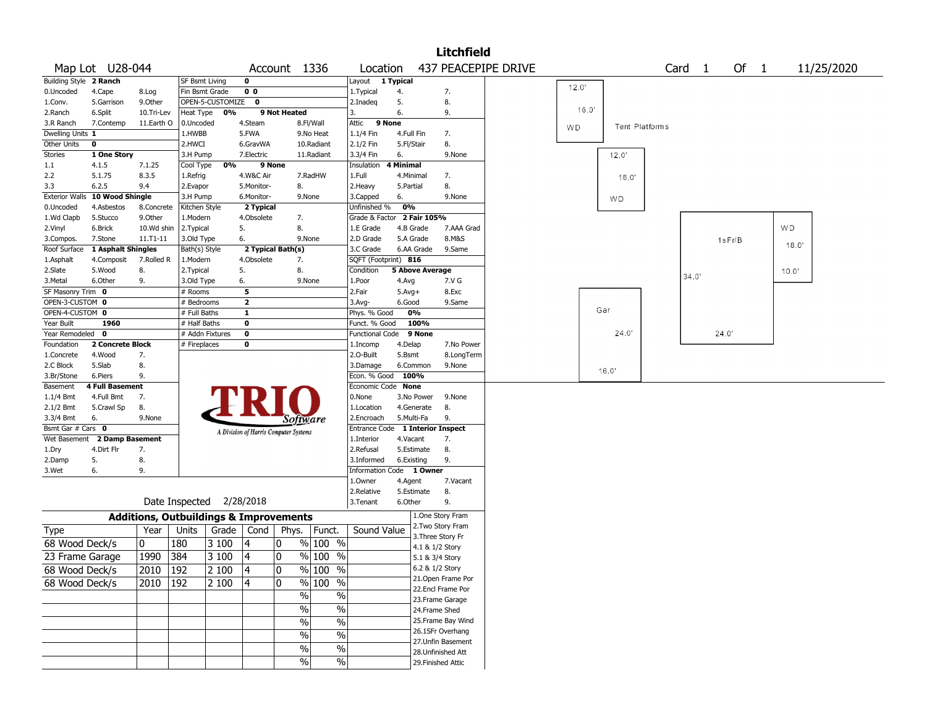|                        |                                 |                                                   |                          |                    |                |                                       |                          |                          |            |                        | <b>Litchfield</b>  |                     |       |                |                   |        |        |       |            |
|------------------------|---------------------------------|---------------------------------------------------|--------------------------|--------------------|----------------|---------------------------------------|--------------------------|--------------------------|------------|------------------------|--------------------|---------------------|-------|----------------|-------------------|--------|--------|-------|------------|
|                        | Map Lot U28-044                 |                                                   |                          |                    |                | Account 1336                          |                          | Location                 |            |                        |                    | 437 PEACEPIPE DRIVE |       |                | Card <sub>1</sub> |        | Of $1$ |       | 11/25/2020 |
| Building Style 2 Ranch |                                 |                                                   | <b>SF Bsmt Living</b>    |                    | 0              |                                       |                          | Layout 1 Typical         |            |                        |                    |                     |       |                |                   |        |        |       |            |
| 0.Uncoded              | 4.Cape                          | 8.Log                                             | Fin Bsmt Grade           |                    | 0 <sub>0</sub> |                                       |                          | 1. Typical               | 4.         |                        | 7.                 |                     | 12.0' |                |                   |        |        |       |            |
| 1.Conv.                | 5.Garrison                      | 9.0ther                                           |                          | OPEN-5-CUSTOMIZE 0 |                |                                       |                          | 2.Inadeg                 | 5.         |                        | 8.                 |                     |       |                |                   |        |        |       |            |
| 2.Ranch                | 6.Split                         | 10.Tri-Lev                                        | Heat Type                | 0%                 |                | 9 Not Heated                          |                          | 3.                       | 6.         |                        | 9.                 |                     | 16.0' |                |                   |        |        |       |            |
| 3.R Ranch              | 7.Contemp                       | 11.Earth O                                        | 0.Uncoded                |                    | 4.Steam        |                                       | 8.Fl/Wall                | 9 None<br>Attic          |            |                        |                    |                     | WD    | Tent Platforms |                   |        |        |       |            |
| Dwelling Units 1       |                                 |                                                   | 1.HWBB                   |                    | 5.FWA          |                                       | 9.No Heat                | 1.1/4 Fin                | 4.Full Fin |                        | 7.                 |                     |       |                |                   |        |        |       |            |
| Other Units            | 0                               |                                                   | 2.HWCI                   |                    | 6.GravWA       |                                       | 10.Radiant               | 2.1/2 Fin                | 5.Fl/Stair |                        | 8.                 |                     |       |                |                   |        |        |       |            |
| <b>Stories</b>         | 1 One Story                     |                                                   | 3.H Pump                 |                    | 7.Electric     |                                       | 11.Radiant               | 3.3/4 Fin                | 6.         |                        | 9.None             |                     |       | 12.0'          |                   |        |        |       |            |
| $1.1\,$                | 4.1.5                           | 7.1.25                                            | Cool Type                | 0%                 |                | 9 None                                |                          | Insulation               | 4 Minimal  |                        |                    |                     |       |                |                   |        |        |       |            |
| 2.2                    | 5.1.75                          | 8.3.5                                             | 1.Refrig                 |                    | 4.W&C Air      |                                       | 7.RadHW                  | 1.Full                   | 4.Minimal  |                        | 7.                 |                     |       | 16.0'          |                   |        |        |       |            |
| 3.3                    | 6.2.5                           | 9.4                                               | 2.Evapor                 |                    | 5.Monitor-     | 8.                                    |                          | 2. Heavy                 | 5.Partial  |                        | 8.                 |                     |       |                |                   |        |        |       |            |
| <b>Exterior Walls</b>  | 10 Wood Shingle                 |                                                   | 3.H Pump                 |                    | 6.Monitor-     |                                       | 9.None                   | 3.Capped                 | 6.         |                        | 9.None             |                     |       | WD.            |                   |        |        |       |            |
| 0.Uncoded              | 4.Asbestos                      | 8.Concrete                                        | Kitchen Style            |                    | 2 Typical      |                                       |                          | Unfinished %             | 0%         |                        |                    |                     |       |                |                   |        |        |       |            |
| 1.Wd Clapb             | 5.Stucco                        | 9.0ther                                           | 1.Modern                 |                    | 4.Obsolete     | 7.                                    |                          | Grade & Factor           |            | 2 Fair 105%            |                    |                     |       |                |                   |        |        |       |            |
| 2.Vinyl                | 6.Brick                         | 10.Wd shin                                        | 2.Typical                |                    | 5.             | 8.                                    |                          | 1.E Grade                | 4.B Grade  |                        | 7.AAA Grad         |                     |       |                |                   |        |        | WD.   |            |
| 3.Compos.              | 7.Stone                         | $11.71 - 11$                                      | 3.Old Type               |                    | 6.             |                                       | 9.None                   | 2.D Grade                | 5.A Grade  |                        | 8.M&S              |                     |       |                |                   | 1sFr/B |        |       |            |
|                        | Roof Surface 1 Asphalt Shingles |                                                   | Bath(s) Style            |                    |                | 2 Typical Bath(s)                     |                          | 3.C Grade                |            | 6.AA Grade             | 9.Same             |                     |       |                |                   |        |        | 18.0' |            |
| 1.Asphalt              | 4.Composit                      | 7.Rolled R                                        | 1.Modern                 |                    | 4.Obsolete     | 7.                                    |                          | SQFT (Footprint) 816     |            |                        |                    |                     |       |                |                   |        |        |       |            |
| 2.Slate                | 5.Wood                          | 8.                                                | 2. Typical               |                    | 5.             | 8.                                    |                          | Condition                |            | <b>5 Above Average</b> |                    |                     |       |                |                   |        |        | 10.0" |            |
| 3. Metal               | 6.Other                         | 9.                                                | 3.Old Type               |                    | 6.             |                                       | 9.None                   | 1.Poor                   | 4.Avg      |                        | 7.V G              |                     |       |                | 34.0'             |        |        |       |            |
| SF Masonry Trim 0      |                                 |                                                   | # Rooms                  |                    | 5              |                                       |                          | 2.Fair                   | $5.Avg+$   |                        | 8.Exc              |                     |       |                |                   |        |        |       |            |
| OPEN-3-CUSTOM 0        |                                 |                                                   | # Bedrooms               |                    | $\mathbf{2}$   |                                       |                          | 3.Avg-                   | 6.Good     |                        | 9.Same             |                     |       |                |                   |        |        |       |            |
| OPEN-4-CUSTOM 0        |                                 |                                                   | # Full Baths             |                    | $\mathbf{1}$   |                                       |                          | Phys. % Good             | 0%         |                        |                    |                     |       | Gar            |                   |        |        |       |            |
| Year Built             | 1960                            |                                                   | # Half Baths             |                    | 0              |                                       |                          | Funct. % Good            |            | 100%                   |                    |                     |       |                |                   |        |        |       |            |
| Year Remodeled 0       |                                 |                                                   | # Addn Fixtures          |                    | $\mathbf 0$    |                                       |                          | <b>Functional Code</b>   |            | 9 None                 |                    |                     |       | 24.0'          |                   | 24.0'  |        |       |            |
| Foundation             | 2 Concrete Block                |                                                   | # Fireplaces             |                    | 0              |                                       |                          | 1.Incomp                 | 4.Delap    |                        | 7.No Power         |                     |       |                |                   |        |        |       |            |
| 1.Concrete             | 4.Wood                          | 7.                                                |                          |                    |                |                                       |                          | 2.0-Built                | 5.Bsmt     |                        | 8.LongTerm         |                     |       |                |                   |        |        |       |            |
| 2.C Block              | 5.Slab                          | 8.                                                |                          |                    |                |                                       |                          | 3.Damage                 | 6.Common   |                        | 9.None             |                     |       |                |                   |        |        |       |            |
| 3.Br/Stone             | 6.Piers                         | 9.                                                |                          |                    |                |                                       |                          | Econ. % Good             | 100%       |                        |                    |                     |       | 16.0'          |                   |        |        |       |            |
| Basement               | <b>4 Full Basement</b>          |                                                   |                          |                    |                |                                       |                          | Economic Code None       |            |                        |                    |                     |       |                |                   |        |        |       |            |
| $1.1/4$ Bmt            | 4.Full Bmt                      | 7.                                                |                          |                    |                |                                       |                          | 0.None                   |            | 3.No Power             | 9.None             |                     |       |                |                   |        |        |       |            |
| 2.1/2 Bmt              | 5.Crawl Sp                      | 8.                                                |                          |                    |                |                                       |                          | 1.Location               |            | 4.Generate             | 8.                 |                     |       |                |                   |        |        |       |            |
| 3.3/4 Bmt              | 6.                              | 9.None                                            |                          |                    |                | Software                              |                          | 2.Encroach               | 5.Multi-Fa |                        | 9.                 |                     |       |                |                   |        |        |       |            |
| Bsmt Gar # Cars 0      |                                 |                                                   |                          |                    |                | A Division of Harris Computer Systems |                          | Entrance Code            |            |                        | 1 Interior Inspect |                     |       |                |                   |        |        |       |            |
| Wet Basement           | 2 Damp Basement                 |                                                   |                          |                    |                |                                       |                          | 1.Interior               | 4.Vacant   |                        | 7.                 |                     |       |                |                   |        |        |       |            |
| 1.Dry                  | 4.Dirt Flr                      | 7.                                                |                          |                    |                |                                       |                          | 2.Refusal                | 5.Estimate |                        | 8.                 |                     |       |                |                   |        |        |       |            |
| 2.Damp                 | 5.                              | 8.                                                |                          |                    |                |                                       |                          | 3.Informed               | 6.Existing |                        | 9.                 |                     |       |                |                   |        |        |       |            |
| 3.Wet                  | 6.                              | 9.                                                |                          |                    |                |                                       |                          | Information Code 1 Owner |            |                        |                    |                     |       |                |                   |        |        |       |            |
|                        |                                 |                                                   |                          |                    |                |                                       |                          | 1.0wner                  | 4.Agent    |                        | 7.Vacant           |                     |       |                |                   |        |        |       |            |
|                        |                                 |                                                   |                          |                    |                |                                       |                          | 2.Relative               | 5.Estimate |                        | 8.                 |                     |       |                |                   |        |        |       |            |
|                        |                                 |                                                   | Date Inspected 2/28/2018 |                    |                |                                       |                          | 3.Tenant                 | 6.Other    |                        | 9.                 |                     |       |                |                   |        |        |       |            |
|                        |                                 | <b>Additions, Outbuildings &amp; Improvements</b> |                          |                    |                |                                       |                          |                          |            |                        | 1.One Story Fram   |                     |       |                |                   |        |        |       |            |
|                        |                                 |                                                   |                          |                    |                |                                       |                          |                          |            |                        | 2. Two Story Fram  |                     |       |                |                   |        |        |       |            |
| Type                   |                                 | Year                                              | Units                    |                    | Grade   Cond   | Phys.                                 | Funct.                   | Sound Value              |            | 3. Three Story Fr      |                    |                     |       |                |                   |        |        |       |            |
| 68 Wood Deck/s         |                                 | 0                                                 | 180                      | 3 100              | 4              | 0                                     | $%100$ %                 |                          |            | 4.1 & 1/2 Story        |                    |                     |       |                |                   |        |        |       |            |
| 23 Frame Garage        |                                 | 1990                                              | 384                      | 3 100              | 4              | 0                                     | $%100$ %                 |                          |            | 5.1 & 3/4 Story        |                    |                     |       |                |                   |        |        |       |            |
| 68 Wood Deck/s         |                                 | 2010                                              | 192                      | 2 100              | 4              | 0                                     | % 100 %                  |                          |            | 6.2 & 1/2 Story        |                    |                     |       |                |                   |        |        |       |            |
|                        |                                 |                                                   |                          |                    |                |                                       |                          |                          |            |                        | 21. Open Frame Por |                     |       |                |                   |        |        |       |            |
| 68 Wood Deck/s         |                                 | 2010                                              | 192                      | 2 100              | 14             | 0                                     | % 100 %                  |                          |            |                        | 22.Encl Frame Por  |                     |       |                |                   |        |        |       |            |
|                        |                                 |                                                   |                          |                    |                | $\sqrt{2}$                            | %                        |                          |            |                        | 23. Frame Garage   |                     |       |                |                   |        |        |       |            |
|                        |                                 |                                                   |                          |                    |                | $\sqrt{6}$                            | $\overline{\frac{0}{0}}$ |                          |            | 24.Frame Shed          |                    |                     |       |                |                   |        |        |       |            |
|                        |                                 |                                                   |                          |                    |                | %                                     | $\%$                     |                          |            |                        | 25. Frame Bay Wind |                     |       |                |                   |        |        |       |            |
|                        |                                 |                                                   |                          |                    |                |                                       |                          |                          |            |                        | 26.1SFr Overhang   |                     |       |                |                   |        |        |       |            |
|                        |                                 |                                                   |                          |                    |                | $\sqrt{6}$                            | $\%$                     |                          |            |                        | 27. Unfin Basement |                     |       |                |                   |        |        |       |            |
|                        |                                 |                                                   |                          |                    |                | %                                     | $\%$                     |                          |            |                        | 28. Unfinished Att |                     |       |                |                   |        |        |       |            |
|                        |                                 |                                                   |                          |                    |                | %                                     | %                        |                          |            |                        | 29. Finished Attic |                     |       |                |                   |        |        |       |            |
|                        |                                 |                                                   |                          |                    |                |                                       |                          |                          |            |                        |                    |                     |       |                |                   |        |        |       |            |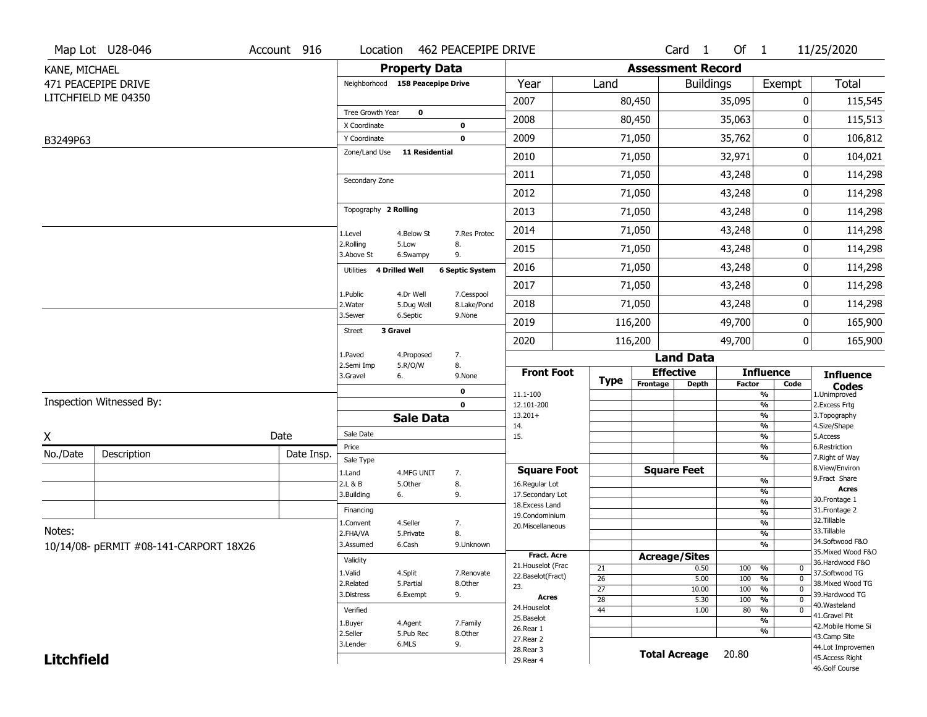|                   | Map Lot U28-046                        | Account 916 | Location                     |                                  | 462 PEACEPIPE DRIVE       |                                   |                       |                          | Card <sub>1</sub>    | Of $1$        |                                 | 11/25/2020                          |
|-------------------|----------------------------------------|-------------|------------------------------|----------------------------------|---------------------------|-----------------------------------|-----------------------|--------------------------|----------------------|---------------|---------------------------------|-------------------------------------|
| KANE, MICHAEL     |                                        |             |                              | <b>Property Data</b>             |                           |                                   |                       | <b>Assessment Record</b> |                      |               |                                 |                                     |
|                   | 471 PEACEPIPE DRIVE                    |             |                              | Neighborhood 158 Peacepipe Drive |                           | Year                              | Land                  |                          | <b>Buildings</b>     |               | Exempt                          | <b>Total</b>                        |
|                   | LITCHFIELD ME 04350                    |             |                              |                                  |                           | 2007                              |                       | 80,450                   |                      | 35,095        | 0                               | 115,545                             |
|                   |                                        |             | Tree Growth Year             | 0                                |                           | 2008                              |                       | 80,450                   |                      | 35,063        | 0                               | 115,513                             |
|                   |                                        |             | X Coordinate<br>Y Coordinate |                                  | $\bf{0}$<br>0             | 2009                              |                       | 71,050                   |                      | 35,762        | 0                               | 106,812                             |
| B3249P63          |                                        |             | Zone/Land Use                | <b>11 Residential</b>            |                           |                                   |                       |                          |                      |               |                                 |                                     |
|                   |                                        |             |                              |                                  |                           | 2010                              |                       | 71,050                   |                      | 32,971        | 0                               | 104,021                             |
|                   |                                        |             | Secondary Zone               |                                  |                           | 2011                              |                       | 71,050                   |                      | 43,248        | 0                               | 114,298                             |
|                   |                                        |             |                              |                                  |                           | 2012                              |                       | 71,050                   |                      | 43,248        | 0                               | 114,298                             |
|                   |                                        |             | Topography 2 Rolling         |                                  |                           | 2013                              |                       | 71,050                   |                      | 43,248        | 0                               | 114,298                             |
|                   |                                        |             | 1.Level                      | 4.Below St                       | 7.Res Protec              | 2014                              |                       | 71,050                   |                      | 43,248        | 0                               | 114,298                             |
|                   |                                        |             | 2.Rolling<br>3.Above St      | 5.Low<br>6.Swampy                | 8.<br>9.                  | 2015                              |                       | 71,050                   |                      | 43,248        | 0                               | 114,298                             |
|                   |                                        |             | Utilities                    | <b>4 Drilled Well</b>            | <b>6 Septic System</b>    | 2016                              |                       | 71,050                   |                      | 43,248        | 0                               | 114,298                             |
|                   |                                        |             |                              |                                  |                           | 2017                              |                       | 71,050                   |                      | 43,248        | 0                               | 114,298                             |
|                   |                                        |             | 1.Public<br>2. Water         | 4.Dr Well<br>5.Dug Well          | 7.Cesspool<br>8.Lake/Pond | 2018                              |                       | 71,050                   |                      | 43,248        | 0                               | 114,298                             |
|                   |                                        |             | 3.Sewer                      | 6.Septic                         | 9.None                    | 2019                              |                       | 116,200                  |                      | 49,700        | 0                               | 165,900                             |
|                   |                                        |             | <b>Street</b>                | 3 Gravel                         |                           | 2020                              |                       | 116,200                  |                      | 49,700        | 0                               | 165,900                             |
|                   |                                        |             | 1.Paved                      | 4.Proposed                       | 7.                        |                                   |                       |                          | <b>Land Data</b>     |               |                                 |                                     |
|                   |                                        |             | 2.Semi Imp<br>3.Gravel       | 5.R/O/W<br>6.                    | 8.<br>9.None              | <b>Front Foot</b>                 |                       |                          | <b>Effective</b>     |               | <b>Influence</b>                | <b>Influence</b>                    |
|                   |                                        |             |                              |                                  | 0                         | 11.1-100                          | <b>Type</b>           | Frontage                 | <b>Depth</b>         | <b>Factor</b> | Code<br>%                       | <b>Codes</b><br>1.Unimproved        |
|                   | Inspection Witnessed By:               |             |                              |                                  | $\mathbf 0$               | 12.101-200                        |                       |                          |                      |               | $\frac{9}{6}$                   | 2.Excess Frtg                       |
|                   |                                        |             |                              | <b>Sale Data</b>                 |                           | $13.201+$<br>14.                  |                       |                          |                      |               | %<br>%                          | 3. Topography<br>4.Size/Shape       |
| χ                 |                                        | Date        | Sale Date                    |                                  |                           | 15.                               |                       |                          |                      |               | %                               | 5.Access                            |
| No./Date          | Description                            | Date Insp.  | Price                        |                                  |                           |                                   |                       |                          |                      |               | %<br>%                          | 6.Restriction<br>7. Right of Way    |
|                   |                                        |             | Sale Type<br>1.Land          | 4.MFG UNIT                       | 7.                        | <b>Square Foot</b>                |                       |                          | <b>Square Feet</b>   |               |                                 | 8.View/Environ                      |
|                   |                                        |             | 2.L & B                      | 5.Other                          | 8.                        | 16.Regular Lot                    |                       |                          |                      |               | $\frac{9}{6}$                   | 9.Fract Share<br><b>Acres</b>       |
|                   |                                        |             | 3.Building                   | 6.                               | 9.                        | 17.Secondary Lot                  |                       |                          |                      |               | %<br>$\frac{9}{6}$              | 30. Frontage 1                      |
|                   |                                        |             | Financing                    |                                  |                           | 18.Excess Land<br>19.Condominium  |                       |                          |                      |               | $\frac{9}{6}$                   | 31. Frontage 2                      |
|                   |                                        |             | 1.Convent                    | 4.Seller                         | 7.                        | 20.Miscellaneous                  |                       |                          |                      |               | $\frac{9}{6}$                   | 32. Tillable                        |
| Notes:            |                                        |             | 2.FHA/VA                     | 5.Private                        | 8.                        |                                   |                       |                          |                      |               | $\frac{9}{6}$                   | 33.Tillable<br>34.Softwood F&O      |
|                   | 10/14/08- pERMIT #08-141-CARPORT 18X26 |             | 3.Assumed                    | 6.Cash                           | 9.Unknown                 |                                   |                       |                          |                      |               | %                               | 35. Mixed Wood F&O                  |
|                   |                                        |             | Validity                     |                                  |                           | Fract. Acre<br>21. Houselot (Frac |                       |                          | <b>Acreage/Sites</b> |               |                                 | 36.Hardwood F&O                     |
|                   |                                        |             | 1.Valid                      | 4.Split                          | 7.Renovate                | 22.Baselot(Fract)                 | 21<br>$\overline{26}$ |                          | 0.50<br>5.00         | 100<br>100    | %<br>0<br>$\overline{0}$<br>%   | 37.Softwood TG                      |
|                   |                                        |             | 2.Related                    | 5.Partial                        | 8.Other                   | 23.                               | $\overline{27}$       |                          | 10.00                | 100           | $\frac{9}{6}$<br>$\overline{0}$ | 38. Mixed Wood TG                   |
|                   |                                        |             |                              | 6.Exempt                         | 9.                        | Acres                             | $\overline{28}$       |                          | 5.30                 | 100           | $\frac{9}{6}$<br>$\overline{0}$ | 39.Hardwood TG                      |
|                   |                                        |             | Verified                     |                                  |                           | 24. Houselot                      | 44                    |                          | 1.00                 | 80            | $\frac{9}{6}$<br>$\mathbf 0$    | 40. Wasteland                       |
|                   |                                        |             | 1.Buyer                      | 4.Agent                          | 7.Family                  | 25.Baselot                        |                       |                          |                      |               | $\overline{\frac{9}{6}}$        | 41.Gravel Pit<br>42. Mobile Home Si |
|                   |                                        |             | 2.Seller                     | 5.Pub Rec                        | 8.Other                   | 26.Rear 1                         |                       |                          |                      |               | %                               | 43.Camp Site                        |
|                   |                                        |             | 3.Lender                     | 6.MLS                            | 9.                        | 27.Rear 2<br>28. Rear 3           |                       |                          |                      |               |                                 | 44.Lot Improvemen                   |
| <b>Litchfield</b> |                                        |             |                              |                                  |                           | 29. Rear 4                        |                       |                          | <b>Total Acreage</b> | 20.80         |                                 | 45.Access Right                     |
|                   |                                        |             |                              |                                  |                           |                                   |                       |                          |                      |               |                                 | 46.Golf Course                      |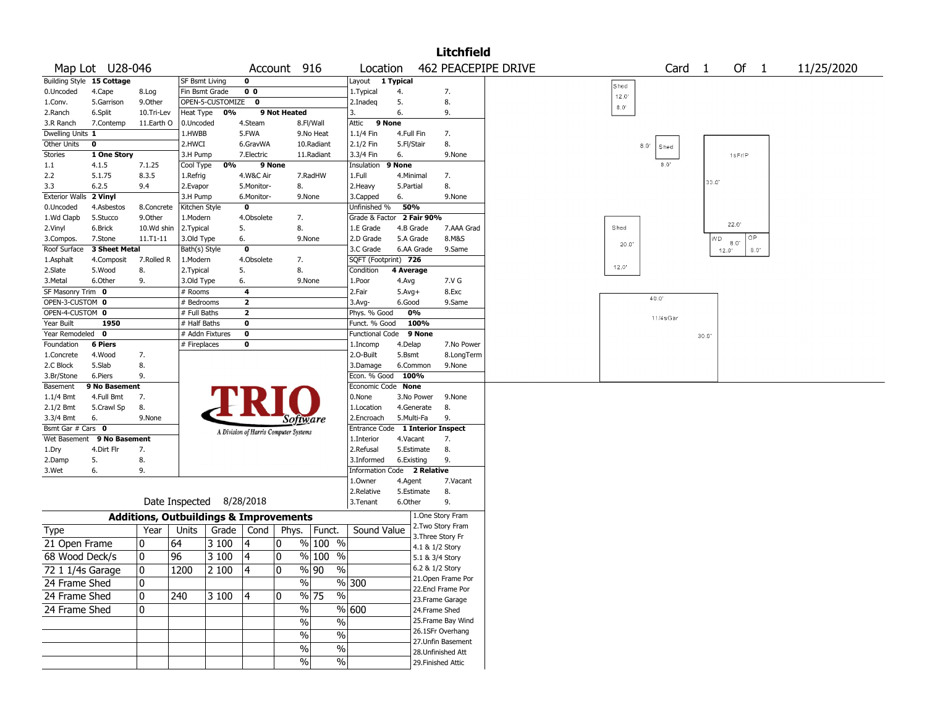|                        |                           |                                                   |                      |                          |                         |                                       |                           |                                  |                     |                 | <b>Litchfield</b>                      |                     |             |                     |       |                                |            |
|------------------------|---------------------------|---------------------------------------------------|----------------------|--------------------------|-------------------------|---------------------------------------|---------------------------|----------------------------------|---------------------|-----------------|----------------------------------------|---------------------|-------------|---------------------|-------|--------------------------------|------------|
|                        | Map Lot U28-046           |                                                   |                      |                          |                         | Account 916                           |                           | Location                         |                     |                 |                                        | 462 PEACEPIPE DRIVE |             | Card 1              |       | Of<br>$\overline{1}$           | 11/25/2020 |
|                        | Building Style 15 Cottage |                                                   | SF Bsmt Living       |                          | 0                       |                                       |                           | Layout                           | 1 Typical           |                 |                                        |                     | Shed        |                     |       |                                |            |
| 0.Uncoded              | 4.Cape                    | 8.Log                                             | Fin Bsmt Grade       |                          | 0 <sub>0</sub>          |                                       |                           | 1.Typical                        | 4.                  |                 | 7.                                     |                     | 12.0        |                     |       |                                |            |
| 1.Conv.                | 5.Garrison                | 9.0ther                                           |                      | OPEN-5-CUSTOMIZE 0       |                         |                                       |                           | 2.Inadeg                         | 5.                  |                 | 8.                                     |                     | $8.0^\circ$ |                     |       |                                |            |
| 2.Ranch                | 6.Split                   | 10.Tri-Lev                                        | Heat Type            | 0%                       |                         | 9 Not Heated                          |                           | 3.                               | 6.                  |                 | 9.                                     |                     |             |                     |       |                                |            |
| 3.R Ranch              | 7.Contemp                 | 11.Earth O                                        | 0.Uncoded            |                          | 4.Steam                 |                                       | 8.Fl/Wall                 | 9 None<br>Attic                  |                     |                 |                                        |                     |             |                     |       |                                |            |
| Dwelling Units 1       |                           |                                                   | 1.HWBB               |                          | 5.FWA                   |                                       | 9.No Heat                 | 1.1/4 Fin                        | 4.Full Fin          |                 | 7.                                     |                     |             |                     |       |                                |            |
| Other Units            | $\mathbf{o}$              |                                                   | 2.HWCI               |                          | 6.GravWA                |                                       | 10.Radiant                | 2.1/2 Fin                        | 5.Fl/Stair          |                 | 8.                                     |                     |             | $8.0^\circ$<br>Shed |       |                                |            |
| Stories                | 1 One Story               |                                                   | 3.H Pump             |                          | 7.Electric              |                                       | 11.Radiant                | 3.3/4 Fin                        | 6.                  |                 | 9.None                                 |                     |             | 8.0'                |       | $1s$ Fr/P                      |            |
| $1.1\,$<br>2.2         | 4.1.5<br>5.1.75           | 7.1.25<br>8.3.5                                   | Cool Type            | 0%                       |                         | 9 None                                | 7.RadHW                   | Insulation<br>1.Full             | 9 None<br>4.Minimal |                 | 7.                                     |                     |             |                     |       |                                |            |
| 3.3                    | 6.2.5                     | 9.4                                               | 1.Refrig<br>2.Evapor |                          | 4.W&C Air<br>5.Monitor- | 8.                                    |                           | 2.Heavy                          | 5.Partial           |                 | 8.                                     |                     |             |                     | 33.0' |                                |            |
| Exterior Walls 2 Vinyl |                           |                                                   | 3.H Pump             |                          | 6.Monitor-              |                                       | 9.None                    | 3.Capped                         | 6.                  |                 | 9.None                                 |                     |             |                     |       |                                |            |
| 0.Uncoded              | 4.Asbestos                | 8.Concrete                                        | Kitchen Style        |                          | 0                       |                                       |                           | Unfinished %                     | 50%                 |                 |                                        |                     |             |                     |       |                                |            |
| 1.Wd Clapb             | 5.Stucco                  | 9.0ther                                           | 1.Modern             |                          | 4.Obsolete              | 7.                                    |                           | Grade & Factor 2 Fair 90%        |                     |                 |                                        |                     |             |                     |       |                                |            |
| 2.Vinyl                | 6.Brick                   | 10.Wd shin                                        | 2.Typical            |                          | 5.                      | 8.                                    |                           | 1.E Grade                        | 4.B Grade           |                 | 7.AAA Grad                             |                     | Shed        |                     |       | 22.0'                          |            |
| 3.Compos.              | 7.Stone                   | 11.T1-11                                          | 3.Old Type           |                          | 6.                      |                                       | 9.None                    | 2.D Grade                        | 5.A Grade           |                 | 8.M&S                                  |                     |             |                     | WD.   | OP.                            |            |
| Roof Surface           | 3 Sheet Metal             |                                                   | Bath(s) Style        |                          | 0                       |                                       |                           | 3.C Grade                        |                     | 6.AA Grade      | 9.Same                                 |                     | 20.0        |                     |       | $8.0^{\circ}$<br>8.0"<br>12.0' |            |
| 1.Asphalt              | 4.Composit                | 7.Rolled R                                        | 1.Modern             |                          | 4.Obsolete              | 7.                                    |                           | SQFT (Footprint) 726             |                     |                 |                                        |                     |             |                     |       |                                |            |
| 2.Slate                | 5.Wood                    | 8.                                                | 2. Typical           |                          | 5.                      | 8.                                    |                           | Condition                        | 4 Average           |                 |                                        |                     | 12.0'       |                     |       |                                |            |
| 3.Metal                | 6.Other                   | 9.                                                | 3.Old Type           |                          | 6.                      |                                       | 9.None                    | 1.Poor                           | 4.Avg               |                 | 7.V G                                  |                     |             |                     |       |                                |            |
| SF Masonry Trim 0      |                           |                                                   | # Rooms              |                          | 4                       |                                       |                           | 2.Fair                           | $5.$ Avg $+$        |                 | 8.Exc                                  |                     |             |                     |       |                                |            |
| OPEN-3-CUSTOM 0        |                           |                                                   | # Bedrooms           |                          | $\mathbf{2}$            |                                       |                           | 3.Avg-                           | 6.Good              |                 | 9.Same                                 |                     |             | 40.0'               |       |                                |            |
| OPEN-4-CUSTOM 0        |                           |                                                   | # Full Baths         |                          | $\overline{\mathbf{2}}$ |                                       |                           | Phys. % Good                     |                     | 0%              |                                        |                     |             | $11/4s$ Gar         |       |                                |            |
| Year Built             | 1950                      |                                                   | # Half Baths         |                          | 0                       |                                       |                           | Funct. % Good                    |                     | 100%            |                                        |                     |             |                     |       |                                |            |
| Year Remodeled 0       |                           |                                                   |                      | # Addn Fixtures          | 0                       |                                       |                           | <b>Functional Code</b>           |                     | 9 None          |                                        |                     |             |                     | 30.0  |                                |            |
| Foundation             | <b>6 Piers</b>            |                                                   | # Fireplaces         |                          | 0                       |                                       |                           | 1.Incomp                         | 4.Delap             |                 | 7.No Power                             |                     |             |                     |       |                                |            |
| 1.Concrete             | 4.Wood                    | 7.                                                |                      |                          |                         |                                       |                           | 2.O-Built                        | 5.Bsmt              |                 | 8.LongTerm                             |                     |             |                     |       |                                |            |
| 2.C Block              | 5.Slab                    | 8.                                                |                      |                          |                         |                                       |                           | 3.Damage                         |                     | 6.Common        | 9.None                                 |                     |             |                     |       |                                |            |
| 3.Br/Stone             | 6.Piers                   | 9.                                                |                      |                          |                         |                                       |                           | Econ. % Good 100%                |                     |                 |                                        |                     |             |                     |       |                                |            |
| Basement               | 9 No Basement             |                                                   |                      |                          |                         |                                       |                           | Economic Code None               |                     |                 |                                        |                     |             |                     |       |                                |            |
| $1.1/4$ Bmt            | 4.Full Bmt                | 7.                                                |                      |                          |                         |                                       |                           | 0.None                           |                     | 3.No Power      | 9.None                                 |                     |             |                     |       |                                |            |
| 2.1/2 Bmt<br>3.3/4 Bmt | 5.Crawl Sp<br>6.          | 8.<br>9.None                                      |                      |                          |                         |                                       |                           | 1.Location<br>2.Encroach         | 5.Multi-Fa          | 4.Generate      | 8.<br>9.                               |                     |             |                     |       |                                |            |
| Bsmt Gar # Cars 0      |                           |                                                   |                      |                          |                         | Software                              |                           | Entrance Code 1 Interior Inspect |                     |                 |                                        |                     |             |                     |       |                                |            |
| Wet Basement           | 9 No Basement             |                                                   |                      |                          |                         | A Division of Harris Computer Systems |                           | 1.Interior                       | 4.Vacant            |                 | 7.                                     |                     |             |                     |       |                                |            |
| 1.Dry                  | 4.Dirt Flr                | 7.                                                |                      |                          |                         |                                       |                           | 2.Refusal                        |                     | 5.Estimate      | 8.                                     |                     |             |                     |       |                                |            |
| 2.Damp                 | 5.                        | 8.                                                |                      |                          |                         |                                       |                           | 3.Informed                       | 6.Existing          |                 | 9.                                     |                     |             |                     |       |                                |            |
| 3.Wet                  | 6.                        | 9.                                                |                      |                          |                         |                                       |                           | Information Code 2 Relative      |                     |                 |                                        |                     |             |                     |       |                                |            |
|                        |                           |                                                   |                      |                          |                         |                                       |                           | 1.Owner                          | 4.Agent             |                 | 7.Vacant                               |                     |             |                     |       |                                |            |
|                        |                           |                                                   |                      |                          |                         |                                       |                           | 2.Relative                       |                     | 5.Estimate      | 8.                                     |                     |             |                     |       |                                |            |
|                        |                           |                                                   |                      | Date Inspected 8/28/2018 |                         |                                       |                           | 3.Tenant                         | 6.Other             |                 | 9.                                     |                     |             |                     |       |                                |            |
|                        |                           | <b>Additions, Outbuildings &amp; Improvements</b> |                      |                          |                         |                                       |                           |                                  |                     |                 | 1.One Story Fram                       |                     |             |                     |       |                                |            |
| Type                   |                           | Year                                              | Units                | Grade                    | Cond                    |                                       | Phys.   Funct.            | Sound Value                      |                     |                 | 2.Two Story Fram                       |                     |             |                     |       |                                |            |
| 21 Open Frame          |                           | 0                                                 | 64                   | 3 100                    | 14                      | 0                                     | $%100$ %                  |                                  |                     |                 | 3. Three Story Fr                      |                     |             |                     |       |                                |            |
|                        |                           |                                                   |                      |                          |                         |                                       |                           |                                  |                     | 4.1 & 1/2 Story |                                        |                     |             |                     |       |                                |            |
| 68 Wood Deck/s         |                           | 0                                                 | 96                   | 3 100                    | 4                       | 0                                     | $%100$ %                  |                                  |                     | 5.1 & 3/4 Story |                                        |                     |             |                     |       |                                |            |
| 72 1 1/4s Garage       |                           | 0                                                 | 1200                 | 2 100                    | 4                       | 0                                     | $\sqrt{90}$<br>$\sqrt{6}$ |                                  |                     | 6.2 & 1/2 Story |                                        |                     |             |                     |       |                                |            |
| 24 Frame Shed          |                           | 0                                                 |                      |                          |                         | $\%$                                  |                           | % 300                            |                     |                 | 21.Open Frame Por                      |                     |             |                     |       |                                |            |
| 24 Frame Shed          |                           | 0                                                 | 240                  | 3 100                    | 14                      | 0                                     | % 75<br>%                 |                                  |                     |                 | 22.Encl Frame Por                      |                     |             |                     |       |                                |            |
| 24 Frame Shed          |                           | 0                                                 |                      |                          |                         | $\%$                                  |                           | % 600                            |                     |                 | 23. Frame Garage                       |                     |             |                     |       |                                |            |
|                        |                           |                                                   |                      |                          |                         |                                       |                           |                                  |                     | 24.Frame Shed   |                                        |                     |             |                     |       |                                |            |
|                        |                           |                                                   |                      |                          |                         | $\sqrt{6}$                            | $\%$                      |                                  |                     |                 | 25. Frame Bay Wind<br>26.1SFr Overhang |                     |             |                     |       |                                |            |
|                        |                           |                                                   |                      |                          |                         | $\%$                                  | $\%$                      |                                  |                     |                 | 27.Unfin Basement                      |                     |             |                     |       |                                |            |
|                        |                           |                                                   |                      |                          |                         | $\sqrt{6}$                            | $\sqrt{6}$                |                                  |                     |                 | 28. Unfinished Att                     |                     |             |                     |       |                                |            |
|                        |                           |                                                   |                      |                          |                         | $\%$                                  | %                         |                                  |                     |                 | 29. Finished Attic                     |                     |             |                     |       |                                |            |
|                        |                           |                                                   |                      |                          |                         |                                       |                           |                                  |                     |                 |                                        |                     |             |                     |       |                                |            |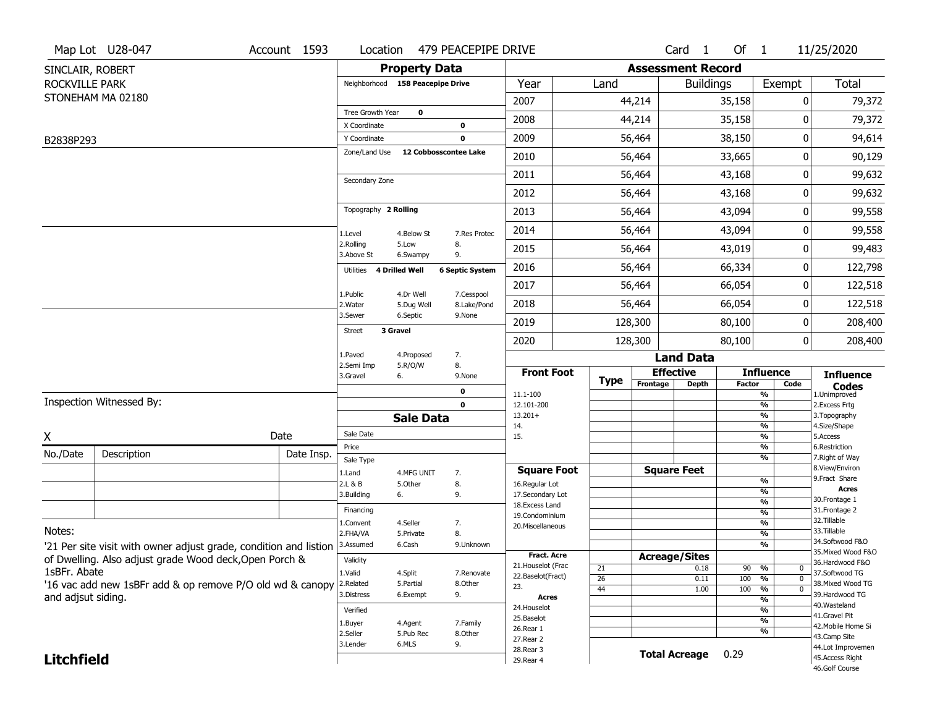|                   | Map Lot U28-047                                                   | Account 1593 | Location                     |                                  | 479 PEACEPIPE DRIVE    |                                    |                 |                          | Card <sub>1</sub>    | Of $1$        |                          | 11/25/2020                           |
|-------------------|-------------------------------------------------------------------|--------------|------------------------------|----------------------------------|------------------------|------------------------------------|-----------------|--------------------------|----------------------|---------------|--------------------------|--------------------------------------|
| SINCLAIR, ROBERT  |                                                                   |              |                              | <b>Property Data</b>             |                        |                                    |                 | <b>Assessment Record</b> |                      |               |                          |                                      |
| ROCKVILLE PARK    |                                                                   |              |                              | Neighborhood 158 Peacepipe Drive |                        | Year                               | Land            |                          | <b>Buildings</b>     |               | Exempt                   | <b>Total</b>                         |
|                   | STONEHAM MA 02180                                                 |              |                              |                                  |                        | 2007                               |                 | 44,214                   |                      | 35,158        | 0                        | 79,372                               |
|                   |                                                                   |              | Tree Growth Year             | 0                                |                        | 2008                               |                 | 44,214                   |                      | 35,158        | 0                        | 79,372                               |
|                   |                                                                   |              | X Coordinate<br>Y Coordinate |                                  | 0<br>$\mathbf 0$       | 2009                               |                 | 56,464                   |                      | 38,150        | 0                        | 94,614                               |
| B2838P293         |                                                                   |              | Zone/Land Use                | 12 Cobbosscontee Lake            |                        | 2010                               |                 | 56,464                   |                      | 33,665        | 0                        | 90,129                               |
|                   |                                                                   |              |                              |                                  |                        |                                    |                 |                          |                      |               | 0                        |                                      |
|                   |                                                                   |              | Secondary Zone               |                                  |                        | 2011                               |                 | 56,464                   |                      | 43,168        |                          | 99,632                               |
|                   |                                                                   |              |                              |                                  |                        | 2012                               |                 | 56,464                   |                      | 43,168        | 0                        | 99,632                               |
|                   |                                                                   |              | Topography 2 Rolling         |                                  |                        | 2013                               |                 | 56,464                   |                      | 43,094        | 0                        | 99,558                               |
|                   |                                                                   |              | 1.Level                      | 4.Below St                       | 7.Res Protec           | 2014                               |                 | 56,464                   |                      | 43,094        | 0                        | 99,558                               |
|                   |                                                                   |              | 2.Rolling<br>3.Above St      | 5.Low<br>6.Swampy                | 8.<br>9.               | 2015                               |                 | 56,464                   |                      | 43,019        | 0                        | 99,483                               |
|                   |                                                                   |              | Utilities                    | 4 Drilled Well                   | <b>6 Septic System</b> | 2016                               |                 | 56,464                   |                      | 66,334        | 0                        | 122,798                              |
|                   |                                                                   |              | 1.Public                     | 4.Dr Well                        | 7.Cesspool             | 2017                               |                 | 56,464                   |                      | 66,054        | 0                        | 122,518                              |
|                   |                                                                   |              | 2. Water                     | 5.Dug Well                       | 8.Lake/Pond            | 2018                               |                 | 56,464                   |                      | 66,054        | 0                        | 122,518                              |
|                   |                                                                   |              | 3.Sewer                      | 6.Septic<br>3 Gravel             | 9.None                 | 2019                               |                 | 128,300                  |                      | 80,100        | 0                        | 208,400                              |
|                   |                                                                   |              | Street                       |                                  |                        | 2020                               |                 | 128,300                  |                      | 80,100        | 0                        | 208,400                              |
|                   |                                                                   |              | 1.Paved<br>2.Semi Imp        | 4.Proposed                       | 7.<br>8.               |                                    |                 |                          | <b>Land Data</b>     |               |                          |                                      |
|                   |                                                                   |              | 3.Gravel                     | 5.R/O/W<br>6.                    | 9.None                 | <b>Front Foot</b>                  | <b>Type</b>     |                          | <b>Effective</b>     |               | <b>Influence</b>         | <b>Influence</b>                     |
|                   |                                                                   |              |                              |                                  | 0                      | 11.1-100                           |                 | Frontage                 | <b>Depth</b>         | <b>Factor</b> | Code<br>%                | <b>Codes</b><br>1.Unimproved         |
|                   | Inspection Witnessed By:                                          |              |                              |                                  | $\mathbf 0$            | 12.101-200<br>$13.201+$            |                 |                          |                      |               | %<br>%                   | 2.Excess Frtg                        |
|                   |                                                                   |              |                              | <b>Sale Data</b>                 |                        | 14.                                |                 |                          |                      |               | %                        | 3. Topography<br>4.Size/Shape        |
| X                 |                                                                   | Date         | Sale Date                    |                                  |                        | 15.                                |                 |                          |                      |               | %<br>%                   | 5.Access<br>6.Restriction            |
| No./Date          | Description                                                       | Date Insp.   | Price<br>Sale Type           |                                  |                        |                                    |                 |                          |                      |               | %                        | 7. Right of Way                      |
|                   |                                                                   |              | 1.Land                       | 4.MFG UNIT                       | 7.                     | <b>Square Foot</b>                 |                 |                          | <b>Square Feet</b>   |               |                          | 8.View/Environ                       |
|                   |                                                                   |              | 2.L & B                      | 5.Other                          | 8.                     | 16.Regular Lot                     |                 |                          |                      |               | $\frac{9}{6}$<br>%       | 9. Fract Share<br><b>Acres</b>       |
|                   |                                                                   |              | 3.Building                   | 6.                               | 9.                     | 17.Secondary Lot<br>18.Excess Land |                 |                          |                      |               | $\frac{9}{6}$            | 30. Frontage 1                       |
|                   |                                                                   |              | Financing                    |                                  |                        | 19.Condominium                     |                 |                          |                      |               | $\overline{\frac{9}{6}}$ | 31. Frontage 2                       |
| Notes:            |                                                                   |              | 1.Convent                    | 4.Seller                         | 7.                     | 20.Miscellaneous                   |                 |                          |                      |               | $\frac{9}{6}$            | 32. Tillable<br>33.Tillable          |
|                   |                                                                   |              | 2.FHA/VA<br>3.Assumed        | 5.Private<br>6.Cash              | 8.<br>9.Unknown        |                                    |                 |                          |                      |               | $\frac{9}{6}$<br>%       | 34.Softwood F&O                      |
|                   | '21 Per site visit with owner adjust grade, condition and listion |              |                              |                                  |                        | Fract. Acre                        |                 |                          | <b>Acreage/Sites</b> |               |                          | 35. Mixed Wood F&O                   |
|                   | of Dwelling. Also adjust grade Wood deck, Open Porch &            |              | Validity                     |                                  |                        | 21. Houselot (Frac                 | 21              |                          | 0.18                 | 90            | %<br>0                   | 36.Hardwood F&O                      |
|                   | 1sBFr. Abate                                                      |              | 1.Valid                      | 4.Split                          | 7.Renovate             | 22.Baselot(Fract)                  | $\overline{26}$ |                          | 0.11                 | 100           | %<br>$\mathbf 0$         | 37.Softwood TG                       |
|                   | '16 vac add new 1sBFr add & op remove P/O old wd & canopy         |              | 2.Related<br>3.Distress      | 5.Partial<br>6.Exempt            | 8.Other<br>9.          | 23.                                | 44              |                          | 1.00                 | 100           | %<br>$\mathbf 0$         | 38. Mixed Wood TG<br>39.Hardwood TG  |
|                   | and adjsut siding.                                                |              |                              |                                  |                        | <b>Acres</b>                       |                 |                          |                      |               | %                        | 40. Wasteland                        |
|                   |                                                                   |              | Verified                     |                                  |                        | 24. Houselot<br>25.Baselot         |                 |                          |                      |               | %                        | 41.Gravel Pit                        |
|                   |                                                                   |              | 1.Buyer                      | 4.Agent                          | 7.Family               | 26.Rear 1                          |                 |                          |                      |               | %<br>%                   | 42. Mobile Home Si                   |
|                   |                                                                   |              | 2.Seller                     | 5.Pub Rec                        | 8.Other                |                                    |                 |                          |                      |               |                          | 43.Camp Site                         |
|                   |                                                                   |              |                              |                                  |                        | 27. Rear 2                         |                 |                          |                      |               |                          |                                      |
| <b>Litchfield</b> |                                                                   |              | 3.Lender                     | 6.MLS                            | 9.                     | 28. Rear 3<br>29. Rear 4           |                 |                          | <b>Total Acreage</b> | 0.29          |                          | 44.Lot Improvemen<br>45.Access Right |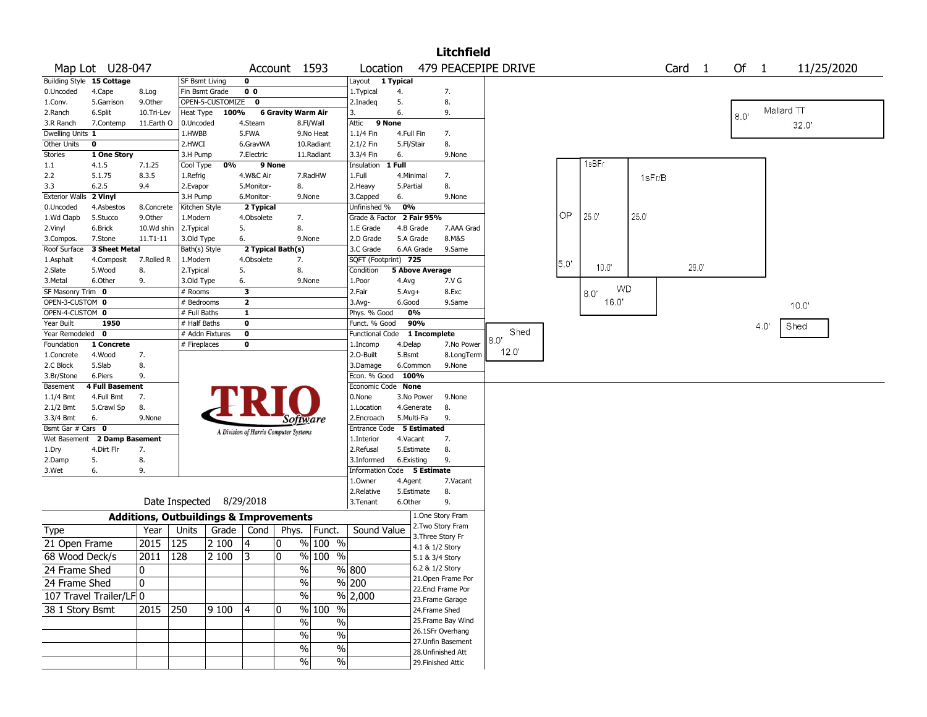|                       |                           |               |                                                   |                    |                |                                       |                |                      |                              | <b>Litchfield</b>                      |             |      |            |        |                   |        |      |            |
|-----------------------|---------------------------|---------------|---------------------------------------------------|--------------------|----------------|---------------------------------------|----------------|----------------------|------------------------------|----------------------------------------|-------------|------|------------|--------|-------------------|--------|------|------------|
|                       | Map Lot U28-047           |               |                                                   |                    |                | Account 1593                          |                | Location             |                              | 479 PEACEPIPE DRIVE                    |             |      |            |        | Card <sub>1</sub> | Of $1$ |      | 11/25/2020 |
|                       | Building Style 15 Cottage |               | SF Bsmt Living                                    |                    | 0              |                                       |                | Layout               | 1 Typical                    |                                        |             |      |            |        |                   |        |      |            |
| 0.Uncoded             | 4.Cape                    | 8.Log         | Fin Bsmt Grade                                    |                    | 0 <sub>0</sub> |                                       |                | 1.Typical            | 4.                           | 7.                                     |             |      |            |        |                   |        |      |            |
| 1.Conv.               | 5.Garrison                | 9.0ther       |                                                   | OPEN-5-CUSTOMIZE 0 |                |                                       |                | 2.Inadeg             | 5.                           | 8.                                     |             |      |            |        |                   |        |      |            |
| 2.Ranch               | 6.Split                   | 10.Tri-Lev    | Heat Type                                         | 100%               |                | <b>6 Gravity Warm Air</b>             |                |                      | 6.                           | 9.                                     |             |      |            |        |                   | 8.0'   |      | Mallard TT |
| 3.R Ranch             | 7.Contemp                 | 11.Earth O    | 0.Uncoded                                         |                    | 4.Steam        |                                       | 8.Fl/Wall      | Attic                | 9 None                       |                                        |             |      |            |        |                   |        |      | 32.0'      |
| Dwelling Units 1      |                           |               | 1.HWBB                                            |                    | 5.FWA          |                                       | 9.No Heat      | 1.1/4 Fin            | 4.Full Fin                   | 7.                                     |             |      |            |        |                   |        |      |            |
| Other Units           | $\pmb{0}$                 |               | 2.HWCI                                            |                    | 6.GravWA       |                                       | 10.Radiant     | 2.1/2 Fin            | 5.Fl/Stair                   | 8.                                     |             |      |            |        |                   |        |      |            |
| <b>Stories</b>        | 1 One Story               |               | 3.H Pump                                          |                    | 7.Electric     |                                       | 11.Radiant     | 3.3/4 Fin            | 6.                           | 9.None                                 |             |      |            |        |                   |        |      |            |
| $1.1\,$               | 4.1.5                     | 7.1.25        | Cool Type                                         | 0%                 |                | 9 None                                |                | Insulation           | 1 Full                       |                                        |             |      | 1sBFr      |        |                   |        |      |            |
| 2.2                   | 5.1.75                    | 8.3.5         | 1.Refrig                                          |                    | 4.W&C Air      |                                       | 7.RadHW        | 1.Full               | 4.Minimal                    | 7.                                     |             |      |            | 1sFr/B |                   |        |      |            |
| 3.3                   | 6.2.5                     | 9.4           | 2.Evapor                                          |                    | 5.Monitor-     | 8.                                    |                | 2.Heavy              | 5.Partial                    | 8.                                     |             |      |            |        |                   |        |      |            |
| <b>Exterior Walls</b> | 2 Vinyl                   |               | 3.H Pump                                          |                    | 6.Monitor-     |                                       | 9.None         | 3.Capped             | 6.                           | 9.None                                 |             |      |            |        |                   |        |      |            |
| 0.Uncoded             | 4.Asbestos                | 8.Concrete    | Kitchen Style                                     |                    | 2 Typical      |                                       |                | Unfinished %         | 0%                           |                                        |             |      |            |        |                   |        |      |            |
| 1.Wd Clapb            | 5.Stucco                  | 9.Other       | 1.Modern                                          |                    | 4.Obsolete     | 7.                                    |                |                      | Grade & Factor 2 Fair 95%    |                                        |             | OP.  | 25.0       | 25.0   |                   |        |      |            |
| 2.Vinyl               | 6.Brick                   | 10.Wd shin    | 2. Typical                                        |                    | 5.             | 8.                                    |                | 1.E Grade            | 4.B Grade                    | 7.AAA Grad                             |             |      |            |        |                   |        |      |            |
| 3.Compos.             | 7.Stone                   | $11. T1 - 11$ | 3.Old Type                                        |                    | 6.             |                                       | 9.None         | 2.D Grade            | 5.A Grade                    | 8.M&S                                  |             |      |            |        |                   |        |      |            |
| Roof Surface          | 3 Sheet Metal             |               | Bath(s) Style                                     |                    |                | 2 Typical Bath(s)                     |                | 3.C Grade            | 6.AA Grade                   | 9.Same                                 |             |      |            |        |                   |        |      |            |
| 1.Asphalt             | 4.Composit                | 7.Rolled R    | 1.Modern                                          |                    | 4.Obsolete     | 7.                                    |                | SQFT (Footprint) 725 |                              |                                        |             | 5.0' |            |        |                   |        |      |            |
| 2.Slate               | 5.Wood                    | 8.            | 2. Typical                                        |                    | 5.             | 8.                                    |                | Condition            | <b>5 Above Average</b>       |                                        |             |      | 10.0'      |        | 29.0              |        |      |            |
| 3.Metal               | 6.Other                   | 9.            | 3.Old Type                                        |                    | 6.             |                                       | 9.None         | 1.Poor               | 4.Avg                        | 7.V G                                  |             |      |            |        |                   |        |      |            |
| SF Masonry Trim 0     |                           |               | # Rooms                                           |                    | 3              |                                       |                | 2.Fair               | $5.Avg+$                     | 8.Exc                                  |             |      | WD<br>8.0' |        |                   |        |      |            |
| OPEN-3-CUSTOM 0       |                           |               | # Bedrooms                                        |                    | $\mathbf{2}$   |                                       |                | 3.Avg-               | 6.Good                       | 9.Same                                 |             |      | 16.0'      |        |                   |        |      | 10.0'      |
| OPEN-4-CUSTOM 0       |                           |               | # Full Baths                                      |                    | 1              |                                       |                | Phys. % Good         | 0%                           |                                        |             |      |            |        |                   |        |      |            |
| Year Built            | 1950                      |               | # Half Baths                                      |                    | 0              |                                       |                | Funct. % Good        | 90%                          |                                        |             |      |            |        |                   |        | 4.0' | Shed       |
| Year Remodeled        | $\mathbf{o}$              |               |                                                   | # Addn Fixtures    | 0              |                                       |                |                      | Functional Code 1 Incomplete |                                        | Shed<br>8.0 |      |            |        |                   |        |      |            |
| Foundation            | 1 Concrete                |               | # Fireplaces                                      |                    | 0              |                                       |                | 1.Incomp             | 4.Delap                      | 7.No Power                             |             |      |            |        |                   |        |      |            |
| 1.Concrete            | 4.Wood                    | 7.            |                                                   |                    |                |                                       |                | 2.O-Built            | 5.Bsmt                       | 8.LongTerm                             | 12.0"       |      |            |        |                   |        |      |            |
| 2.C Block             | 5.Slab                    | 8.            |                                                   |                    |                |                                       |                | 3.Damage             | 6.Common                     | 9.None                                 |             |      |            |        |                   |        |      |            |
| 3.Br/Stone            | 6.Piers                   | 9.            |                                                   |                    |                |                                       |                | Econ. % Good         | 100%                         |                                        |             |      |            |        |                   |        |      |            |
| Basement              | <b>4 Full Basement</b>    |               |                                                   |                    |                |                                       |                | Economic Code None   |                              |                                        |             |      |            |        |                   |        |      |            |
| 1.1/4 Bmt             | 4.Full Bmt                | 7.            |                                                   |                    |                |                                       |                | 0.None               | 3.No Power                   | 9.None                                 |             |      |            |        |                   |        |      |            |
| 2.1/2 Bmt             | 5.Crawl Sp                | 8.            |                                                   |                    |                |                                       |                | 1.Location           | 4.Generate                   | 8.                                     |             |      |            |        |                   |        |      |            |
| 3.3/4 Bmt             | 6.                        | 9.None        |                                                   |                    |                | Software                              |                | 2.Encroach           | 5.Multi-Fa                   | 9.                                     |             |      |            |        |                   |        |      |            |
| Bsmt Gar # Cars 0     |                           |               |                                                   |                    |                | A Division of Harris Computer Systems |                |                      | Entrance Code 5 Estimated    |                                        |             |      |            |        |                   |        |      |            |
| Wet Basement          | 2 Damp Basement           |               |                                                   |                    |                |                                       |                | 1.Interior           | 4.Vacant                     | 7.                                     |             |      |            |        |                   |        |      |            |
| 1.Dry                 | 4.Dirt Flr                | 7.            |                                                   |                    |                |                                       |                | 2.Refusal            | 5.Estimate                   | 8.                                     |             |      |            |        |                   |        |      |            |
| 2.Damp                | 5.                        | 8.            |                                                   |                    |                |                                       |                | 3.Informed           | 6.Existing                   | 9.                                     |             |      |            |        |                   |        |      |            |
| 3.Wet                 | 6.                        | 9.            |                                                   |                    |                |                                       |                |                      | Information Code 5 Estimate  |                                        |             |      |            |        |                   |        |      |            |
|                       |                           |               |                                                   |                    |                |                                       |                | 1.Owner              | 4.Agent                      | 7.Vacant                               |             |      |            |        |                   |        |      |            |
|                       |                           |               |                                                   |                    |                |                                       |                | 2.Relative           | 5.Estimate                   | 8.                                     |             |      |            |        |                   |        |      |            |
|                       |                           |               | Date Inspected 8/29/2018                          |                    |                |                                       |                | 3.Tenant             | 6.Other                      | 9.                                     |             |      |            |        |                   |        |      |            |
|                       |                           |               | <b>Additions, Outbuildings &amp; Improvements</b> |                    |                |                                       |                |                      |                              | 1.One Story Fram                       |             |      |            |        |                   |        |      |            |
| Type                  |                           | Year          | Units                                             | Grade              | Cond           |                                       | Phys.   Funct. | Sound Value          |                              | 2. Two Story Fram                      |             |      |            |        |                   |        |      |            |
| 21 Open Frame         |                           | 2015          | 125                                               | 2 100              | 4              | 0                                     | $%100$ %       |                      |                              | 3. Three Story Fr                      |             |      |            |        |                   |        |      |            |
|                       |                           |               |                                                   | 2 100              | 3              | 0                                     | $%100$ %       |                      |                              | 4.1 & 1/2 Story                        |             |      |            |        |                   |        |      |            |
| 68 Wood Deck/s        |                           | 2011          | 128                                               |                    |                |                                       |                |                      |                              | 5.1 & 3/4 Story                        |             |      |            |        |                   |        |      |            |
| 24 Frame Shed         |                           | 0             |                                                   |                    |                | $\%$                                  |                | % 800                |                              | 6.2 & 1/2 Story                        |             |      |            |        |                   |        |      |            |
| 24 Frame Shed         |                           | 10            |                                                   |                    |                | $\%$                                  |                | $\sqrt{8}$ 200       |                              | 21.Open Frame Por                      |             |      |            |        |                   |        |      |            |
|                       | 107 Travel Trailer/LF0    |               |                                                   |                    |                | $\sqrt{6}$                            |                | $\frac{9}{6}$ 2,000  |                              | 22.Encl Frame Por                      |             |      |            |        |                   |        |      |            |
| 38 1 Story Bsmt       |                           | $2015$ 250    |                                                   | 9 100              |                | 10                                    | % 100<br>$\%$  |                      |                              | 23. Frame Garage                       |             |      |            |        |                   |        |      |            |
|                       |                           |               |                                                   |                    | 4              |                                       |                |                      |                              | 24.Frame Shed                          |             |      |            |        |                   |        |      |            |
|                       |                           |               |                                                   |                    |                | $\sqrt{6}$                            | $\%$           |                      |                              | 25. Frame Bay Wind                     |             |      |            |        |                   |        |      |            |
|                       |                           |               |                                                   |                    |                | $\sqrt{6}$                            | $\frac{1}{2}$  |                      |                              | 26.1SFr Overhang                       |             |      |            |        |                   |        |      |            |
|                       |                           |               |                                                   |                    |                | $\sqrt{6}$                            | $\frac{1}{2}$  |                      |                              | 27.Unfin Basement<br>28.Unfinished Att |             |      |            |        |                   |        |      |            |
|                       |                           |               |                                                   |                    |                | $\sqrt{6}$                            | $\sqrt{6}$     |                      |                              | 29. Finished Attic                     |             |      |            |        |                   |        |      |            |
|                       |                           |               |                                                   |                    |                |                                       |                |                      |                              |                                        |             |      |            |        |                   |        |      |            |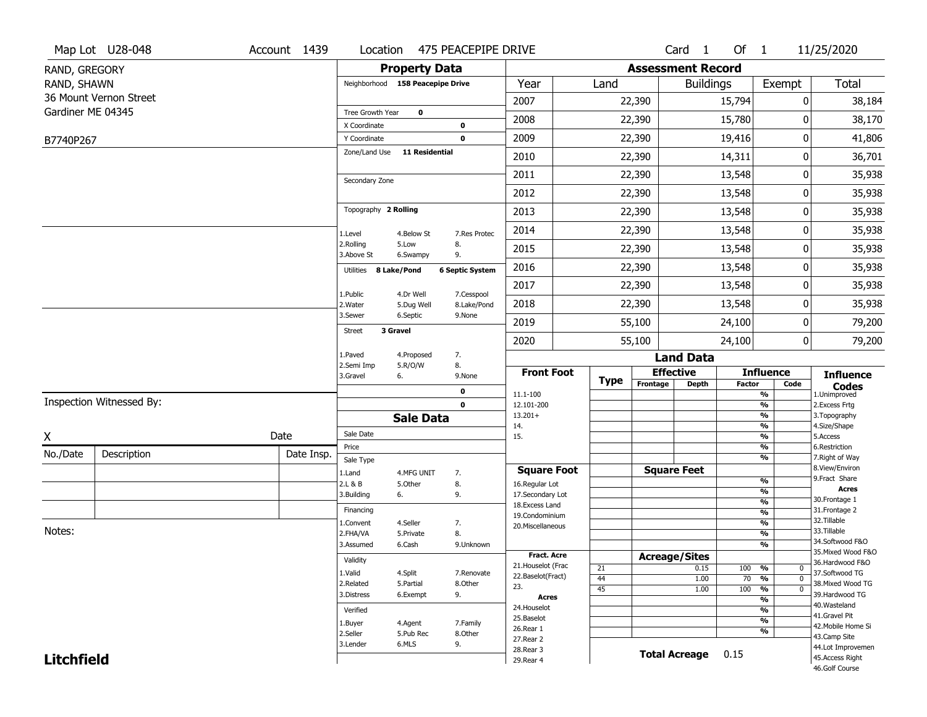|                   | Map Lot U28-048          | Account 1439 | Location                         |                       | 475 PEACEPIPE DRIVE    |                                    |                 |             | Card <sub>1</sub>        | Of $1$           |                                                      | 11/25/2020                           |
|-------------------|--------------------------|--------------|----------------------------------|-----------------------|------------------------|------------------------------------|-----------------|-------------|--------------------------|------------------|------------------------------------------------------|--------------------------------------|
| RAND, GREGORY     |                          |              |                                  | <b>Property Data</b>  |                        |                                    |                 |             | <b>Assessment Record</b> |                  |                                                      |                                      |
| RAND, SHAWN       |                          |              | Neighborhood 158 Peacepipe Drive |                       |                        | Year                               | Land            |             |                          | <b>Buildings</b> | Exempt                                               | Total                                |
|                   | 36 Mount Vernon Street   |              |                                  |                       |                        | 2007                               |                 | 22,390      |                          | 15,794           | 0                                                    | 38,184                               |
| Gardiner ME 04345 |                          |              | Tree Growth Year                 | 0                     |                        | 2008                               |                 | 22,390      |                          | 15,780           | O                                                    | 38,170                               |
|                   |                          |              | X Coordinate<br>Y Coordinate     |                       | 0<br>$\mathbf 0$       | 2009                               |                 | 22,390      |                          | 19,416           | 0                                                    | 41,806                               |
| B7740P267         |                          |              | Zone/Land Use                    | <b>11 Residential</b> |                        |                                    |                 |             |                          |                  |                                                      |                                      |
|                   |                          |              |                                  |                       |                        | 2010                               |                 | 22,390      |                          | 14,311           | 0                                                    | 36,701                               |
|                   |                          |              | Secondary Zone                   |                       |                        | 2011                               |                 | 22,390      |                          | 13,548           | 0                                                    | 35,938                               |
|                   |                          |              |                                  |                       |                        | 2012                               |                 | 22,390      |                          | 13,548           | 0                                                    | 35,938                               |
|                   |                          |              | Topography 2 Rolling             |                       |                        | 2013                               |                 | 22,390      |                          | 13,548           | 0                                                    | 35,938                               |
|                   |                          |              | 1.Level                          | 4.Below St            | 7.Res Protec           | 2014                               |                 | 22,390      |                          | 13,548           | 0                                                    | 35,938                               |
|                   |                          |              | 2.Rolling<br>3.Above St          | 5.Low<br>6.Swampy     | 8.<br>9.               | 2015                               |                 | 22,390      |                          | 13,548           | 0                                                    | 35,938                               |
|                   |                          |              | 8 Lake/Pond<br>Utilities         |                       | <b>6 Septic System</b> | 2016                               |                 | 22,390      |                          | 13,548           | 0                                                    | 35,938                               |
|                   |                          |              | 1.Public                         | 4.Dr Well             | 7.Cesspool             | 2017                               |                 | 22,390      |                          | 13,548           | 0                                                    | 35,938                               |
|                   |                          |              | 2. Water                         | 5.Dug Well            | 8.Lake/Pond            | 2018                               |                 | 22,390      |                          | 13,548           | 0                                                    | 35,938                               |
|                   |                          |              | 3.Sewer                          | 6.Septic              | 9.None                 | 2019                               |                 | 55,100      |                          | 24,100           | 0                                                    | 79,200                               |
|                   |                          |              | 3 Gravel<br><b>Street</b>        |                       |                        | 2020                               |                 | 55,100      |                          | 24,100           | 0                                                    | 79,200                               |
|                   |                          |              | 1.Paved                          | 4.Proposed            | 7.                     |                                    |                 |             | <b>Land Data</b>         |                  |                                                      |                                      |
|                   |                          |              | 2.Semi Imp<br>3.Gravel<br>6.     | 5.R/O/W               | 8.<br>9.None           | <b>Front Foot</b>                  |                 | <b>Type</b> | <b>Effective</b>         |                  | <b>Influence</b>                                     | <b>Influence</b>                     |
|                   |                          |              |                                  |                       | 0                      | 11.1-100                           |                 |             | Frontage<br>Depth        | Factor           | Code<br>$\overline{\frac{9}{6}}$                     | <b>Codes</b><br>1.Unimproved         |
|                   | Inspection Witnessed By: |              |                                  |                       | $\mathbf 0$            | 12.101-200                         |                 |             |                          |                  | $\overline{\frac{9}{6}}$                             | 2. Excess Frtg                       |
|                   |                          |              |                                  | <b>Sale Data</b>      |                        | $13.201+$<br>14.                   |                 |             |                          |                  | $\overline{\frac{9}{6}}$<br>$\frac{9}{6}$            | 3. Topography<br>4.Size/Shape        |
| X                 |                          | Date         | Sale Date                        |                       |                        | 15.                                |                 |             |                          |                  | $\overline{\frac{9}{6}}$                             | 5.Access                             |
| No./Date          | Description              | Date Insp.   | Price<br>Sale Type               |                       |                        |                                    |                 |             |                          |                  | %<br>$\overline{\frac{9}{6}}$                        | 6.Restriction<br>7. Right of Way     |
|                   |                          |              | 1.Land                           | 4.MFG UNIT            | 7.                     | <b>Square Foot</b>                 |                 |             | <b>Square Feet</b>       |                  |                                                      | 8.View/Environ                       |
|                   |                          |              | 2.L & B                          | 5.0ther               | 8.                     | 16.Regular Lot                     |                 |             |                          |                  | %<br>%                                               | 9.Fract Share<br><b>Acres</b>        |
|                   |                          |              | 3.Building<br>6.                 |                       | 9.                     | 17.Secondary Lot<br>18.Excess Land |                 |             |                          |                  | %                                                    | 30. Frontage 1                       |
|                   |                          |              | Financing                        |                       |                        | 19.Condominium                     |                 |             |                          |                  | $\frac{9}{6}$                                        | 31. Frontage 2<br>32.Tillable        |
| Notes:            |                          |              | 1.Convent<br>2.FHA/VA            | 4.Seller              | 7.<br>8.               | 20.Miscellaneous                   |                 |             |                          |                  | %<br>%                                               | 33.Tillable                          |
|                   |                          |              | 3.Assumed                        | 5.Private<br>6.Cash   | 9.Unknown              |                                    |                 |             |                          |                  | %                                                    | 34.Softwood F&O                      |
|                   |                          |              |                                  |                       |                        | <b>Fract. Acre</b>                 |                 |             | <b>Acreage/Sites</b>     |                  |                                                      | 35. Mixed Wood F&O                   |
|                   |                          |              | Validity<br>1.Valid              |                       |                        | 21. Houselot (Frac                 | 21              |             | 0.15                     | 100              | %<br>0                                               | 36.Hardwood F&O                      |
|                   |                          |              |                                  | 4.Split<br>5.Partial  | 7.Renovate<br>8.Other  | 22.Baselot(Fract)                  | 44              |             | 1.00                     | 70               | $\overline{\mathfrak{o}}$<br>%                       | 37.Softwood TG<br>38. Mixed Wood TG  |
|                   |                          |              |                                  | 6.Exempt              | 9.                     | 23.<br><b>Acres</b>                | $\overline{45}$ |             | 1.00                     | 100              | $\frac{9}{6}$<br>$\overline{0}$                      | 39.Hardwood TG                       |
|                   |                          |              |                                  |                       |                        | 24. Houselot                       |                 |             |                          |                  | $\overline{\frac{9}{6}}$<br>$\overline{\frac{9}{6}}$ | 40. Wasteland                        |
|                   |                          |              | Verified                         |                       |                        | 25.Baselot                         |                 |             |                          |                  | $\overline{\frac{9}{6}}$                             | 41.Gravel Pit                        |
|                   |                          |              | 1.Buyer<br>2.Seller              | 4.Agent<br>5.Pub Rec  | 7.Family<br>8.Other    | 26.Rear 1                          |                 |             |                          |                  | %                                                    | 42. Mobile Home Si<br>43.Camp Site   |
|                   |                          |              |                                  |                       |                        |                                    |                 |             |                          |                  |                                                      |                                      |
|                   |                          |              | 3.Lender                         | 6.MLS                 | 9.                     | 27.Rear 2                          |                 |             |                          |                  |                                                      |                                      |
| <b>Litchfield</b> |                          |              |                                  |                       |                        | 28. Rear 3<br>29. Rear 4           |                 |             | <b>Total Acreage</b>     | 0.15             |                                                      | 44.Lot Improvemen<br>45.Access Right |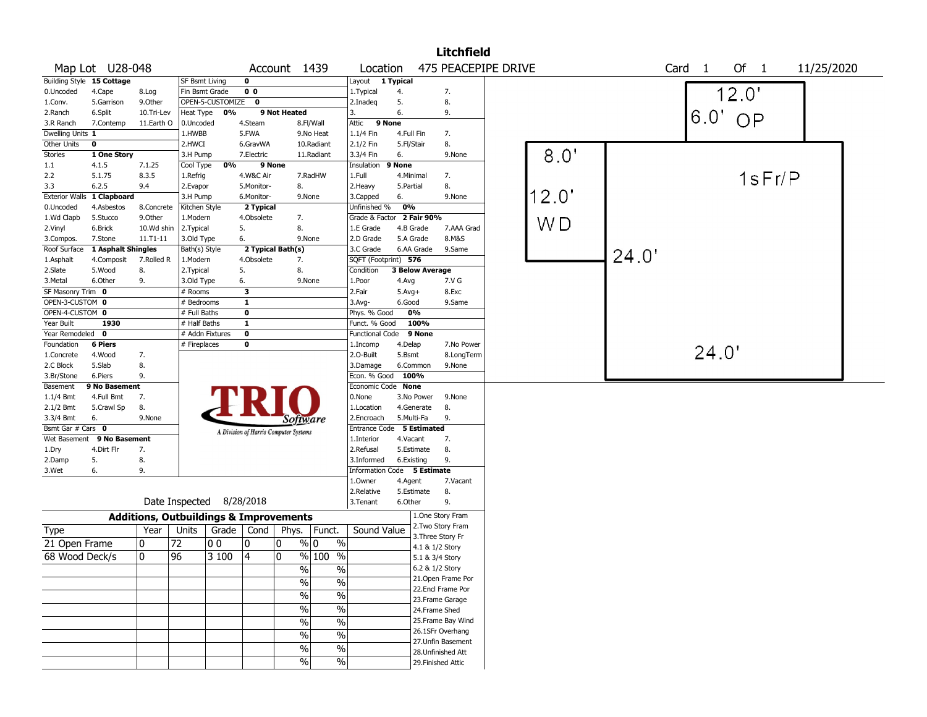|                       |                            |                                                   |                 |                          |                |                                       |                                   |                             |                 | <b>Litchfield</b>   |       |       |                |            |
|-----------------------|----------------------------|---------------------------------------------------|-----------------|--------------------------|----------------|---------------------------------------|-----------------------------------|-----------------------------|-----------------|---------------------|-------|-------|----------------|------------|
|                       | Map Lot U28-048            |                                                   |                 |                          |                | Account 1439                          |                                   | Location                    |                 | 475 PEACEPIPE DRIVE |       |       | Of 1<br>Card 1 | 11/25/2020 |
|                       | Building Style 15 Cottage  |                                                   | SF Bsmt Living  |                          | $\mathbf{o}$   |                                       |                                   | Layout                      | 1 Typical       |                     |       |       |                |            |
| 0.Uncoded             | 4.Cape                     | 8.Log                                             | Fin Bsmt Grade  |                          | 0 <sub>0</sub> |                                       |                                   | 1.Typical                   | 4.              | 7.                  |       |       | 12.0'          |            |
| 1.Conv.               | 5.Garrison                 | 9.0ther                                           |                 | OPEN-5-CUSTOMIZE 0       |                |                                       |                                   | 2.Inadeg                    | 5.              | 8.                  |       |       |                |            |
| 2.Ranch               | 6.Split                    | 10.Tri-Lev                                        | Heat Type       | 0%                       |                | 9 Not Heated                          |                                   | 3.                          | 6.              | 9.                  |       |       | $6.0'$ OP      |            |
| 3.R Ranch             | 7.Contemp                  | 11.Earth O                                        | 0.Uncoded       |                          | 4.Steam        |                                       | 8.Fl/Wall                         | Attic<br>9 None             |                 |                     |       |       |                |            |
| Dwelling Units 1      |                            |                                                   | 1.HWBB          |                          | 5.FWA          |                                       | 9.No Heat                         | 1.1/4 Fin                   | 4.Full Fin      | 7.                  |       |       |                |            |
| Other Units           | $\mathbf 0$                |                                                   | 2.HWCI          |                          | 6.GravWA       |                                       | 10.Radiant                        | 2.1/2 Fin                   | 5.Fl/Stair      | 8.                  |       |       |                |            |
| <b>Stories</b>        | 1 One Story                |                                                   | 3.H Pump        |                          | 7.Electric     |                                       | 11.Radiant                        | 3.3/4 Fin                   | 6.              | 9.None              | 8.0'  |       |                |            |
| 1.1                   | 4.1.5                      | 7.1.25                                            | Cool Type       | 0%                       |                | 9 None                                |                                   | Insulation                  | 9 None          |                     |       |       |                |            |
| 2.2                   | 5.1.75                     | 8.3.5                                             | 1.Refrig        |                          | 4.W&C Air      |                                       | 7.RadHW                           | 1.Full                      | 4.Minimal       | 7.                  |       |       | 1sFr/P         |            |
| 3.3                   | 6.2.5                      | 9.4                                               | 2.Evapor        |                          | 5.Monitor-     | 8.                                    |                                   | 2. Heavy                    | 5.Partial       | 8.                  |       |       |                |            |
| <b>Exterior Walls</b> | 1 Clapboard                |                                                   | 3.H Pump        |                          | 6.Monitor-     |                                       | 9.None                            | 3.Capped                    | 6.              | 9.None              | 12.0" |       |                |            |
| 0.Uncoded             | 4.Asbestos                 | 8.Concrete                                        | Kitchen Style   |                          | 2 Typical      |                                       |                                   | Unfinished %                | 0%              |                     |       |       |                |            |
| 1.Wd Clapb            | 5.Stucco                   | 9.Other                                           | 1.Modern        |                          | 4.Obsolete     | 7.                                    |                                   | Grade & Factor 2 Fair 90%   |                 |                     |       |       |                |            |
| 2.Vinyl               | 6.Brick                    | 10.Wd shin                                        | 2.Typical       |                          | 5.             | 8.                                    |                                   | 1.E Grade                   | 4.B Grade       | 7.AAA Grad          | WD    |       |                |            |
| 3.Compos.             | 7.Stone                    | 11.T1-11                                          | 3.Old Type      |                          | 6.             | 9.None                                |                                   | 2.D Grade                   | 5.A Grade       | 8.M&S               |       |       |                |            |
| Roof Surface          | 1 Asphalt Shingles         |                                                   | Bath(s) Style   |                          |                | 2 Typical Bath(s)                     |                                   | 3.C Grade                   | 6.AA Grade      | 9.Same              |       |       |                |            |
| 1.Asphalt             | 4.Composit                 | 7.Rolled R                                        | 1.Modern        |                          | 4.Obsolete     | 7.                                    |                                   | SQFT (Footprint) 576        |                 |                     |       | 24.0' |                |            |
| 2.Slate               | 5.Wood                     | 8.                                                | 2. Typical      |                          | 5.             | 8.                                    |                                   | Condition                   | 3 Below Average |                     |       |       |                |            |
| 3.Metal               | 6.Other                    | 9.                                                | 3.Old Type      |                          | 6.             | 9.None                                |                                   | 1.Poor                      | 4.Avg           | 7.V G               |       |       |                |            |
| SF Masonry Trim 0     |                            |                                                   | # Rooms         |                          | 3              |                                       |                                   | 2.Fair                      | $5.Avg+$        | 8.Exc               |       |       |                |            |
| OPEN-3-CUSTOM 0       |                            |                                                   | # Bedrooms      |                          | $\mathbf{1}$   |                                       |                                   | 3.Avg-                      | 6.Good          | 9.Same              |       |       |                |            |
| OPEN-4-CUSTOM 0       |                            |                                                   | # Full Baths    |                          | $\mathbf 0$    |                                       |                                   | Phys. % Good                | 0%              |                     |       |       |                |            |
| Year Built            | 1930                       |                                                   | # Half Baths    |                          | $\mathbf{1}$   |                                       |                                   | Funct. % Good               | 100%            |                     |       |       |                |            |
| Year Remodeled        | $\overline{\mathbf{0}}$    |                                                   | # Addn Fixtures |                          | $\mathbf 0$    |                                       |                                   | <b>Functional Code</b>      | 9 None          |                     |       |       |                |            |
| Foundation            | <b>6 Piers</b>             |                                                   | # Fireplaces    |                          | $\mathbf 0$    |                                       |                                   | 1.Incomp                    | 4.Delap         | 7.No Power          |       |       |                |            |
| 1.Concrete            | 4.Wood                     | 7.                                                |                 |                          |                |                                       |                                   | 2.0-Built                   | 5.Bsmt          | 8.LongTerm          |       |       | 24.0'          |            |
| 2.C Block             | 5.Slab                     | 8.                                                |                 |                          |                |                                       |                                   | 3.Damage                    | 6.Common        | 9.None              |       |       |                |            |
| 3.Br/Stone            | 6.Piers                    | 9.                                                |                 |                          |                |                                       |                                   | Econ. % Good                | 100%            |                     |       |       |                |            |
| Basement              | 9 No Basement              |                                                   |                 |                          |                |                                       |                                   | Economic Code None          |                 |                     |       |       |                |            |
| $1.1/4$ Bmt           | 4.Full Bmt                 | 7.                                                |                 |                          |                |                                       |                                   | 0.None                      | 3.No Power      | 9.None              |       |       |                |            |
| $2.1/2$ Bmt           | 5.Crawl Sp                 | 8.                                                |                 |                          |                |                                       |                                   | 1.Location                  | 4.Generate      | 8.                  |       |       |                |            |
| 3.3/4 Bmt             | 6.                         | 9.None                                            |                 |                          |                | Software                              |                                   | 2.Encroach                  | 5.Multi-Fa      | 9.                  |       |       |                |            |
| Bsmt Gar # Cars 0     |                            |                                                   |                 |                          |                | A Division of Harris Computer Systems |                                   | Entrance Code 5 Estimated   |                 |                     |       |       |                |            |
|                       | Wet Basement 9 No Basement |                                                   |                 |                          |                |                                       |                                   | 1.Interior                  | 4.Vacant        | 7.                  |       |       |                |            |
| 1.Dry                 | 4.Dirt Flr                 | 7.                                                |                 |                          |                |                                       |                                   | 2.Refusal                   | 5.Estimate      | 8.                  |       |       |                |            |
| 2.Damp                | 5.                         | 8.                                                |                 |                          |                |                                       |                                   | 3.Informed                  | 6.Existing      | 9.                  |       |       |                |            |
| 3.Wet                 | 6.                         | 9.                                                |                 |                          |                |                                       |                                   | Information Code 5 Estimate |                 |                     |       |       |                |            |
|                       |                            |                                                   |                 |                          |                |                                       |                                   | 1.Owner                     | 4.Agent         | 7.Vacant            |       |       |                |            |
|                       |                            |                                                   |                 |                          |                |                                       |                                   | 2.Relative                  | 5.Estimate      | 8.                  |       |       |                |            |
|                       |                            |                                                   |                 | Date Inspected 8/28/2018 |                |                                       |                                   | 3.Tenant                    | 6.Other         | 9.                  |       |       |                |            |
|                       |                            | <b>Additions, Outbuildings &amp; Improvements</b> |                 |                          |                |                                       |                                   |                             |                 | 1.One Story Fram    |       |       |                |            |
| Type                  |                            | Year                                              | Units           |                          | Grade   Cond   | Phys.                                 | Funct.                            | Sound Value                 |                 | 2. Two Story Fram   |       |       |                |            |
| 21 Open Frame         |                            | 0                                                 | 72              | 00                       | 10             | 0                                     | $\%$ 0<br>$\%$                    |                             |                 | 3. Three Story Fr   |       |       |                |            |
|                       |                            |                                                   |                 |                          |                |                                       |                                   |                             |                 | 4.1 & 1/2 Story     |       |       |                |            |
| 68 Wood Deck/s        |                            | 0                                                 | 96              | 3 100                    | 14             | 0                                     | $\overline{\frac{0}{6}}$<br>% 100 |                             |                 | 5.1 & 3/4 Story     |       |       |                |            |
|                       |                            |                                                   |                 |                          |                | $\frac{1}{2}$                         | $\frac{1}{2}$                     |                             |                 | 6.2 & 1/2 Story     |       |       |                |            |
|                       |                            |                                                   |                 |                          |                | %                                     | $\frac{0}{0}$                     |                             |                 | 21.Open Frame Por   |       |       |                |            |
|                       |                            |                                                   |                 |                          |                | %                                     | $\%$                              |                             |                 | 22.Encl Frame Por   |       |       |                |            |
|                       |                            |                                                   |                 |                          |                |                                       |                                   |                             |                 | 23. Frame Garage    |       |       |                |            |
|                       |                            |                                                   |                 |                          |                | $\sqrt{0}$                            | $\%$                              |                             |                 | 24.Frame Shed       |       |       |                |            |
|                       |                            |                                                   |                 |                          |                | $\sqrt{6}$                            | $\overline{\frac{0}{0}}$          |                             |                 | 25. Frame Bay Wind  |       |       |                |            |
|                       |                            |                                                   |                 |                          |                | $\sqrt{0}$                            | $\overline{\frac{0}{0}}$          |                             |                 | 26.1SFr Overhang    |       |       |                |            |
|                       |                            |                                                   |                 |                          |                | $\frac{1}{2}$                         | $\%$                              |                             |                 | 27.Unfin Basement   |       |       |                |            |
|                       |                            |                                                   |                 |                          |                |                                       |                                   |                             |                 | 28. Unfinished Att  |       |       |                |            |
|                       |                            |                                                   |                 |                          |                | $\frac{1}{2}$                         | $\%$                              |                             |                 | 29. Finished Attic  |       |       |                |            |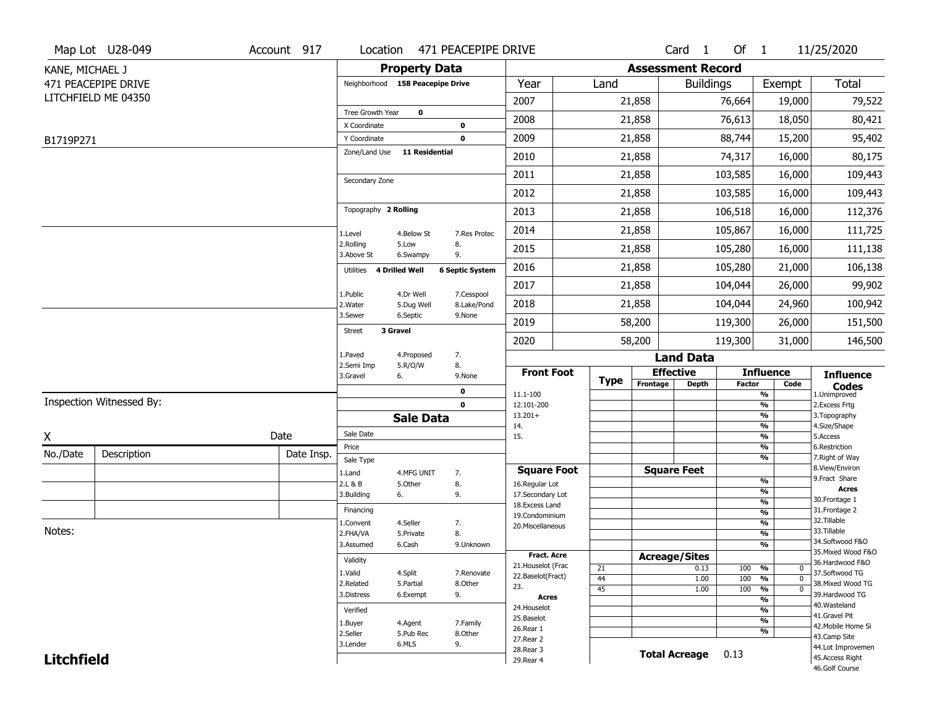|                   | Map Lot U28-049          | Account 917 | Location                         |                            | 471 PEACEPIPE DRIVE       |                                     |             |                          | Card 1               | Of $1$        |                                           | 11/25/2020                           |
|-------------------|--------------------------|-------------|----------------------------------|----------------------------|---------------------------|-------------------------------------|-------------|--------------------------|----------------------|---------------|-------------------------------------------|--------------------------------------|
| KANE, MICHAEL J   |                          |             |                                  | <b>Property Data</b>       |                           |                                     |             | <b>Assessment Record</b> |                      |               |                                           |                                      |
|                   | 471 PEACEPIPE DRIVE      |             | Neighborhood 158 Peacepipe Drive |                            |                           | Year                                | Land        |                          | <b>Buildings</b>     |               | Exempt                                    | Total                                |
|                   | LITCHFIELD ME 04350      |             |                                  |                            |                           | 2007                                |             | 21,858                   |                      | 76,664        | 19,000                                    | 79,522                               |
|                   |                          |             | Tree Growth Year<br>X Coordinate | $\mathbf 0$                | 0                         | 2008                                |             | 21,858                   |                      | 76,613        | 18,050                                    | 80,421                               |
| B1719P271         |                          |             | Y Coordinate                     |                            | $\mathbf 0$               | 2009                                |             | 21,858                   |                      | 88,744        | 15,200                                    | 95,402                               |
|                   |                          |             | Zone/Land Use                    | <b>11 Residential</b>      |                           | 2010                                |             | 21,858                   |                      | 74,317        | 16,000                                    | 80,175                               |
|                   |                          |             |                                  |                            |                           | 2011                                |             | 21,858                   |                      | 103,585       | 16,000                                    | 109,443                              |
|                   |                          |             | Secondary Zone                   |                            |                           | 2012                                |             | 21,858                   |                      | 103,585       | 16,000                                    | 109,443                              |
|                   |                          |             | Topography 2 Rolling             |                            |                           | 2013                                |             | 21,858                   |                      | 106,518       | 16,000                                    | 112,376                              |
|                   |                          |             |                                  |                            |                           | 2014                                |             | 21,858                   |                      | 105,867       | 16,000                                    | 111,725                              |
|                   |                          |             | 1.Level<br>2.Rolling             | 4.Below St<br>5.Low        | 7.Res Protec<br>8.<br>9.  | 2015                                |             | 21,858                   |                      | 105,280       | 16,000                                    | 111,138                              |
|                   |                          |             | 3.Above St<br>Utilities          | 6.Swampy<br>4 Drilled Well | <b>6 Septic System</b>    | 2016                                |             | 21,858                   |                      | 105,280       | 21,000                                    | 106,138                              |
|                   |                          |             |                                  |                            |                           | 2017                                |             | 21,858                   |                      | 104,044       | 26,000                                    | 99,902                               |
|                   |                          |             | 1.Public<br>2. Water             | 4.Dr Well<br>5.Dug Well    | 7.Cesspool<br>8.Lake/Pond | 2018                                |             | 21,858                   |                      | 104,044       | 24,960                                    | 100,942                              |
|                   |                          |             | 3.Sewer                          | 6.Septic                   | 9.None                    | 2019                                |             | 58,200                   |                      | 119,300       | 26,000                                    | 151,500                              |
|                   |                          |             | <b>Street</b>                    | 3 Gravel                   |                           | 2020                                |             | 58,200                   |                      | 119,300       | 31,000                                    | 146,500                              |
|                   |                          |             | 1.Paved                          | 4.Proposed                 | 7.                        |                                     |             |                          | <b>Land Data</b>     |               |                                           |                                      |
|                   |                          |             | 2.Semi Imp<br>3.Gravel           | 5.R/O/W<br>6.              | 8.<br>9.None              | <b>Front Foot</b>                   | <b>Type</b> |                          | <b>Effective</b>     |               | <b>Influence</b>                          | <b>Influence</b>                     |
|                   |                          |             |                                  |                            | 0                         | 11.1-100                            |             | Frontage                 | <b>Depth</b>         | <b>Factor</b> | Code<br>%                                 | <b>Codes</b><br>1.Unimproved         |
|                   | Inspection Witnessed By: |             |                                  |                            | $\mathbf 0$               | 12.101-200<br>$13.201+$             |             |                          |                      |               | %<br>%                                    | 2.Excess Frtg<br>3. Topography       |
|                   |                          |             |                                  | <b>Sale Data</b>           |                           | 14.                                 |             |                          |                      |               | %                                         | 4.Size/Shape                         |
| X                 |                          | Date        | Sale Date<br>Price               |                            |                           | 15.                                 |             |                          |                      |               | %<br>%                                    | 5.Access<br>6.Restriction            |
| No./Date          | Description              | Date Insp.  | Sale Type                        |                            |                           |                                     |             |                          |                      |               | %                                         | 7. Right of Way                      |
|                   |                          |             | 1.Land                           | 4.MFG UNIT                 | 7.                        | <b>Square Foot</b>                  |             |                          | <b>Square Feet</b>   |               |                                           | 8.View/Environ                       |
|                   |                          |             | 2.L & B                          | 5.Other                    | 8.                        | 16.Regular Lot                      |             |                          |                      |               | %<br>%                                    | 9.Fract Share<br><b>Acres</b>        |
|                   |                          |             | 3.Building                       | 6.                         | 9.                        | 17.Secondary Lot<br>18. Excess Land |             |                          |                      |               | $\frac{9}{6}$                             | 30. Frontage 1                       |
|                   |                          |             | Financing                        |                            |                           | 19.Condominium                      |             |                          |                      |               | $\overline{\frac{9}{6}}$                  | 31. Frontage 2                       |
| Notes:            |                          |             | 1.Convent                        | 4.Seller                   | 7.                        | 20.Miscellaneous                    |             |                          |                      |               | $\overline{\frac{9}{6}}$                  | 32.Tillable<br>33.Tillable           |
|                   |                          |             | 2.FHA/VA<br>3.Assumed            | 5.Private<br>6.Cash        | 8.<br>9.Unknown           |                                     |             |                          |                      |               | $\overline{\frac{9}{6}}$<br>$\frac{9}{6}$ | 34.Softwood F&O                      |
|                   |                          |             |                                  |                            |                           | Fract. Acre                         |             |                          | <b>Acreage/Sites</b> |               |                                           | 35. Mixed Wood F&O                   |
|                   |                          |             | Validity                         |                            |                           | 21. Houselot (Frac                  | 21          |                          | 0.13                 | 100           | %<br>$\mathbf 0$                          | 36.Hardwood F&O                      |
|                   |                          |             | 1.Valid                          | 4.Split                    | 7.Renovate                | 22.Baselot(Fract)                   | 44          |                          | 1.00                 | 100           | %<br>$\mathbf 0$                          | 37.Softwood TG                       |
|                   |                          |             | 2.Related<br>3.Distress          | 5.Partial<br>6.Exempt      | 8.Other<br>9.             | 23.                                 | 45          |                          | 1.00                 | 100           | $\frac{9}{6}$<br>$\mathbf 0$              | 38. Mixed Wood TG<br>39.Hardwood TG  |
|                   |                          |             |                                  |                            |                           | <b>Acres</b><br>24. Houselot        |             |                          |                      |               | %                                         | 40. Wasteland                        |
|                   |                          |             | Verified                         |                            |                           | 25.Baselot                          |             |                          |                      |               | %<br>%                                    | 41.Gravel Pit                        |
|                   |                          |             | 1.Buyer                          | 4.Agent                    | 7.Family                  | 26.Rear 1                           |             |                          |                      |               | %                                         | 42. Mobile Home Si                   |
|                   |                          |             | 2.Seller<br>3.Lender             | 5.Pub Rec<br>6.MLS         | 8.Other<br>9.             | 27.Rear 2                           |             |                          |                      |               |                                           | 43.Camp Site                         |
| <b>Litchfield</b> |                          |             |                                  |                            |                           | 28. Rear 3                          |             |                          | <b>Total Acreage</b> | 0.13          |                                           | 44.Lot Improvemen<br>45.Access Right |
|                   |                          |             |                                  |                            |                           | 29. Rear 4                          |             |                          |                      |               |                                           | 46.Golf Course                       |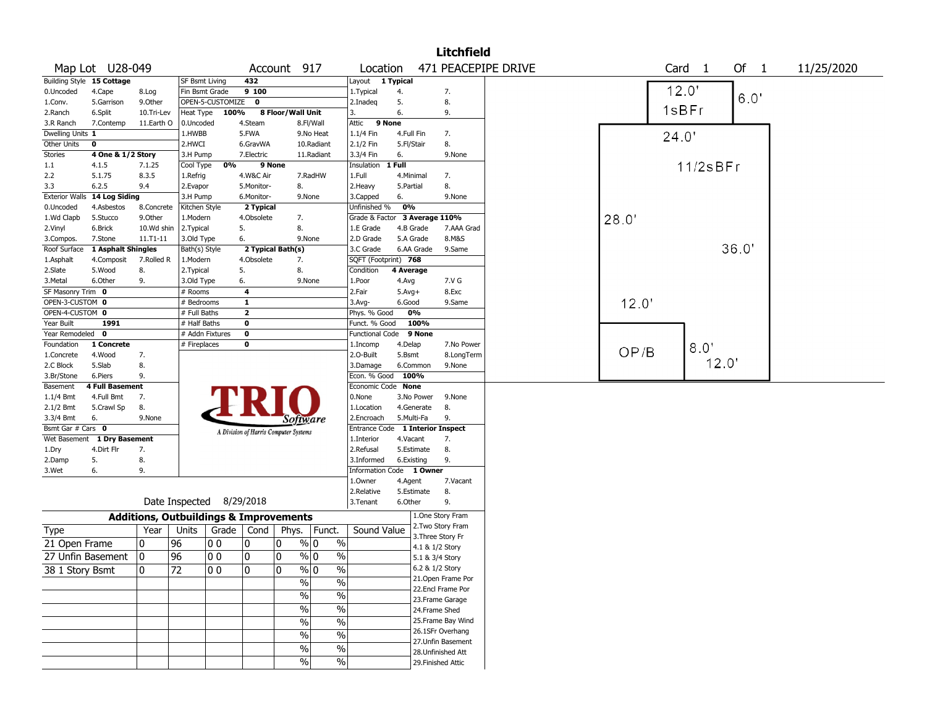|                       |                             |                                                   |                          |                  |                                       |                          |                                    |                                  |            |            | <b>Litchfield</b>                       |                     |       |       |                   |      |            |
|-----------------------|-----------------------------|---------------------------------------------------|--------------------------|------------------|---------------------------------------|--------------------------|------------------------------------|----------------------------------|------------|------------|-----------------------------------------|---------------------|-------|-------|-------------------|------|------------|
|                       | Map Lot U28-049             |                                                   |                          |                  |                                       | Account 917              |                                    | Location                         |            |            |                                         | 471 PEACEPIPE DRIVE |       |       | Card <sub>1</sub> | Of 1 | 11/25/2020 |
|                       | Building Style 15 Cottage   |                                                   | <b>SF Bsmt Living</b>    |                  | 432                                   |                          |                                    | Layout 1 Typical                 |            |            |                                         |                     |       |       |                   |      |            |
| 0.Uncoded             | 4.Cape                      | 8.Log                                             | Fin Bsmt Grade           |                  | 9 100                                 |                          |                                    | 1. Typical                       | 4.         |            | 7.                                      |                     |       | 12.0' |                   |      |            |
| 1.Conv.               | 5.Garrison                  | 9.Other                                           |                          | OPEN-5-CUSTOMIZE | $\mathbf{0}$                          |                          |                                    | 2.Inadeg                         | 5.         |            | 8.                                      |                     |       |       |                   | 6.0" |            |
| 2.Ranch               | 6.Split                     | 10.Tri-Lev                                        | Heat Type                | 100%             |                                       | 8 Floor/Wall Unit        |                                    | 3.                               | 6.         |            | 9.                                      |                     |       | 1sBFr |                   |      |            |
| 3.R Ranch             | 7.Contemp                   | 11.Earth O                                        | 0.Uncoded                |                  | 4.Steam                               |                          | 8.Fl/Wall                          | 9 None<br>Attic                  |            |            |                                         |                     |       |       |                   |      |            |
| Dwelling Units 1      |                             |                                                   | 1.HWBB                   |                  | 5.FWA                                 |                          | 9.No Heat                          | 1.1/4 Fin                        | 4.Full Fin |            | 7.                                      |                     |       | 24.0' |                   |      |            |
| Other Units           | 0                           |                                                   | 2.HWCI                   |                  | 6.GravWA                              |                          | 10.Radiant                         | 2.1/2 Fin                        | 5.Fl/Stair |            | 8.                                      |                     |       |       |                   |      |            |
| Stories               | 4 One & 1/2 Story           |                                                   | 3.H Pump                 |                  | 7.Electric                            |                          | 11.Radiant                         | 3.3/4 Fin                        | 6.         |            | 9.None                                  |                     |       |       |                   |      |            |
| $1.1\,$               | 4.1.5                       | 7.1.25                                            | Cool Type                | 0%               |                                       | 9 None                   |                                    | Insulation                       | 1 Full     |            |                                         |                     |       |       | 11/2sBFr          |      |            |
| 2.2                   | 5.1.75                      | 8.3.5                                             | 1.Refrig                 |                  | 4.W&C Air                             |                          | 7.RadHW                            | 1.Full                           | 4.Minimal  |            | 7.                                      |                     |       |       |                   |      |            |
| 3.3                   | 6.2.5                       | 9.4                                               | 2.Evapor                 |                  | 5.Monitor-                            | 8.                       |                                    | 2.Heavy                          | 5.Partial  |            | 8.                                      |                     |       |       |                   |      |            |
| <b>Exterior Walls</b> | 14 Log Siding               |                                                   | 3.H Pump                 |                  | 6.Monitor-                            |                          | 9.None                             | 3.Capped                         | 6.         |            | 9.None                                  |                     |       |       |                   |      |            |
| 0.Uncoded             | 4.Asbestos                  | 8.Concrete                                        | Kitchen Style            |                  | 2 Typical                             |                          |                                    | Unfinished %                     | 0%         |            |                                         |                     |       |       |                   |      |            |
| 1.Wd Clapb            | 5.Stucco                    | 9.0ther                                           | 1.Modern                 |                  | 4.Obsolete                            | 7.                       |                                    | Grade & Factor                   |            |            | 3 Average 110%                          |                     | 28.0' |       |                   |      |            |
| 2.Vinyl               | 6.Brick                     | 10.Wd shin                                        | 2.Typical                |                  | 5.                                    | 8.                       |                                    | 1.E Grade                        | 4.B Grade  |            | 7.AAA Grad                              |                     |       |       |                   |      |            |
| 3.Compos.             | 7.Stone                     | 11.T1-11                                          | 3.Old Type               |                  | 6.                                    |                          | 9.None                             | 2.D Grade                        | 5.A Grade  |            | 8.M&S                                   |                     |       |       |                   |      |            |
| Roof Surface          | 1 Asphalt Shingles          |                                                   | Bath(s) Style            |                  |                                       | 2 Typical Bath(s)        |                                    | 3.C Grade                        |            | 6.AA Grade | 9.Same                                  |                     |       |       |                   | 36.0 |            |
| 1.Asphalt             | 4.Composit                  | 7.Rolled R                                        | 1.Modern                 |                  | 4.Obsolete                            | 7.                       |                                    | SQFT (Footprint) 768             |            |            |                                         |                     |       |       |                   |      |            |
| 2.Slate               | 5.Wood                      | 8.                                                | 2.Typical                |                  | 5.                                    | 8.                       |                                    | Condition                        | 4 Average  |            |                                         |                     |       |       |                   |      |            |
| 3.Metal               | 6.Other                     | 9.                                                | 3.Old Type               |                  | 6.                                    |                          | 9.None                             | 1.Poor                           | 4.Avg      |            | 7.V G                                   |                     |       |       |                   |      |            |
| SF Masonry Trim 0     |                             |                                                   | # Rooms                  |                  | 4                                     |                          |                                    | 2.Fair                           | $5.Avg+$   |            | 8.Exc                                   |                     |       |       |                   |      |            |
| OPEN-3-CUSTOM 0       |                             |                                                   | # Bedrooms               |                  | $\mathbf{1}$                          |                          |                                    | 3.Avg-                           | 6.Good     |            | 9.Same                                  |                     | 12.0' |       |                   |      |            |
| OPEN-4-CUSTOM 0       |                             |                                                   | # Full Baths             |                  | $\mathbf{2}$                          |                          |                                    | Phys. % Good                     | 0%         |            |                                         |                     |       |       |                   |      |            |
| Year Built            | 1991                        |                                                   | # Half Baths             |                  | 0                                     |                          |                                    | Funct. % Good                    |            | 100%       |                                         |                     |       |       |                   |      |            |
| Year Remodeled 0      |                             |                                                   | # Addn Fixtures          |                  | $\mathbf 0$                           |                          |                                    | <b>Functional Code</b>           |            | 9 None     |                                         |                     |       |       |                   |      |            |
| Foundation            | 1 Concrete                  |                                                   | # Fireplaces             |                  | 0                                     |                          |                                    | 1.Incomp                         | 4.Delap    |            | 7.No Power                              |                     |       |       | 8.0'              |      |            |
| 1.Concrete            | 4.Wood                      | 7.                                                |                          |                  |                                       |                          |                                    | 2.0-Built                        | 5.Bsmt     |            | 8.LongTerm                              |                     | OP/B  |       |                   |      |            |
| 2.C Block             | 5.Slab                      | 8.                                                |                          |                  |                                       |                          |                                    | 3.Damage                         | 6.Common   |            | 9.None                                  |                     |       |       | 12.0"             |      |            |
| 3.Br/Stone            | 6.Piers                     | 9.                                                |                          |                  |                                       |                          |                                    | Econ. % Good                     | 100%       |            |                                         |                     |       |       |                   |      |            |
| Basement              | 4 Full Basement             |                                                   |                          |                  |                                       |                          |                                    | Economic Code None               |            |            |                                         |                     |       |       |                   |      |            |
| $1.1/4$ Bmt           | 4.Full Bmt                  | 7.                                                |                          |                  |                                       |                          |                                    | 0.None                           |            | 3.No Power | 9.None                                  |                     |       |       |                   |      |            |
| $2.1/2$ Bmt           | 5.Crawl Sp                  | 8.                                                |                          |                  |                                       |                          |                                    | 1.Location                       |            | 4.Generate | 8.                                      |                     |       |       |                   |      |            |
| 3.3/4 Bmt             | 6.                          | 9.None                                            |                          |                  |                                       | Software                 |                                    | 2.Encroach                       | 5.Multi-Fa |            | 9.                                      |                     |       |       |                   |      |            |
| Bsmt Gar # Cars 0     |                             |                                                   |                          |                  | A Division of Harris Computer Systems |                          |                                    | Entrance Code 1 Interior Inspect |            |            |                                         |                     |       |       |                   |      |            |
|                       | Wet Basement 1 Dry Basement |                                                   |                          |                  |                                       |                          |                                    | 1.Interior                       | 4.Vacant   |            | 7.                                      |                     |       |       |                   |      |            |
| 1.Dry                 | 4.Dirt Flr                  | 7.                                                |                          |                  |                                       |                          |                                    | 2.Refusal                        |            | 5.Estimate | 8.                                      |                     |       |       |                   |      |            |
| 2.Damp                | 5.                          | 8.                                                |                          |                  |                                       |                          |                                    | 3.Informed                       | 6.Existing |            | 9.                                      |                     |       |       |                   |      |            |
| 3.Wet                 | 6.                          | 9.                                                |                          |                  |                                       |                          |                                    | Information Code 1 Owner         |            |            |                                         |                     |       |       |                   |      |            |
|                       |                             |                                                   |                          |                  |                                       |                          |                                    | 1.0wner                          | 4.Agent    |            | 7.Vacant                                |                     |       |       |                   |      |            |
|                       |                             |                                                   |                          |                  |                                       |                          |                                    | 2.Relative                       |            | 5.Estimate | 8.                                      |                     |       |       |                   |      |            |
|                       |                             |                                                   | Date Inspected 8/29/2018 |                  |                                       |                          |                                    | 3. Tenant                        | 6.Other    |            | 9.                                      |                     |       |       |                   |      |            |
|                       |                             | <b>Additions, Outbuildings &amp; Improvements</b> |                          |                  |                                       |                          |                                    |                                  |            |            | 1.One Story Fram                        |                     |       |       |                   |      |            |
| Type                  |                             | Year                                              | Units                    |                  | Grade   Cond                          | Phys.                    | Funct.                             | Sound Value                      |            |            | 2. Two Story Fram                       |                     |       |       |                   |      |            |
| 21 Open Frame         |                             | 0                                                 | 96                       | 00               | 0                                     | 10                       | $\frac{9}{0}$ 0<br>$\%$            |                                  |            |            | 3. Three Story Fr                       |                     |       |       |                   |      |            |
| 27 Unfin Basement     |                             | 0                                                 | 96                       | 0 <sub>0</sub>   | 0                                     | 0                        | $\%$ 0<br>$\%$                     |                                  |            |            | 4.1 & 1/2 Story                         |                     |       |       |                   |      |            |
|                       |                             |                                                   |                          |                  |                                       |                          |                                    |                                  |            |            | 5.1 & 3/4 Story                         |                     |       |       |                   |      |            |
| 38 1 Story Bsmt       |                             | 0                                                 | $\overline{72}$          | $ 00\rangle$     | 0                                     | $\Omega$                 | $\frac{9}{6}$ 0<br>$\overline{\%}$ |                                  |            |            | 6.2 & 1/2 Story                         |                     |       |       |                   |      |            |
|                       |                             |                                                   |                          |                  |                                       | $\frac{0}{0}$            | $\frac{0}{0}$                      |                                  |            |            | 21. Open Frame Por<br>22.Encl Frame Por |                     |       |       |                   |      |            |
|                       |                             |                                                   |                          |                  |                                       | $\frac{0}{0}$            | $\frac{0}{0}$                      |                                  |            |            | 23. Frame Garage                        |                     |       |       |                   |      |            |
|                       |                             |                                                   |                          |                  |                                       | $\overline{\frac{0}{0}}$ | $\overline{\frac{0}{0}}$           |                                  |            |            | 24.Frame Shed                           |                     |       |       |                   |      |            |
|                       |                             |                                                   |                          |                  |                                       |                          |                                    |                                  |            |            | 25. Frame Bay Wind                      |                     |       |       |                   |      |            |
|                       |                             |                                                   |                          |                  |                                       | $\frac{0}{0}$            | $\overline{\frac{0}{0}}$           |                                  |            |            | 26.1SFr Overhang                        |                     |       |       |                   |      |            |
|                       |                             |                                                   |                          |                  |                                       | $\%$                     | $\overline{\frac{0}{0}}$           |                                  |            |            | 27.Unfin Basement                       |                     |       |       |                   |      |            |
|                       |                             |                                                   |                          |                  |                                       | $\frac{0}{0}$            | $\%$                               |                                  |            |            | 28. Unfinished Att                      |                     |       |       |                   |      |            |
|                       |                             |                                                   |                          |                  |                                       | $\frac{0}{0}$            | $\%$                               |                                  |            |            | 29. Finished Attic                      |                     |       |       |                   |      |            |
|                       |                             |                                                   |                          |                  |                                       |                          |                                    |                                  |            |            |                                         |                     |       |       |                   |      |            |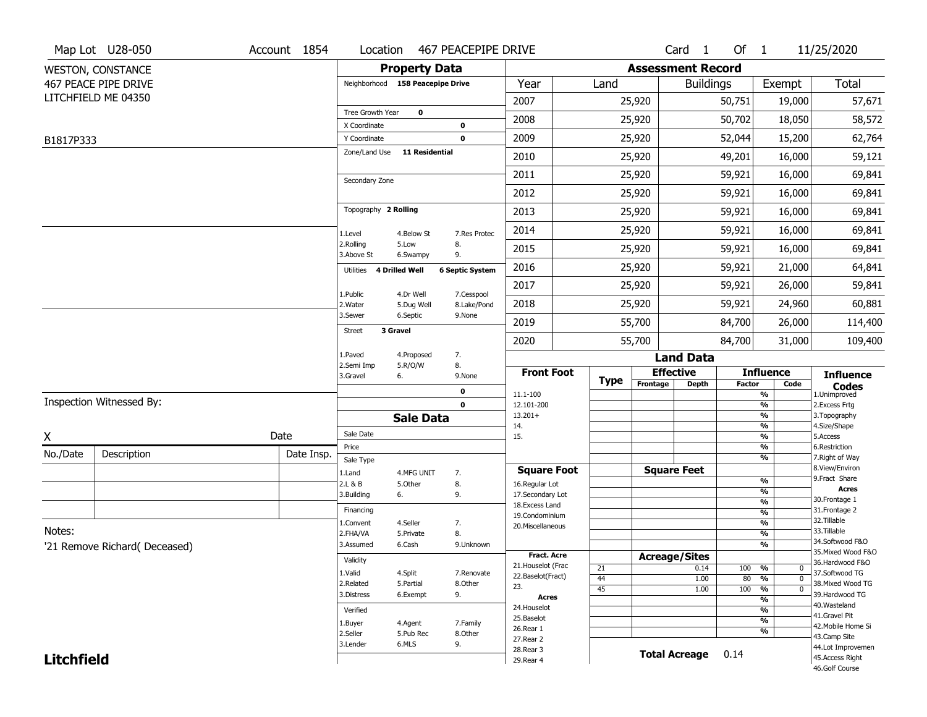|                   | Map Lot U28-050               | Account 1854 | Location                             |                       | 467 PEACEPIPE DRIVE    |                                     |             |                          | Card <sub>1</sub>                | Of $1$        |                                                      | 11/25/2020                          |
|-------------------|-------------------------------|--------------|--------------------------------------|-----------------------|------------------------|-------------------------------------|-------------|--------------------------|----------------------------------|---------------|------------------------------------------------------|-------------------------------------|
|                   | <b>WESTON, CONSTANCE</b>      |              |                                      | <b>Property Data</b>  |                        |                                     |             | <b>Assessment Record</b> |                                  |               |                                                      |                                     |
|                   | 467 PEACE PIPE DRIVE          |              | Neighborhood 158 Peacepipe Drive     |                       |                        | Year                                | Land        |                          | <b>Buildings</b>                 |               | Exempt                                               | Total                               |
|                   | LITCHFIELD ME 04350           |              |                                      |                       |                        | 2007                                |             | 25,920                   |                                  | 50,751        | 19,000                                               | 57,671                              |
|                   |                               |              | Tree Growth Year                     | $\mathbf 0$           |                        | 2008                                |             | 25,920                   |                                  | 50,702        | 18,050                                               | 58,572                              |
| B1817P333         |                               |              | X Coordinate<br>Y Coordinate         |                       | 0<br>$\mathbf 0$       | 2009                                |             | 25,920                   |                                  | 52,044        | 15,200                                               | 62,764                              |
|                   |                               |              | Zone/Land Use                        | <b>11 Residential</b> |                        | 2010                                |             | 25,920                   |                                  | 49,201        | 16,000                                               | 59,121                              |
|                   |                               |              |                                      |                       |                        | 2011                                |             | 25,920                   |                                  | 59,921        | 16,000                                               | 69,841                              |
|                   |                               |              | Secondary Zone                       |                       |                        | 2012                                |             | 25,920                   |                                  | 59,921        | 16,000                                               | 69,841                              |
|                   |                               |              | Topography 2 Rolling                 |                       |                        | 2013                                |             | 25,920                   |                                  | 59,921        | 16,000                                               | 69,841                              |
|                   |                               |              | 1.Level                              | 4.Below St            | 7.Res Protec           | 2014                                |             | 25,920                   |                                  | 59,921        | 16,000                                               | 69,841                              |
|                   |                               |              | 2.Rolling<br>3.Above St              | 5.Low<br>6.Swampy     | 8.<br>9.               | 2015                                |             | 25,920                   |                                  | 59,921        | 16,000                                               | 69,841                              |
|                   |                               |              | 4 Drilled Well<br>Utilities          |                       | <b>6 Septic System</b> | 2016                                |             | 25,920                   |                                  | 59,921        | 21,000                                               | 64,841                              |
|                   |                               |              | 1.Public                             | 4.Dr Well             | 7.Cesspool             | 2017                                |             | 25,920                   |                                  | 59,921        | 26,000                                               | 59,841                              |
|                   |                               |              | 2. Water                             | 5.Dug Well            | 8.Lake/Pond            | 2018                                |             | 25,920                   |                                  | 59,921        | 24,960                                               | 60,881                              |
|                   |                               |              | 3.Sewer<br>3 Gravel<br><b>Street</b> | 6.Septic              | 9.None                 | 2019                                |             | 55,700                   |                                  | 84,700        | 26,000                                               | 114,400                             |
|                   |                               |              |                                      |                       |                        | 2020                                |             | 55,700                   |                                  | 84,700        | 31,000                                               | 109,400                             |
|                   |                               |              | 1.Paved<br>2.Semi Imp                | 4.Proposed<br>5.R/O/W | 7.<br>8.               |                                     |             |                          | <b>Land Data</b>                 |               |                                                      |                                     |
|                   |                               |              | 3.Gravel                             | 6.                    | 9.None                 | <b>Front Foot</b>                   | <b>Type</b> | Frontage                 | <b>Effective</b><br><b>Depth</b> | <b>Factor</b> | <b>Influence</b><br>Code                             | <b>Influence</b>                    |
|                   | Inspection Witnessed By:      |              |                                      |                       | 0                      | 11.1-100                            |             |                          |                                  |               | %                                                    | <b>Codes</b><br>1.Unimproved        |
|                   |                               |              |                                      |                       | $\mathbf 0$            | 12.101-200<br>$13.201+$             |             |                          |                                  |               | %<br>%                                               | 2.Excess Frtg<br>3. Topography      |
|                   |                               |              | Sale Date                            | <b>Sale Data</b>      |                        | 14.                                 |             |                          |                                  |               | %                                                    | 4.Size/Shape                        |
| X                 |                               | Date         | Price                                |                       |                        | 15.                                 |             |                          |                                  |               | %<br>%                                               | 5.Access<br>6.Restriction           |
| No./Date          | Description                   | Date Insp.   | Sale Type                            |                       |                        |                                     |             |                          |                                  |               | %                                                    | 7. Right of Way                     |
|                   |                               |              | 1.Land                               | 4.MFG UNIT            | 7.                     | <b>Square Foot</b>                  |             |                          | <b>Square Feet</b>               |               |                                                      | 8.View/Environ<br>9.Fract Share     |
|                   |                               |              | 2.L & B                              | 5.Other               | 8.                     | 16.Regular Lot                      |             |                          |                                  |               | %<br>%                                               | <b>Acres</b>                        |
|                   |                               |              | 3.Building                           | 6.                    | 9.                     | 17.Secondary Lot<br>18. Excess Land |             |                          |                                  |               | $\frac{9}{6}$                                        | 30. Frontage 1                      |
|                   |                               |              | Financing                            |                       |                        | 19.Condominium                      |             |                          |                                  |               | $\overline{\frac{9}{6}}$                             | 31. Frontage 2<br>32.Tillable       |
| Notes:            |                               |              | 1.Convent<br>2.FHA/VA                | 4.Seller              | 7.<br>8.               | 20.Miscellaneous                    |             |                          |                                  |               | $\overline{\frac{9}{6}}$<br>$\overline{\frac{9}{6}}$ | 33.Tillable                         |
|                   | '21 Remove Richard( Deceased) |              | 3.Assumed                            | 5.Private<br>6.Cash   | 9.Unknown              |                                     |             |                          |                                  |               | $\frac{9}{6}$                                        | 34.Softwood F&O                     |
|                   |                               |              |                                      |                       |                        | <b>Fract. Acre</b>                  |             |                          | <b>Acreage/Sites</b>             |               |                                                      | 35. Mixed Wood F&O                  |
|                   |                               |              | Validity                             |                       |                        | 21. Houselot (Frac                  | 21          |                          | 0.14                             | 100           | %<br>$\mathbf 0$                                     | 36.Hardwood F&O                     |
|                   |                               |              | 1.Valid<br>2.Related                 | 4.Split<br>5.Partial  | 7.Renovate<br>8.Other  | 22.Baselot(Fract)                   | 44          |                          | 1.00                             | 80            | %<br>$\mathbf 0$                                     | 37.Softwood TG<br>38. Mixed Wood TG |
|                   |                               |              | 3.Distress                           | 6.Exempt              | 9.                     | 23.<br><b>Acres</b>                 | 45          |                          | 1.00                             | 100           | $\frac{9}{6}$<br>$\mathbf 0$                         | 39.Hardwood TG                      |
|                   |                               |              | Verified                             |                       |                        | 24. Houselot                        |             |                          |                                  |               | %<br>%                                               | 40. Wasteland                       |
|                   |                               |              |                                      |                       |                        | 25.Baselot                          |             |                          |                                  |               | %                                                    | 41.Gravel Pit                       |
|                   |                               |              | 1.Buyer<br>2.Seller                  | 4.Agent<br>5.Pub Rec  | 7.Family<br>8.Other    | 26.Rear 1                           |             |                          |                                  |               | %                                                    | 42. Mobile Home Si                  |
|                   |                               |              | 3.Lender                             | 6.MLS                 | 9.                     | 27.Rear 2                           |             |                          |                                  |               |                                                      | 43.Camp Site<br>44.Lot Improvemen   |
|                   |                               |              |                                      |                       |                        |                                     |             |                          |                                  |               |                                                      |                                     |
| <b>Litchfield</b> |                               |              |                                      |                       |                        | 28. Rear 3<br>29. Rear 4            |             |                          | <b>Total Acreage</b>             | 0.14          |                                                      | 45.Access Right                     |